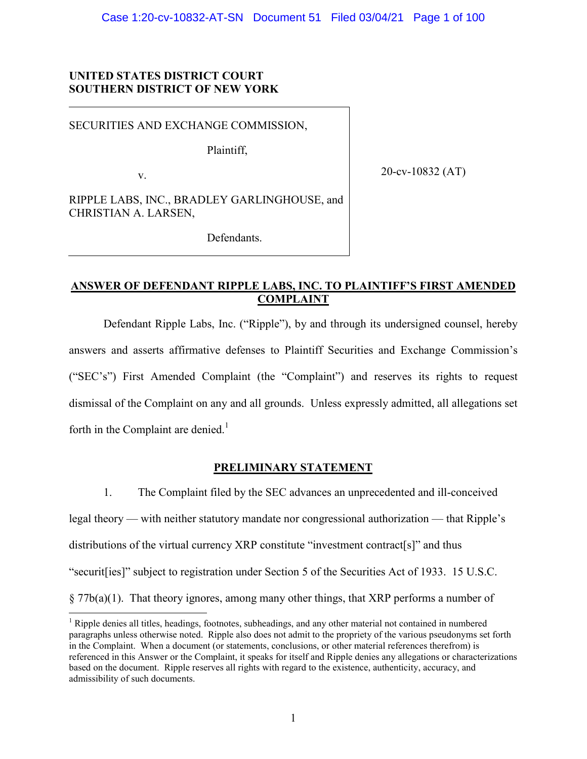# **UNITED STATES DISTRICT COURT SOUTHERN DISTRICT OF NEW YORK**

SECURITIES AND EXCHANGE COMMISSION,

Plaintiff,

v.

20-cv-10832 (AT)

RIPPLE LABS, INC., BRADLEY GARLINGHOUSE, and CHRISTIAN A. LARSEN,

Defendants.

# **ANSWER OF DEFENDANT RIPPLE LABS, INC. TO PLAINTIFF'S FIRST AMENDED COMPLAINT**

Defendant Ripple Labs, Inc. ("Ripple"), by and through its undersigned counsel, hereby answers and asserts affirmative defenses to Plaintiff Securities and Exchange Commission's ("SEC's") First Amended Complaint (the "Complaint") and reserves its rights to request dismissal of the Complaint on any and all grounds. Unless expressly admitted, all allegations set forth in the Complaint are denied.<sup>1</sup>

# **PRELIMINARY STATEMENT**

1. The Complaint filed by the SEC advances an unprecedented and ill-conceived legal theory — with neither statutory mandate nor congressional authorization — that Ripple's distributions of the virtual currency XRP constitute "investment contract[s]" and thus "securit[ies]" subject to registration under Section 5 of the Securities Act of 1933. 15 U.S.C. § 77b(a)(1). That theory ignores, among many other things, that XRP performs a number of

<sup>&</sup>lt;sup>1</sup> Ripple denies all titles, headings, footnotes, subheadings, and any other material not contained in numbered paragraphs unless otherwise noted. Ripple also does not admit to the propriety of the various pseudonyms set forth in the Complaint. When a document (or statements, conclusions, or other material references therefrom) is referenced in this Answer or the Complaint, it speaks for itself and Ripple denies any allegations or characterizations based on the document. Ripple reserves all rights with regard to the existence, authenticity, accuracy, and admissibility of such documents.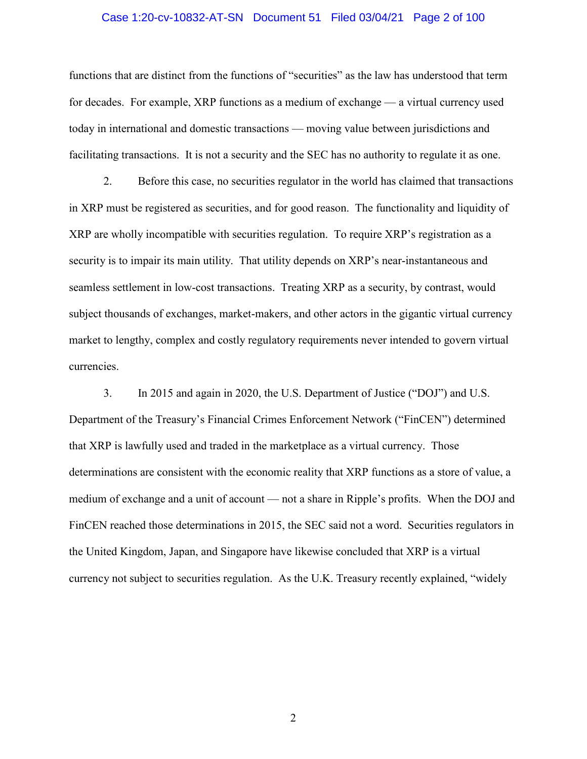# Case 1:20-cv-10832-AT-SN Document 51 Filed 03/04/21 Page 2 of 100

functions that are distinct from the functions of "securities" as the law has understood that term for decades. For example, XRP functions as a medium of exchange — a virtual currency used today in international and domestic transactions — moving value between jurisdictions and facilitating transactions. It is not a security and the SEC has no authority to regulate it as one.

2. Before this case, no securities regulator in the world has claimed that transactions in XRP must be registered as securities, and for good reason. The functionality and liquidity of XRP are wholly incompatible with securities regulation. To require XRP's registration as a security is to impair its main utility. That utility depends on XRP's near-instantaneous and seamless settlement in low-cost transactions. Treating XRP as a security, by contrast, would subject thousands of exchanges, market-makers, and other actors in the gigantic virtual currency market to lengthy, complex and costly regulatory requirements never intended to govern virtual currencies.

3. In 2015 and again in 2020, the U.S. Department of Justice ("DOJ") and U.S. Department of the Treasury's Financial Crimes Enforcement Network ("FinCEN") determined that XRP is lawfully used and traded in the marketplace as a virtual currency. Those determinations are consistent with the economic reality that XRP functions as a store of value, a medium of exchange and a unit of account — not a share in Ripple's profits. When the DOJ and FinCEN reached those determinations in 2015, the SEC said not a word. Securities regulators in the United Kingdom, Japan, and Singapore have likewise concluded that XRP is a virtual currency not subject to securities regulation. As the U.K. Treasury recently explained, "widely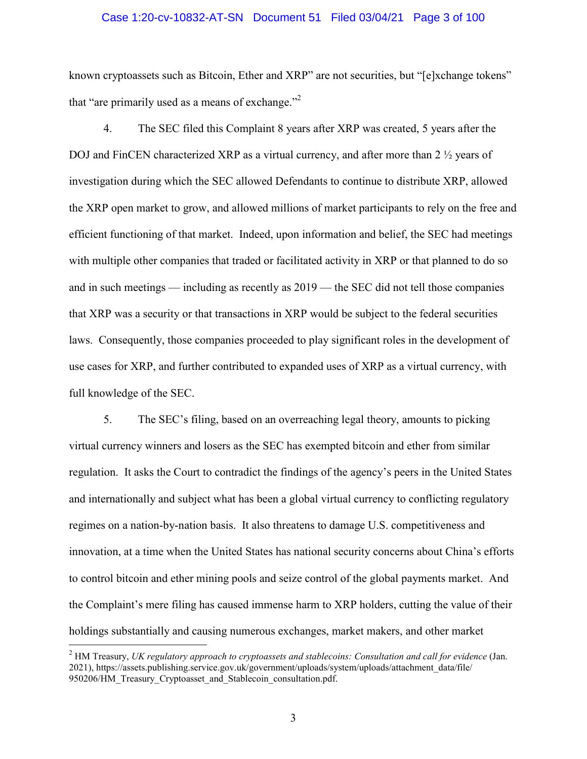# Case 1:20-cv-10832-AT-SN Document 51 Filed 03/04/21 Page 3 of 100

known cryptoassets such as Bitcoin, Ether and XRP" are not securities, but "[e]xchange tokens" that "are primarily used as a means of exchange."

4. The SEC filed this Complaint 8 years after XRP was created, 5 years after the DOJ and FinCEN characterized XRP as a virtual currency, and after more than 2  $\frac{1}{2}$  years of investigation during which the SEC allowed Defendants to continue to distribute XRP, allowed the XRP open market to grow, and allowed millions of market participants to rely on the free and efficient functioning of that market. Indeed, upon information and belief, the SEC had meetings with multiple other companies that traded or facilitated activity in XRP or that planned to do so and in such meetings — including as recently as 2019 — the SEC did not tell those companies that XRP was a security or that transactions in XRP would be subject to the federal securities laws. Consequently, those companies proceeded to play significant roles in the development of use cases for XRP, and further contributed to expanded uses of XRP as a virtual currency, with full knowledge of the SEC.

5. The SEC's filing, based on an overreaching legal theory, amounts to picking virtual currency winners and losers as the SEC has exempted bitcoin and ether from similar regulation. It asks the Court to contradict the findings of the agency's peers in the United States and internationally and subject what has been a global virtual currency to conflicting regulatory regimes on a nation-by-nation basis. It also threatens to damage U.S. competitiveness and innovation, at a time when the United States has national security concerns about China's efforts to control bitcoin and ether mining pools and seize control of the global payments market. And the Complaint's mere filing has caused immense harm to XRP holders, cutting the value of their holdings substantially and causing numerous exchanges, market makers, and other market

<sup>2</sup> HM Treasury, *UK regulatory approach to cryptoassets and stablecoins: Consultation and call for evidence* (Jan. 2021), https://assets.publishing.service.gov.uk/government/uploads/system/uploads/attachment\_data/file/ 950206/HM\_Treasury\_Cryptoasset\_and\_Stablecoin\_consultation.pdf.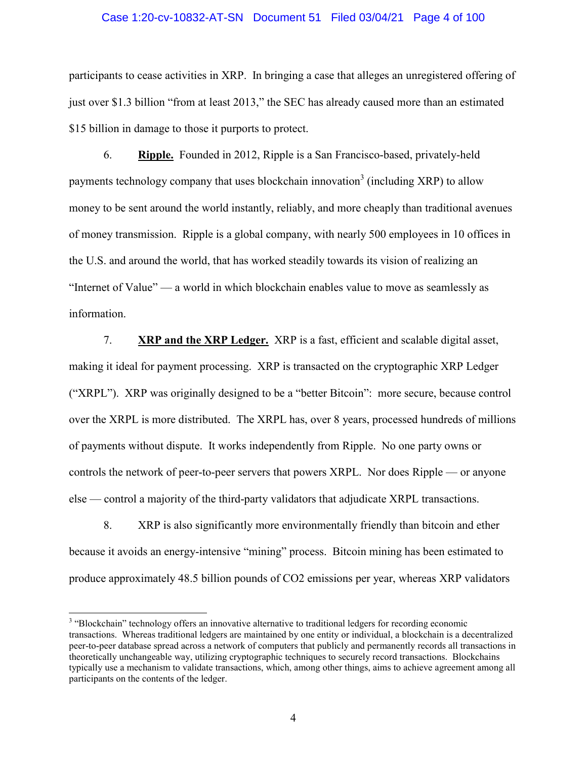#### Case 1:20-cv-10832-AT-SN Document 51 Filed 03/04/21 Page 4 of 100

participants to cease activities in XRP. In bringing a case that alleges an unregistered offering of just over \$1.3 billion "from at least 2013," the SEC has already caused more than an estimated \$15 billion in damage to those it purports to protect.

6. **Ripple.** Founded in 2012, Ripple is a San Francisco-based, privately-held payments technology company that uses blockchain innovation<sup>3</sup> (including XRP) to allow money to be sent around the world instantly, reliably, and more cheaply than traditional avenues of money transmission. Ripple is a global company, with nearly 500 employees in 10 offices in the U.S. and around the world, that has worked steadily towards its vision of realizing an "Internet of Value" — a world in which blockchain enables value to move as seamlessly as information.

7. **XRP and the XRP Ledger.** XRP is a fast, efficient and scalable digital asset, making it ideal for payment processing. XRP is transacted on the cryptographic XRP Ledger ("XRPL"). XRP was originally designed to be a "better Bitcoin": more secure, because control over the XRPL is more distributed. The XRPL has, over 8 years, processed hundreds of millions of payments without dispute. It works independently from Ripple. No one party owns or controls the network of peer-to-peer servers that powers XRPL. Nor does Ripple — or anyone else — control a majority of the third-party validators that adjudicate XRPL transactions.

8. XRP is also significantly more environmentally friendly than bitcoin and ether because it avoids an energy-intensive "mining" process. Bitcoin mining has been estimated to produce approximately 48.5 billion pounds of CO2 emissions per year, whereas XRP validators

<sup>&</sup>lt;sup>3</sup> "Blockchain" technology offers an innovative alternative to traditional ledgers for recording economic transactions. Whereas traditional ledgers are maintained by one entity or individual, a blockchain is a decentralized peer-to-peer database spread across a network of computers that publicly and permanently records all transactions in theoretically unchangeable way, utilizing cryptographic techniques to securely record transactions. Blockchains typically use a mechanism to validate transactions, which, among other things, aims to achieve agreement among all participants on the contents of the ledger.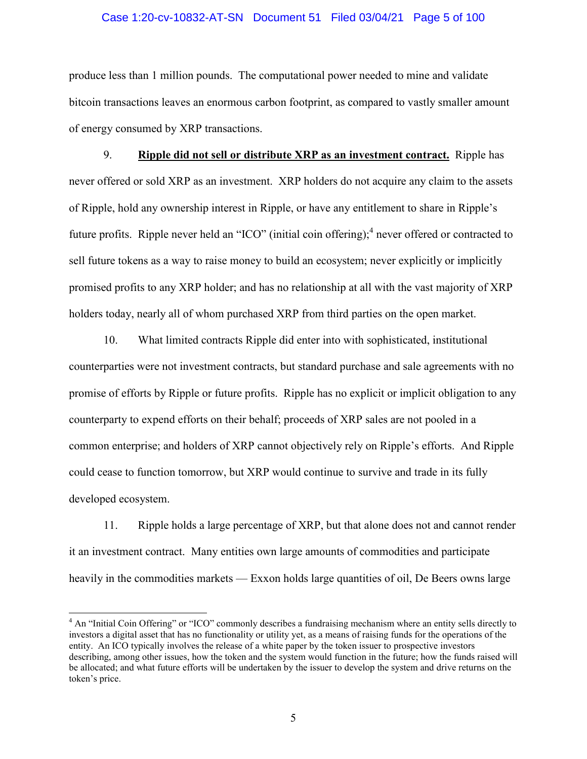# Case 1:20-cv-10832-AT-SN Document 51 Filed 03/04/21 Page 5 of 100

produce less than 1 million pounds. The computational power needed to mine and validate bitcoin transactions leaves an enormous carbon footprint, as compared to vastly smaller amount of energy consumed by XRP transactions.

9. **Ripple did not sell or distribute XRP as an investment contract.** Ripple has never offered or sold XRP as an investment. XRP holders do not acquire any claim to the assets of Ripple, hold any ownership interest in Ripple, or have any entitlement to share in Ripple's future profits. Ripple never held an "ICO" (initial coin offering); <sup>4</sup> never offered or contracted to sell future tokens as a way to raise money to build an ecosystem; never explicitly or implicitly promised profits to any XRP holder; and has no relationship at all with the vast majority of XRP holders today, nearly all of whom purchased XRP from third parties on the open market.

10. What limited contracts Ripple did enter into with sophisticated, institutional counterparties were not investment contracts, but standard purchase and sale agreements with no promise of efforts by Ripple or future profits. Ripple has no explicit or implicit obligation to any counterparty to expend efforts on their behalf; proceeds of XRP sales are not pooled in a common enterprise; and holders of XRP cannot objectively rely on Ripple's efforts. And Ripple could cease to function tomorrow, but XRP would continue to survive and trade in its fully developed ecosystem.

11. Ripple holds a large percentage of XRP, but that alone does not and cannot render it an investment contract. Many entities own large amounts of commodities and participate heavily in the commodities markets — Exxon holds large quantities of oil, De Beers owns large

<sup>&</sup>lt;sup>4</sup> An "Initial Coin Offering" or "ICO" commonly describes a fundraising mechanism where an entity sells directly to investors a digital asset that has no functionality or utility yet, as a means of raising funds for the operations of the entity. An ICO typically involves the release of a white paper by the token issuer to prospective investors describing, among other issues, how the token and the system would function in the future; how the funds raised will be allocated; and what future efforts will be undertaken by the issuer to develop the system and drive returns on the token's price.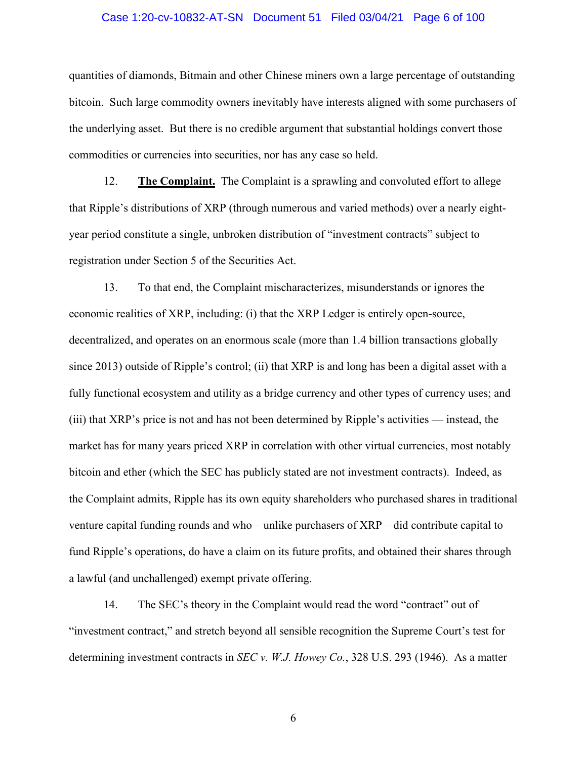# Case 1:20-cv-10832-AT-SN Document 51 Filed 03/04/21 Page 6 of 100

quantities of diamonds, Bitmain and other Chinese miners own a large percentage of outstanding bitcoin. Such large commodity owners inevitably have interests aligned with some purchasers of the underlying asset. But there is no credible argument that substantial holdings convert those commodities or currencies into securities, nor has any case so held.

12. **The Complaint.** The Complaint is a sprawling and convoluted effort to allege that Ripple's distributions of XRP (through numerous and varied methods) over a nearly eightyear period constitute a single, unbroken distribution of "investment contracts" subject to registration under Section 5 of the Securities Act.

13. To that end, the Complaint mischaracterizes, misunderstands or ignores the economic realities of XRP, including: (i) that the XRP Ledger is entirely open-source, decentralized, and operates on an enormous scale (more than 1.4 billion transactions globally since 2013) outside of Ripple's control; (ii) that XRP is and long has been a digital asset with a fully functional ecosystem and utility as a bridge currency and other types of currency uses; and (iii) that XRP's price is not and has not been determined by Ripple's activities — instead, the market has for many years priced XRP in correlation with other virtual currencies, most notably bitcoin and ether (which the SEC has publicly stated are not investment contracts). Indeed, as the Complaint admits, Ripple has its own equity shareholders who purchased shares in traditional venture capital funding rounds and who – unlike purchasers of XRP – did contribute capital to fund Ripple's operations, do have a claim on its future profits, and obtained their shares through a lawful (and unchallenged) exempt private offering.

14. The SEC's theory in the Complaint would read the word "contract" out of "investment contract," and stretch beyond all sensible recognition the Supreme Court's test for determining investment contracts in *SEC v. W.J. Howey Co.*, 328 U.S. 293 (1946). As a matter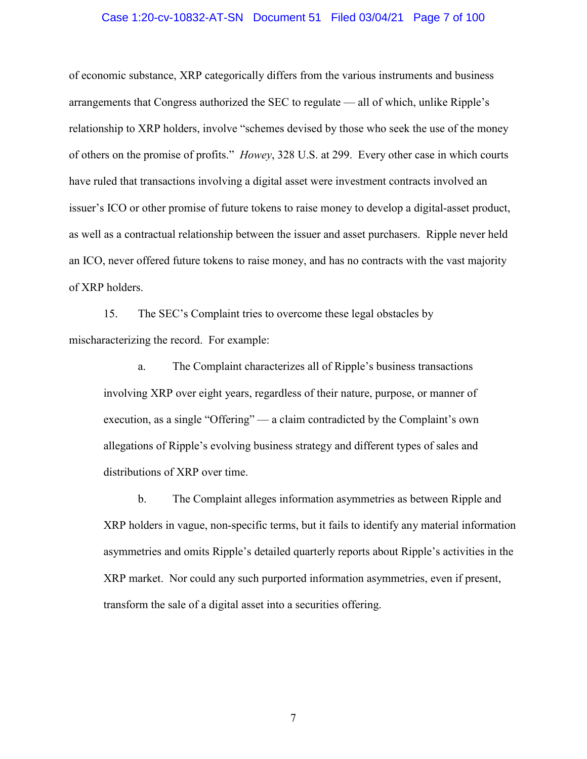## Case 1:20-cv-10832-AT-SN Document 51 Filed 03/04/21 Page 7 of 100

of economic substance, XRP categorically differs from the various instruments and business arrangements that Congress authorized the SEC to regulate — all of which, unlike Ripple's relationship to XRP holders, involve "schemes devised by those who seek the use of the money of others on the promise of profits." *Howey*, 328 U.S. at 299. Every other case in which courts have ruled that transactions involving a digital asset were investment contracts involved an issuer's ICO or other promise of future tokens to raise money to develop a digital-asset product, as well as a contractual relationship between the issuer and asset purchasers. Ripple never held an ICO, never offered future tokens to raise money, and has no contracts with the vast majority of XRP holders.

15. The SEC's Complaint tries to overcome these legal obstacles by mischaracterizing the record. For example:

a. The Complaint characterizes all of Ripple's business transactions involving XRP over eight years, regardless of their nature, purpose, or manner of execution, as a single "Offering" — a claim contradicted by the Complaint's own allegations of Ripple's evolving business strategy and different types of sales and distributions of XRP over time.

b. The Complaint alleges information asymmetries as between Ripple and XRP holders in vague, non-specific terms, but it fails to identify any material information asymmetries and omits Ripple's detailed quarterly reports about Ripple's activities in the XRP market. Nor could any such purported information asymmetries, even if present, transform the sale of a digital asset into a securities offering.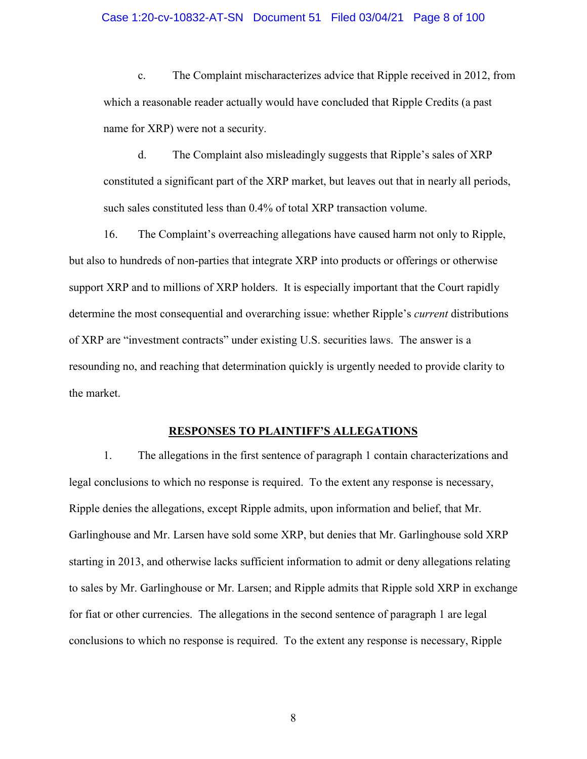#### Case 1:20-cv-10832-AT-SN Document 51 Filed 03/04/21 Page 8 of 100

c. The Complaint mischaracterizes advice that Ripple received in 2012, from which a reasonable reader actually would have concluded that Ripple Credits (a past name for XRP) were not a security.

d. The Complaint also misleadingly suggests that Ripple's sales of XRP constituted a significant part of the XRP market, but leaves out that in nearly all periods, such sales constituted less than 0.4% of total XRP transaction volume.

16. The Complaint's overreaching allegations have caused harm not only to Ripple, but also to hundreds of non-parties that integrate XRP into products or offerings or otherwise support XRP and to millions of XRP holders. It is especially important that the Court rapidly determine the most consequential and overarching issue: whether Ripple's *current* distributions of XRP are "investment contracts" under existing U.S. securities laws. The answer is a resounding no, and reaching that determination quickly is urgently needed to provide clarity to the market.

# **RESPONSES TO PLAINTIFF'S ALLEGATIONS**

1. The allegations in the first sentence of paragraph 1 contain characterizations and legal conclusions to which no response is required. To the extent any response is necessary, Ripple denies the allegations, except Ripple admits, upon information and belief, that Mr. Garlinghouse and Mr. Larsen have sold some XRP, but denies that Mr. Garlinghouse sold XRP starting in 2013, and otherwise lacks sufficient information to admit or deny allegations relating to sales by Mr. Garlinghouse or Mr. Larsen; and Ripple admits that Ripple sold XRP in exchange for fiat or other currencies. The allegations in the second sentence of paragraph 1 are legal conclusions to which no response is required. To the extent any response is necessary, Ripple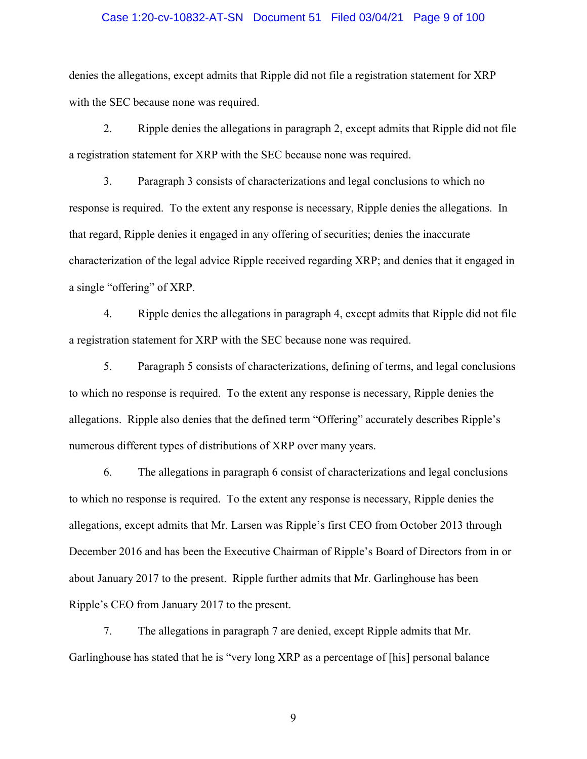# Case 1:20-cv-10832-AT-SN Document 51 Filed 03/04/21 Page 9 of 100

denies the allegations, except admits that Ripple did not file a registration statement for XRP with the SEC because none was required.

2. Ripple denies the allegations in paragraph 2, except admits that Ripple did not file a registration statement for XRP with the SEC because none was required.

3. Paragraph 3 consists of characterizations and legal conclusions to which no response is required. To the extent any response is necessary, Ripple denies the allegations. In that regard, Ripple denies it engaged in any offering of securities; denies the inaccurate characterization of the legal advice Ripple received regarding XRP; and denies that it engaged in a single "offering" of XRP.

4. Ripple denies the allegations in paragraph 4, except admits that Ripple did not file a registration statement for XRP with the SEC because none was required.

5. Paragraph 5 consists of characterizations, defining of terms, and legal conclusions to which no response is required. To the extent any response is necessary, Ripple denies the allegations. Ripple also denies that the defined term "Offering" accurately describes Ripple's numerous different types of distributions of XRP over many years.

6. The allegations in paragraph 6 consist of characterizations and legal conclusions to which no response is required. To the extent any response is necessary, Ripple denies the allegations, except admits that Mr. Larsen was Ripple's first CEO from October 2013 through December 2016 and has been the Executive Chairman of Ripple's Board of Directors from in or about January 2017 to the present. Ripple further admits that Mr. Garlinghouse has been Ripple's CEO from January 2017 to the present.

7. The allegations in paragraph 7 are denied, except Ripple admits that Mr. Garlinghouse has stated that he is "very long XRP as a percentage of [his] personal balance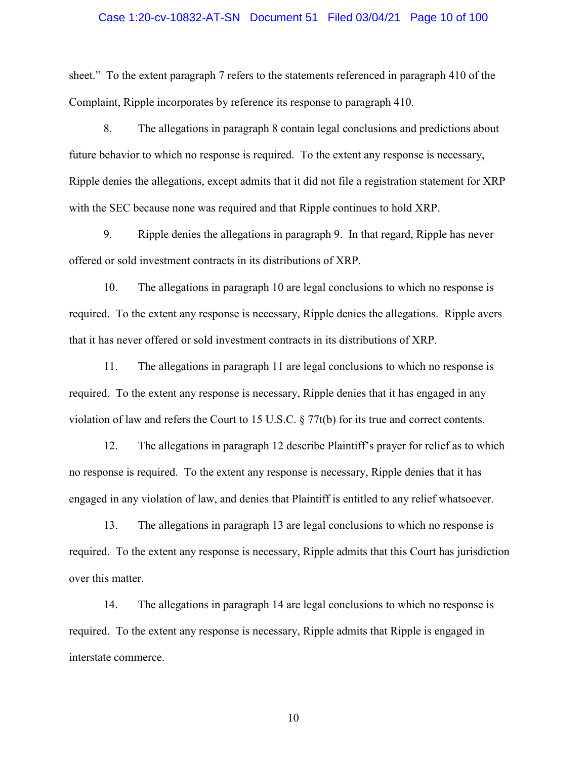# Case 1:20-cv-10832-AT-SN Document 51 Filed 03/04/21 Page 10 of 100

sheet." To the extent paragraph 7 refers to the statements referenced in paragraph 410 of the Complaint, Ripple incorporates by reference its response to paragraph 410.

8. The allegations in paragraph 8 contain legal conclusions and predictions about future behavior to which no response is required. To the extent any response is necessary, Ripple denies the allegations, except admits that it did not file a registration statement for XRP with the SEC because none was required and that Ripple continues to hold XRP.

9. Ripple denies the allegations in paragraph 9. In that regard, Ripple has never offered or sold investment contracts in its distributions of XRP.

10. The allegations in paragraph 10 are legal conclusions to which no response is required. To the extent any response is necessary, Ripple denies the allegations. Ripple avers that it has never offered or sold investment contracts in its distributions of XRP.

11. The allegations in paragraph 11 are legal conclusions to which no response is required. To the extent any response is necessary, Ripple denies that it has engaged in any violation of law and refers the Court to 15 U.S.C. § 77t(b) for its true and correct contents.

12. The allegations in paragraph 12 describe Plaintiff's prayer for relief as to which no response is required. To the extent any response is necessary, Ripple denies that it has engaged in any violation of law, and denies that Plaintiff is entitled to any relief whatsoever.

13. The allegations in paragraph 13 are legal conclusions to which no response is required. To the extent any response is necessary, Ripple admits that this Court has jurisdiction over this matter.

14. The allegations in paragraph 14 are legal conclusions to which no response is required. To the extent any response is necessary, Ripple admits that Ripple is engaged in interstate commerce.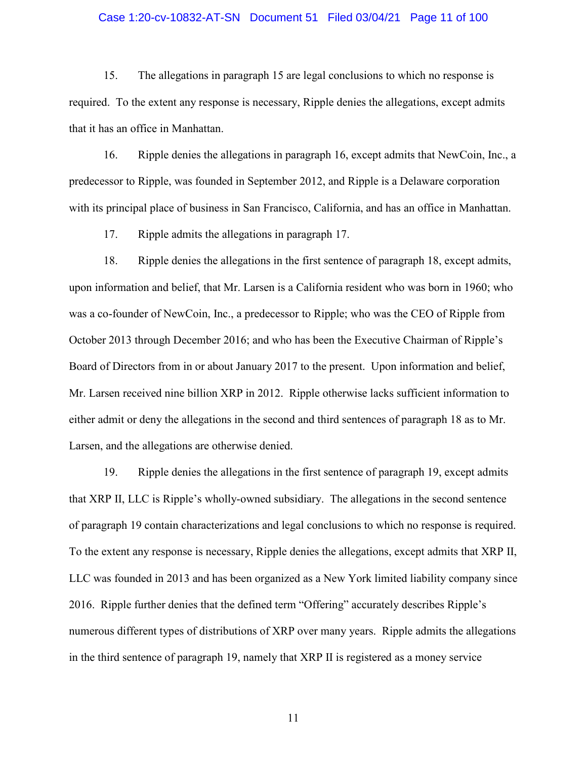# Case 1:20-cv-10832-AT-SN Document 51 Filed 03/04/21 Page 11 of 100

15. The allegations in paragraph 15 are legal conclusions to which no response is required. To the extent any response is necessary, Ripple denies the allegations, except admits that it has an office in Manhattan.

16. Ripple denies the allegations in paragraph 16, except admits that NewCoin, Inc., a predecessor to Ripple, was founded in September 2012, and Ripple is a Delaware corporation with its principal place of business in San Francisco, California, and has an office in Manhattan.

17. Ripple admits the allegations in paragraph 17.

18. Ripple denies the allegations in the first sentence of paragraph 18, except admits, upon information and belief, that Mr. Larsen is a California resident who was born in 1960; who was a co-founder of NewCoin, Inc., a predecessor to Ripple; who was the CEO of Ripple from October 2013 through December 2016; and who has been the Executive Chairman of Ripple's Board of Directors from in or about January 2017 to the present. Upon information and belief, Mr. Larsen received nine billion XRP in 2012. Ripple otherwise lacks sufficient information to either admit or deny the allegations in the second and third sentences of paragraph 18 as to Mr. Larsen, and the allegations are otherwise denied.

19. Ripple denies the allegations in the first sentence of paragraph 19, except admits that XRP II, LLC is Ripple's wholly-owned subsidiary. The allegations in the second sentence of paragraph 19 contain characterizations and legal conclusions to which no response is required. To the extent any response is necessary, Ripple denies the allegations, except admits that XRP II, LLC was founded in 2013 and has been organized as a New York limited liability company since 2016. Ripple further denies that the defined term "Offering" accurately describes Ripple's numerous different types of distributions of XRP over many years. Ripple admits the allegations in the third sentence of paragraph 19, namely that XRP II is registered as a money service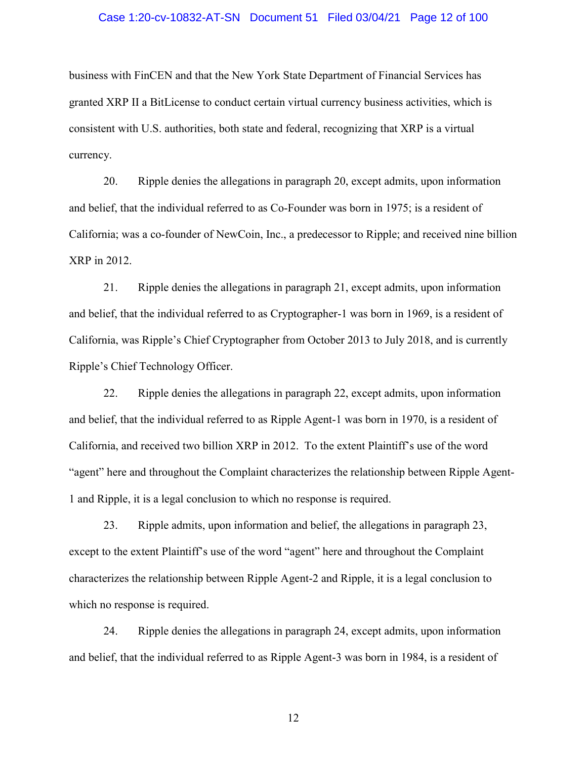# Case 1:20-cv-10832-AT-SN Document 51 Filed 03/04/21 Page 12 of 100

business with FinCEN and that the New York State Department of Financial Services has granted XRP II a BitLicense to conduct certain virtual currency business activities, which is consistent with U.S. authorities, both state and federal, recognizing that XRP is a virtual currency.

20. Ripple denies the allegations in paragraph 20, except admits, upon information and belief, that the individual referred to as Co-Founder was born in 1975; is a resident of California; was a co-founder of NewCoin, Inc., a predecessor to Ripple; and received nine billion XRP in 2012.

21. Ripple denies the allegations in paragraph 21, except admits, upon information and belief, that the individual referred to as Cryptographer-1 was born in 1969, is a resident of California, was Ripple's Chief Cryptographer from October 2013 to July 2018, and is currently Ripple's Chief Technology Officer.

22. Ripple denies the allegations in paragraph 22, except admits, upon information and belief, that the individual referred to as Ripple Agent-1 was born in 1970, is a resident of California, and received two billion XRP in 2012. To the extent Plaintiff's use of the word "agent" here and throughout the Complaint characterizes the relationship between Ripple Agent-1 and Ripple, it is a legal conclusion to which no response is required.

23. Ripple admits, upon information and belief, the allegations in paragraph 23, except to the extent Plaintiff's use of the word "agent" here and throughout the Complaint characterizes the relationship between Ripple Agent-2 and Ripple, it is a legal conclusion to which no response is required.

24. Ripple denies the allegations in paragraph 24, except admits, upon information and belief, that the individual referred to as Ripple Agent-3 was born in 1984, is a resident of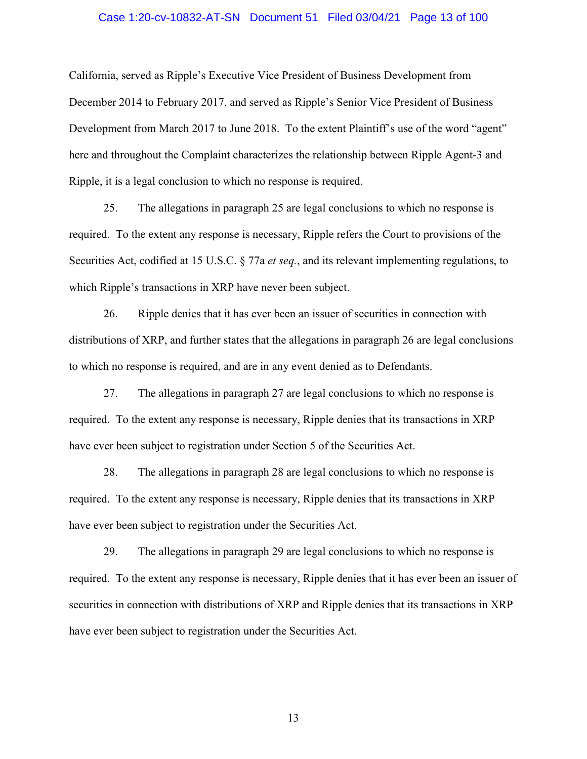# Case 1:20-cv-10832-AT-SN Document 51 Filed 03/04/21 Page 13 of 100

California, served as Ripple's Executive Vice President of Business Development from December 2014 to February 2017, and served as Ripple's Senior Vice President of Business Development from March 2017 to June 2018. To the extent Plaintiff's use of the word "agent" here and throughout the Complaint characterizes the relationship between Ripple Agent-3 and Ripple, it is a legal conclusion to which no response is required.

25. The allegations in paragraph 25 are legal conclusions to which no response is required. To the extent any response is necessary, Ripple refers the Court to provisions of the Securities Act, codified at 15 U.S.C. § 77a *et seq.*, and its relevant implementing regulations, to which Ripple's transactions in XRP have never been subject.

26. Ripple denies that it has ever been an issuer of securities in connection with distributions of XRP, and further states that the allegations in paragraph 26 are legal conclusions to which no response is required, and are in any event denied as to Defendants.

27. The allegations in paragraph 27 are legal conclusions to which no response is required. To the extent any response is necessary, Ripple denies that its transactions in XRP have ever been subject to registration under Section 5 of the Securities Act.

28. The allegations in paragraph 28 are legal conclusions to which no response is required. To the extent any response is necessary, Ripple denies that its transactions in XRP have ever been subject to registration under the Securities Act.

29. The allegations in paragraph 29 are legal conclusions to which no response is required. To the extent any response is necessary, Ripple denies that it has ever been an issuer of securities in connection with distributions of XRP and Ripple denies that its transactions in XRP have ever been subject to registration under the Securities Act.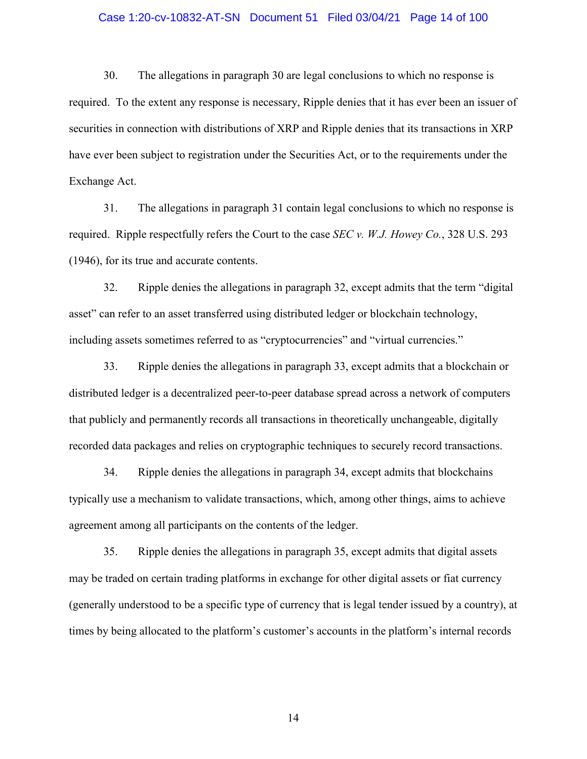# Case 1:20-cv-10832-AT-SN Document 51 Filed 03/04/21 Page 14 of 100

30. The allegations in paragraph 30 are legal conclusions to which no response is required. To the extent any response is necessary, Ripple denies that it has ever been an issuer of securities in connection with distributions of XRP and Ripple denies that its transactions in XRP have ever been subject to registration under the Securities Act, or to the requirements under the Exchange Act.

31. The allegations in paragraph 31 contain legal conclusions to which no response is required. Ripple respectfully refers the Court to the case *SEC v. W.J. Howey Co.*, 328 U.S. 293 (1946), for its true and accurate contents.

32. Ripple denies the allegations in paragraph 32, except admits that the term "digital asset" can refer to an asset transferred using distributed ledger or blockchain technology, including assets sometimes referred to as "cryptocurrencies" and "virtual currencies."

33. Ripple denies the allegations in paragraph 33, except admits that a blockchain or distributed ledger is a decentralized peer-to-peer database spread across a network of computers that publicly and permanently records all transactions in theoretically unchangeable, digitally recorded data packages and relies on cryptographic techniques to securely record transactions.

34. Ripple denies the allegations in paragraph 34, except admits that blockchains typically use a mechanism to validate transactions, which, among other things, aims to achieve agreement among all participants on the contents of the ledger.

35. Ripple denies the allegations in paragraph 35, except admits that digital assets may be traded on certain trading platforms in exchange for other digital assets or fiat currency (generally understood to be a specific type of currency that is legal tender issued by a country), at times by being allocated to the platform's customer's accounts in the platform's internal records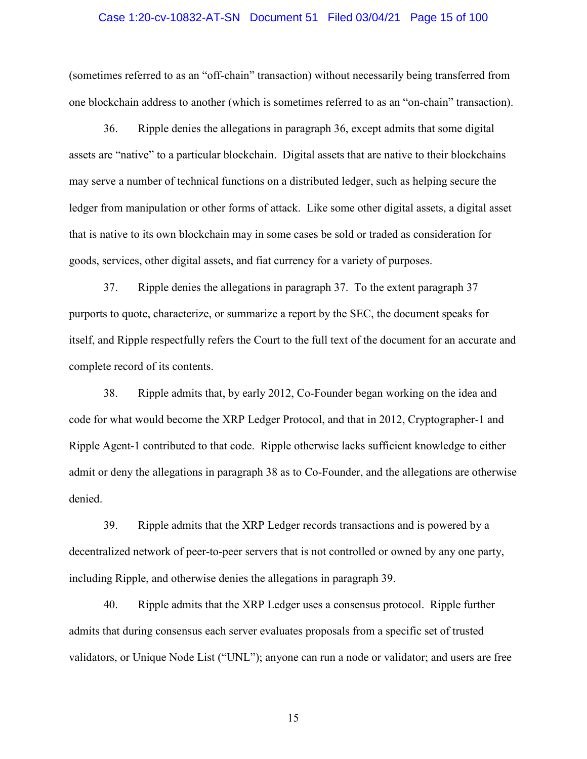# Case 1:20-cv-10832-AT-SN Document 51 Filed 03/04/21 Page 15 of 100

(sometimes referred to as an "off-chain" transaction) without necessarily being transferred from one blockchain address to another (which is sometimes referred to as an "on-chain" transaction).

36. Ripple denies the allegations in paragraph 36, except admits that some digital assets are "native" to a particular blockchain. Digital assets that are native to their blockchains may serve a number of technical functions on a distributed ledger, such as helping secure the ledger from manipulation or other forms of attack. Like some other digital assets, a digital asset that is native to its own blockchain may in some cases be sold or traded as consideration for goods, services, other digital assets, and fiat currency for a variety of purposes.

37. Ripple denies the allegations in paragraph 37. To the extent paragraph 37 purports to quote, characterize, or summarize a report by the SEC, the document speaks for itself, and Ripple respectfully refers the Court to the full text of the document for an accurate and complete record of its contents.

38. Ripple admits that, by early 2012, Co-Founder began working on the idea and code for what would become the XRP Ledger Protocol, and that in 2012, Cryptographer-1 and Ripple Agent-1 contributed to that code. Ripple otherwise lacks sufficient knowledge to either admit or deny the allegations in paragraph 38 as to Co-Founder, and the allegations are otherwise denied.

39. Ripple admits that the XRP Ledger records transactions and is powered by a decentralized network of peer-to-peer servers that is not controlled or owned by any one party, including Ripple, and otherwise denies the allegations in paragraph 39.

40. Ripple admits that the XRP Ledger uses a consensus protocol. Ripple further admits that during consensus each server evaluates proposals from a specific set of trusted validators, or Unique Node List ("UNL"); anyone can run a node or validator; and users are free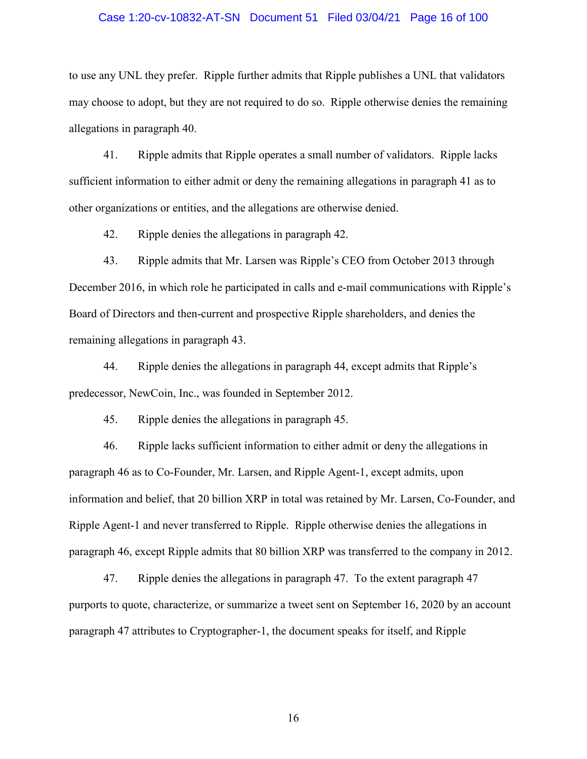# Case 1:20-cv-10832-AT-SN Document 51 Filed 03/04/21 Page 16 of 100

to use any UNL they prefer. Ripple further admits that Ripple publishes a UNL that validators may choose to adopt, but they are not required to do so. Ripple otherwise denies the remaining allegations in paragraph 40.

41. Ripple admits that Ripple operates a small number of validators. Ripple lacks sufficient information to either admit or deny the remaining allegations in paragraph 41 as to other organizations or entities, and the allegations are otherwise denied.

42. Ripple denies the allegations in paragraph 42.

43. Ripple admits that Mr. Larsen was Ripple's CEO from October 2013 through December 2016, in which role he participated in calls and e-mail communications with Ripple's Board of Directors and then-current and prospective Ripple shareholders, and denies the remaining allegations in paragraph 43.

44. Ripple denies the allegations in paragraph 44, except admits that Ripple's predecessor, NewCoin, Inc., was founded in September 2012.

45. Ripple denies the allegations in paragraph 45.

46. Ripple lacks sufficient information to either admit or deny the allegations in paragraph 46 as to Co-Founder, Mr. Larsen, and Ripple Agent-1, except admits, upon information and belief, that 20 billion XRP in total was retained by Mr. Larsen, Co-Founder, and Ripple Agent-1 and never transferred to Ripple. Ripple otherwise denies the allegations in paragraph 46, except Ripple admits that 80 billion XRP was transferred to the company in 2012.

47. Ripple denies the allegations in paragraph 47. To the extent paragraph 47 purports to quote, characterize, or summarize a tweet sent on September 16, 2020 by an account paragraph 47 attributes to Cryptographer-1, the document speaks for itself, and Ripple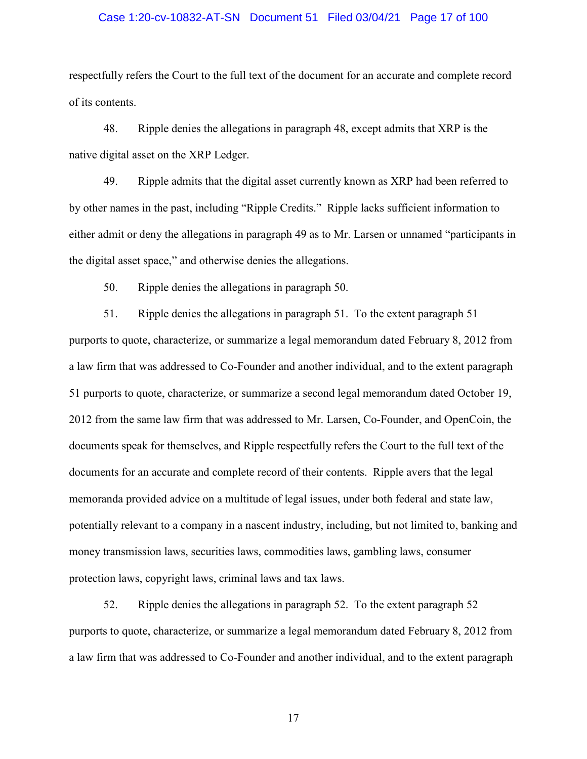# Case 1:20-cv-10832-AT-SN Document 51 Filed 03/04/21 Page 17 of 100

respectfully refers the Court to the full text of the document for an accurate and complete record of its contents.

48. Ripple denies the allegations in paragraph 48, except admits that XRP is the native digital asset on the XRP Ledger.

49. Ripple admits that the digital asset currently known as XRP had been referred to by other names in the past, including "Ripple Credits." Ripple lacks sufficient information to either admit or deny the allegations in paragraph 49 as to Mr. Larsen or unnamed "participants in the digital asset space," and otherwise denies the allegations.

50. Ripple denies the allegations in paragraph 50.

51. Ripple denies the allegations in paragraph 51. To the extent paragraph 51 purports to quote, characterize, or summarize a legal memorandum dated February 8, 2012 from a law firm that was addressed to Co-Founder and another individual, and to the extent paragraph 51 purports to quote, characterize, or summarize a second legal memorandum dated October 19, 2012 from the same law firm that was addressed to Mr. Larsen, Co-Founder, and OpenCoin, the documents speak for themselves, and Ripple respectfully refers the Court to the full text of the documents for an accurate and complete record of their contents. Ripple avers that the legal memoranda provided advice on a multitude of legal issues, under both federal and state law, potentially relevant to a company in a nascent industry, including, but not limited to, banking and money transmission laws, securities laws, commodities laws, gambling laws, consumer protection laws, copyright laws, criminal laws and tax laws.

52. Ripple denies the allegations in paragraph 52. To the extent paragraph 52 purports to quote, characterize, or summarize a legal memorandum dated February 8, 2012 from a law firm that was addressed to Co-Founder and another individual, and to the extent paragraph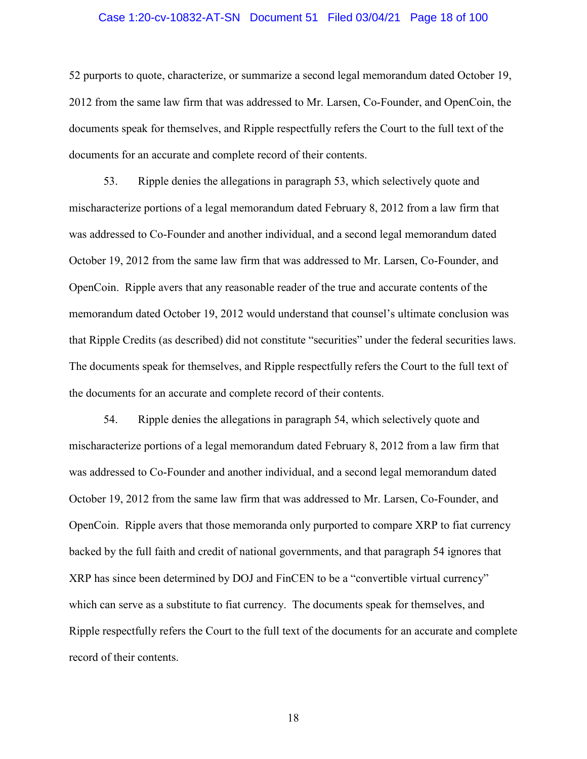# Case 1:20-cv-10832-AT-SN Document 51 Filed 03/04/21 Page 18 of 100

52 purports to quote, characterize, or summarize a second legal memorandum dated October 19, 2012 from the same law firm that was addressed to Mr. Larsen, Co-Founder, and OpenCoin, the documents speak for themselves, and Ripple respectfully refers the Court to the full text of the documents for an accurate and complete record of their contents.

53. Ripple denies the allegations in paragraph 53, which selectively quote and mischaracterize portions of a legal memorandum dated February 8, 2012 from a law firm that was addressed to Co-Founder and another individual, and a second legal memorandum dated October 19, 2012 from the same law firm that was addressed to Mr. Larsen, Co-Founder, and OpenCoin. Ripple avers that any reasonable reader of the true and accurate contents of the memorandum dated October 19, 2012 would understand that counsel's ultimate conclusion was that Ripple Credits (as described) did not constitute "securities" under the federal securities laws. The documents speak for themselves, and Ripple respectfully refers the Court to the full text of the documents for an accurate and complete record of their contents.

54. Ripple denies the allegations in paragraph 54, which selectively quote and mischaracterize portions of a legal memorandum dated February 8, 2012 from a law firm that was addressed to Co-Founder and another individual, and a second legal memorandum dated October 19, 2012 from the same law firm that was addressed to Mr. Larsen, Co-Founder, and OpenCoin. Ripple avers that those memoranda only purported to compare XRP to fiat currency backed by the full faith and credit of national governments, and that paragraph 54 ignores that XRP has since been determined by DOJ and FinCEN to be a "convertible virtual currency" which can serve as a substitute to fiat currency. The documents speak for themselves, and Ripple respectfully refers the Court to the full text of the documents for an accurate and complete record of their contents.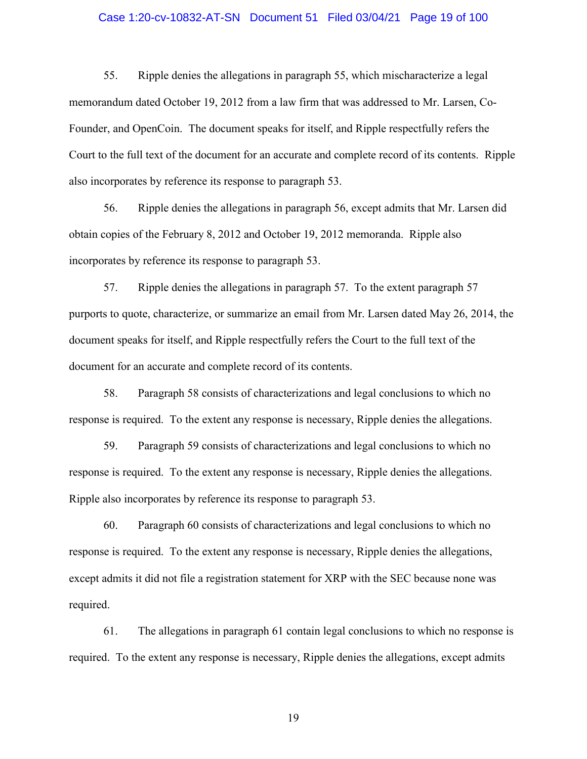# Case 1:20-cv-10832-AT-SN Document 51 Filed 03/04/21 Page 19 of 100

55. Ripple denies the allegations in paragraph 55, which mischaracterize a legal memorandum dated October 19, 2012 from a law firm that was addressed to Mr. Larsen, Co-Founder, and OpenCoin. The document speaks for itself, and Ripple respectfully refers the Court to the full text of the document for an accurate and complete record of its contents. Ripple also incorporates by reference its response to paragraph 53.

56. Ripple denies the allegations in paragraph 56, except admits that Mr. Larsen did obtain copies of the February 8, 2012 and October 19, 2012 memoranda. Ripple also incorporates by reference its response to paragraph 53.

57. Ripple denies the allegations in paragraph 57. To the extent paragraph 57 purports to quote, characterize, or summarize an email from Mr. Larsen dated May 26, 2014, the document speaks for itself, and Ripple respectfully refers the Court to the full text of the document for an accurate and complete record of its contents.

58. Paragraph 58 consists of characterizations and legal conclusions to which no response is required. To the extent any response is necessary, Ripple denies the allegations.

59. Paragraph 59 consists of characterizations and legal conclusions to which no response is required. To the extent any response is necessary, Ripple denies the allegations. Ripple also incorporates by reference its response to paragraph 53.

60. Paragraph 60 consists of characterizations and legal conclusions to which no response is required. To the extent any response is necessary, Ripple denies the allegations, except admits it did not file a registration statement for XRP with the SEC because none was required.

61. The allegations in paragraph 61 contain legal conclusions to which no response is required. To the extent any response is necessary, Ripple denies the allegations, except admits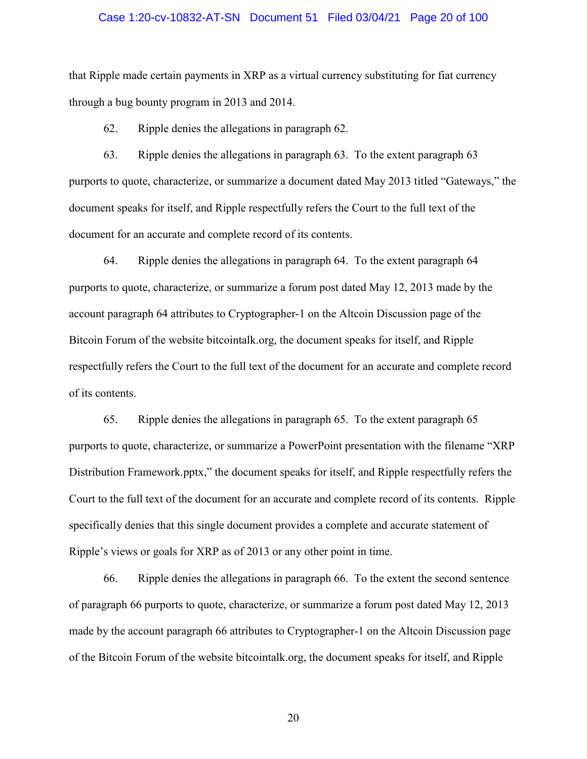# Case 1:20-cv-10832-AT-SN Document 51 Filed 03/04/21 Page 20 of 100

that Ripple made certain payments in XRP as a virtual currency substituting for fiat currency through a bug bounty program in 2013 and 2014.

62. Ripple denies the allegations in paragraph 62.

63. Ripple denies the allegations in paragraph 63. To the extent paragraph 63 purports to quote, characterize, or summarize a document dated May 2013 titled "Gateways," the document speaks for itself, and Ripple respectfully refers the Court to the full text of the document for an accurate and complete record of its contents.

64. Ripple denies the allegations in paragraph 64. To the extent paragraph 64 purports to quote, characterize, or summarize a forum post dated May 12, 2013 made by the account paragraph 64 attributes to Cryptographer-1 on the Altcoin Discussion page of the Bitcoin Forum of the website bitcointalk.org, the document speaks for itself, and Ripple respectfully refers the Court to the full text of the document for an accurate and complete record of its contents.

65. Ripple denies the allegations in paragraph 65. To the extent paragraph 65 purports to quote, characterize, or summarize a PowerPoint presentation with the filename "XRP Distribution Framework.pptx," the document speaks for itself, and Ripple respectfully refers the Court to the full text of the document for an accurate and complete record of its contents. Ripple specifically denies that this single document provides a complete and accurate statement of Ripple's views or goals for XRP as of 2013 or any other point in time.

66. Ripple denies the allegations in paragraph 66. To the extent the second sentence of paragraph 66 purports to quote, characterize, or summarize a forum post dated May 12, 2013 made by the account paragraph 66 attributes to Cryptographer-1 on the Altcoin Discussion page of the Bitcoin Forum of the website bitcointalk.org, the document speaks for itself, and Ripple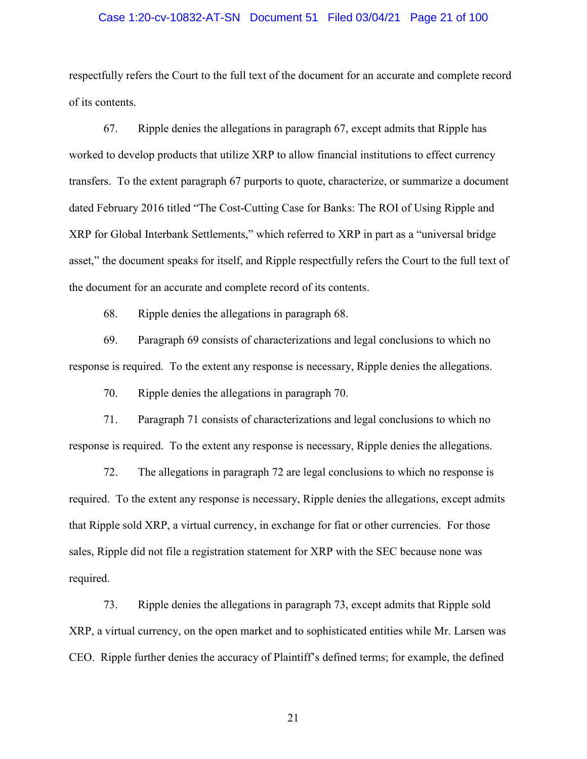# Case 1:20-cv-10832-AT-SN Document 51 Filed 03/04/21 Page 21 of 100

respectfully refers the Court to the full text of the document for an accurate and complete record of its contents.

67. Ripple denies the allegations in paragraph 67, except admits that Ripple has worked to develop products that utilize XRP to allow financial institutions to effect currency transfers. To the extent paragraph 67 purports to quote, characterize, or summarize a document dated February 2016 titled "The Cost-Cutting Case for Banks: The ROI of Using Ripple and XRP for Global Interbank Settlements," which referred to XRP in part as a "universal bridge asset," the document speaks for itself, and Ripple respectfully refers the Court to the full text of the document for an accurate and complete record of its contents.

68. Ripple denies the allegations in paragraph 68.

69. Paragraph 69 consists of characterizations and legal conclusions to which no response is required. To the extent any response is necessary, Ripple denies the allegations.

70. Ripple denies the allegations in paragraph 70.

71. Paragraph 71 consists of characterizations and legal conclusions to which no response is required. To the extent any response is necessary, Ripple denies the allegations.

72. The allegations in paragraph 72 are legal conclusions to which no response is required. To the extent any response is necessary, Ripple denies the allegations, except admits that Ripple sold XRP, a virtual currency, in exchange for fiat or other currencies. For those sales, Ripple did not file a registration statement for XRP with the SEC because none was required.

73. Ripple denies the allegations in paragraph 73, except admits that Ripple sold XRP, a virtual currency, on the open market and to sophisticated entities while Mr. Larsen was CEO. Ripple further denies the accuracy of Plaintiff's defined terms; for example, the defined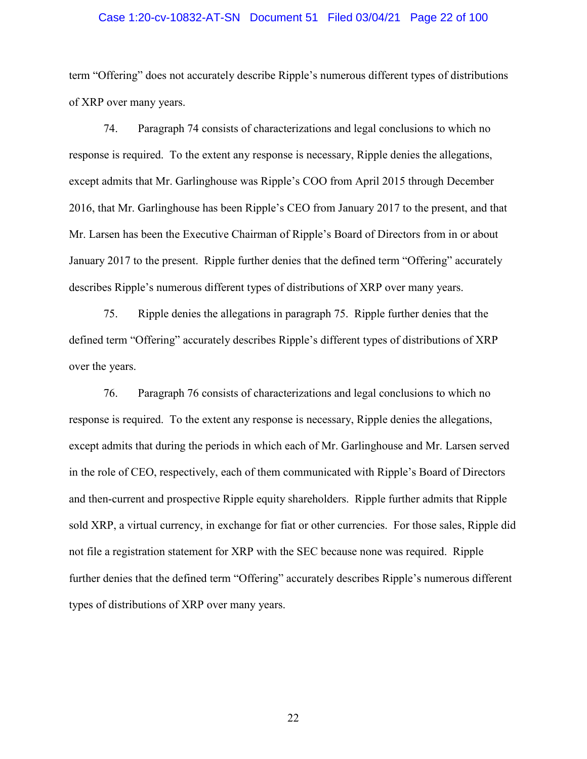# Case 1:20-cv-10832-AT-SN Document 51 Filed 03/04/21 Page 22 of 100

term "Offering" does not accurately describe Ripple's numerous different types of distributions of XRP over many years.

74. Paragraph 74 consists of characterizations and legal conclusions to which no response is required. To the extent any response is necessary, Ripple denies the allegations, except admits that Mr. Garlinghouse was Ripple's COO from April 2015 through December 2016, that Mr. Garlinghouse has been Ripple's CEO from January 2017 to the present, and that Mr. Larsen has been the Executive Chairman of Ripple's Board of Directors from in or about January 2017 to the present. Ripple further denies that the defined term "Offering" accurately describes Ripple's numerous different types of distributions of XRP over many years.

75. Ripple denies the allegations in paragraph 75. Ripple further denies that the defined term "Offering" accurately describes Ripple's different types of distributions of XRP over the years.

76. Paragraph 76 consists of characterizations and legal conclusions to which no response is required. To the extent any response is necessary, Ripple denies the allegations, except admits that during the periods in which each of Mr. Garlinghouse and Mr. Larsen served in the role of CEO, respectively, each of them communicated with Ripple's Board of Directors and then-current and prospective Ripple equity shareholders. Ripple further admits that Ripple sold XRP, a virtual currency, in exchange for fiat or other currencies. For those sales, Ripple did not file a registration statement for XRP with the SEC because none was required. Ripple further denies that the defined term "Offering" accurately describes Ripple's numerous different types of distributions of XRP over many years.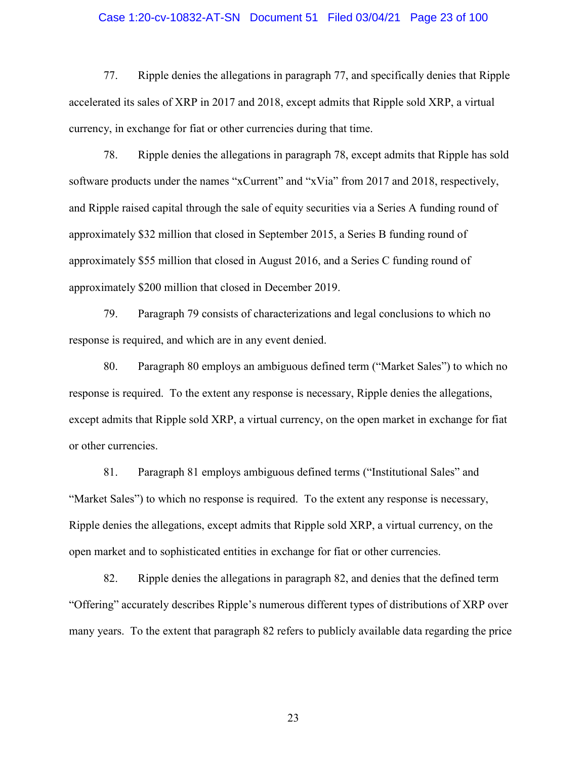# Case 1:20-cv-10832-AT-SN Document 51 Filed 03/04/21 Page 23 of 100

77. Ripple denies the allegations in paragraph 77, and specifically denies that Ripple accelerated its sales of XRP in 2017 and 2018, except admits that Ripple sold XRP, a virtual currency, in exchange for fiat or other currencies during that time.

78. Ripple denies the allegations in paragraph 78, except admits that Ripple has sold software products under the names "xCurrent" and "xVia" from 2017 and 2018, respectively, and Ripple raised capital through the sale of equity securities via a Series A funding round of approximately \$32 million that closed in September 2015, a Series B funding round of approximately \$55 million that closed in August 2016, and a Series C funding round of approximately \$200 million that closed in December 2019.

79. Paragraph 79 consists of characterizations and legal conclusions to which no response is required, and which are in any event denied.

80. Paragraph 80 employs an ambiguous defined term ("Market Sales") to which no response is required. To the extent any response is necessary, Ripple denies the allegations, except admits that Ripple sold XRP, a virtual currency, on the open market in exchange for fiat or other currencies.

81. Paragraph 81 employs ambiguous defined terms ("Institutional Sales" and "Market Sales") to which no response is required. To the extent any response is necessary, Ripple denies the allegations, except admits that Ripple sold XRP, a virtual currency, on the open market and to sophisticated entities in exchange for fiat or other currencies.

82. Ripple denies the allegations in paragraph 82, and denies that the defined term "Offering" accurately describes Ripple's numerous different types of distributions of XRP over many years. To the extent that paragraph 82 refers to publicly available data regarding the price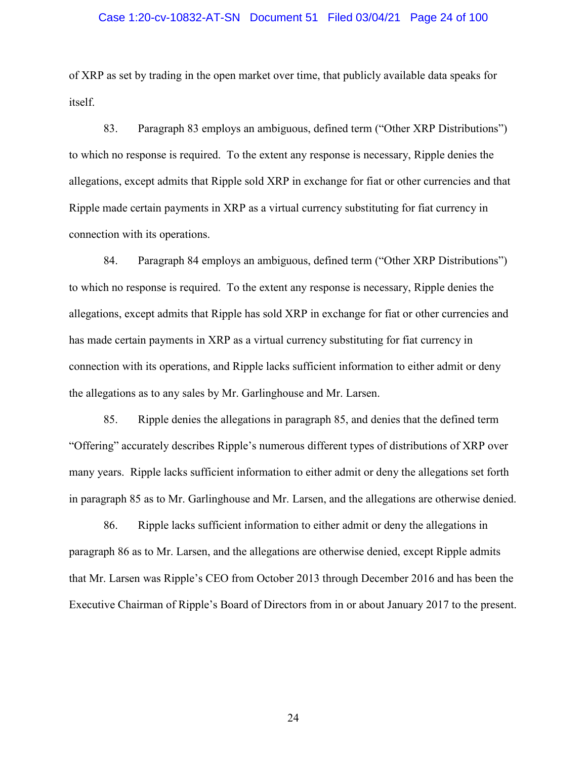# Case 1:20-cv-10832-AT-SN Document 51 Filed 03/04/21 Page 24 of 100

of XRP as set by trading in the open market over time, that publicly available data speaks for itself.

83. Paragraph 83 employs an ambiguous, defined term ("Other XRP Distributions") to which no response is required. To the extent any response is necessary, Ripple denies the allegations, except admits that Ripple sold XRP in exchange for fiat or other currencies and that Ripple made certain payments in XRP as a virtual currency substituting for fiat currency in connection with its operations.

84. Paragraph 84 employs an ambiguous, defined term ("Other XRP Distributions") to which no response is required. To the extent any response is necessary, Ripple denies the allegations, except admits that Ripple has sold XRP in exchange for fiat or other currencies and has made certain payments in XRP as a virtual currency substituting for fiat currency in connection with its operations, and Ripple lacks sufficient information to either admit or deny the allegations as to any sales by Mr. Garlinghouse and Mr. Larsen.

85. Ripple denies the allegations in paragraph 85, and denies that the defined term "Offering" accurately describes Ripple's numerous different types of distributions of XRP over many years. Ripple lacks sufficient information to either admit or deny the allegations set forth in paragraph 85 as to Mr. Garlinghouse and Mr. Larsen, and the allegations are otherwise denied.

86. Ripple lacks sufficient information to either admit or deny the allegations in paragraph 86 as to Mr. Larsen, and the allegations are otherwise denied, except Ripple admits that Mr. Larsen was Ripple's CEO from October 2013 through December 2016 and has been the Executive Chairman of Ripple's Board of Directors from in or about January 2017 to the present.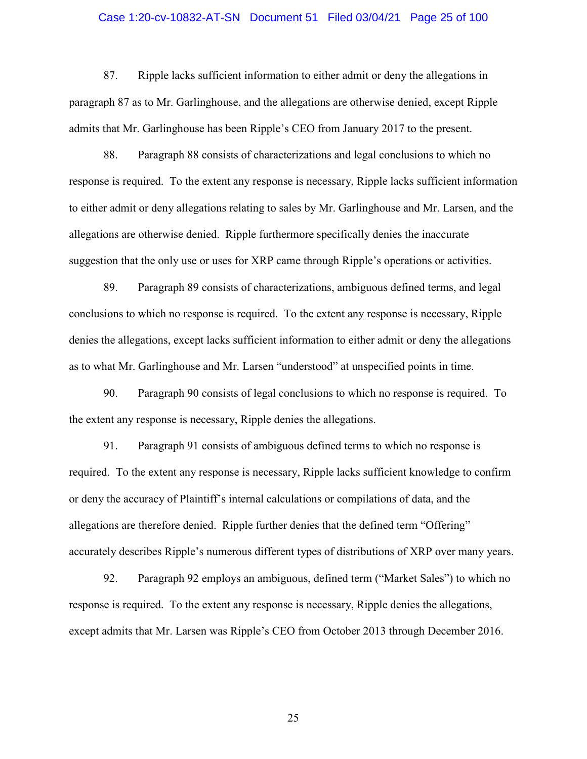# Case 1:20-cv-10832-AT-SN Document 51 Filed 03/04/21 Page 25 of 100

87. Ripple lacks sufficient information to either admit or deny the allegations in paragraph 87 as to Mr. Garlinghouse, and the allegations are otherwise denied, except Ripple admits that Mr. Garlinghouse has been Ripple's CEO from January 2017 to the present.

88. Paragraph 88 consists of characterizations and legal conclusions to which no response is required. To the extent any response is necessary, Ripple lacks sufficient information to either admit or deny allegations relating to sales by Mr. Garlinghouse and Mr. Larsen, and the allegations are otherwise denied. Ripple furthermore specifically denies the inaccurate suggestion that the only use or uses for XRP came through Ripple's operations or activities.

89. Paragraph 89 consists of characterizations, ambiguous defined terms, and legal conclusions to which no response is required. To the extent any response is necessary, Ripple denies the allegations, except lacks sufficient information to either admit or deny the allegations as to what Mr. Garlinghouse and Mr. Larsen "understood" at unspecified points in time.

90. Paragraph 90 consists of legal conclusions to which no response is required. To the extent any response is necessary, Ripple denies the allegations.

91. Paragraph 91 consists of ambiguous defined terms to which no response is required. To the extent any response is necessary, Ripple lacks sufficient knowledge to confirm or deny the accuracy of Plaintiff's internal calculations or compilations of data, and the allegations are therefore denied. Ripple further denies that the defined term "Offering" accurately describes Ripple's numerous different types of distributions of XRP over many years.

92. Paragraph 92 employs an ambiguous, defined term ("Market Sales") to which no response is required. To the extent any response is necessary, Ripple denies the allegations, except admits that Mr. Larsen was Ripple's CEO from October 2013 through December 2016.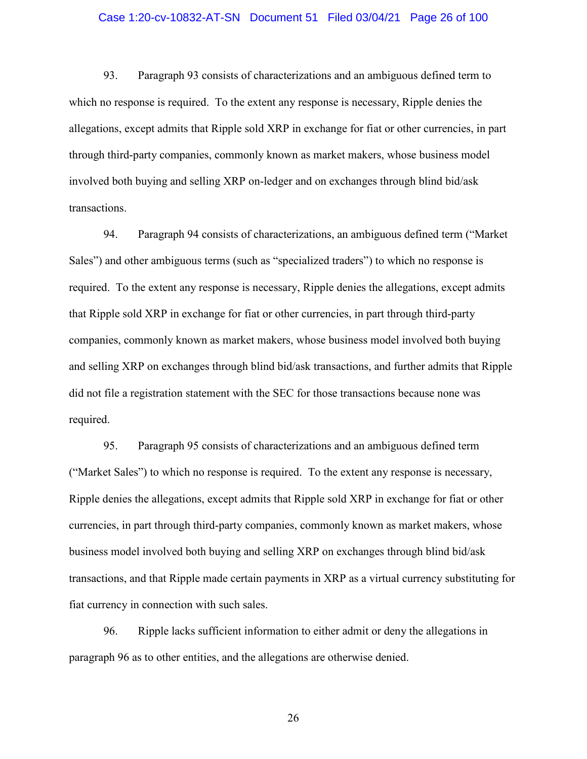# Case 1:20-cv-10832-AT-SN Document 51 Filed 03/04/21 Page 26 of 100

93. Paragraph 93 consists of characterizations and an ambiguous defined term to which no response is required. To the extent any response is necessary, Ripple denies the allegations, except admits that Ripple sold XRP in exchange for fiat or other currencies, in part through third-party companies, commonly known as market makers, whose business model involved both buying and selling XRP on-ledger and on exchanges through blind bid/ask transactions.

94. Paragraph 94 consists of characterizations, an ambiguous defined term ("Market Sales") and other ambiguous terms (such as "specialized traders") to which no response is required. To the extent any response is necessary, Ripple denies the allegations, except admits that Ripple sold XRP in exchange for fiat or other currencies, in part through third-party companies, commonly known as market makers, whose business model involved both buying and selling XRP on exchanges through blind bid/ask transactions, and further admits that Ripple did not file a registration statement with the SEC for those transactions because none was required.

95. Paragraph 95 consists of characterizations and an ambiguous defined term ("Market Sales") to which no response is required. To the extent any response is necessary, Ripple denies the allegations, except admits that Ripple sold XRP in exchange for fiat or other currencies, in part through third-party companies, commonly known as market makers, whose business model involved both buying and selling XRP on exchanges through blind bid/ask transactions, and that Ripple made certain payments in XRP as a virtual currency substituting for fiat currency in connection with such sales.

96. Ripple lacks sufficient information to either admit or deny the allegations in paragraph 96 as to other entities, and the allegations are otherwise denied.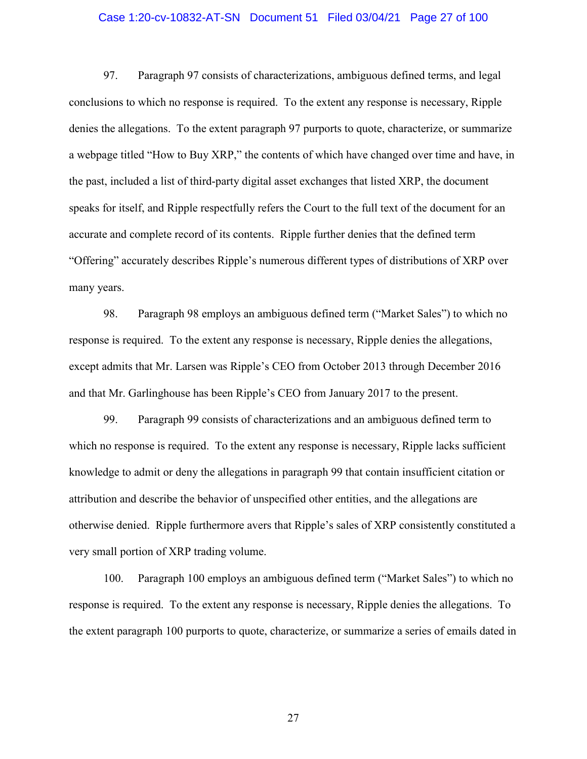# Case 1:20-cv-10832-AT-SN Document 51 Filed 03/04/21 Page 27 of 100

97. Paragraph 97 consists of characterizations, ambiguous defined terms, and legal conclusions to which no response is required. To the extent any response is necessary, Ripple denies the allegations. To the extent paragraph 97 purports to quote, characterize, or summarize a webpage titled "How to Buy XRP," the contents of which have changed over time and have, in the past, included a list of third-party digital asset exchanges that listed XRP, the document speaks for itself, and Ripple respectfully refers the Court to the full text of the document for an accurate and complete record of its contents. Ripple further denies that the defined term "Offering" accurately describes Ripple's numerous different types of distributions of XRP over many years.

98. Paragraph 98 employs an ambiguous defined term ("Market Sales") to which no response is required. To the extent any response is necessary, Ripple denies the allegations, except admits that Mr. Larsen was Ripple's CEO from October 2013 through December 2016 and that Mr. Garlinghouse has been Ripple's CEO from January 2017 to the present.

99. Paragraph 99 consists of characterizations and an ambiguous defined term to which no response is required. To the extent any response is necessary, Ripple lacks sufficient knowledge to admit or deny the allegations in paragraph 99 that contain insufficient citation or attribution and describe the behavior of unspecified other entities, and the allegations are otherwise denied. Ripple furthermore avers that Ripple's sales of XRP consistently constituted a very small portion of XRP trading volume.

100. Paragraph 100 employs an ambiguous defined term ("Market Sales") to which no response is required. To the extent any response is necessary, Ripple denies the allegations. To the extent paragraph 100 purports to quote, characterize, or summarize a series of emails dated in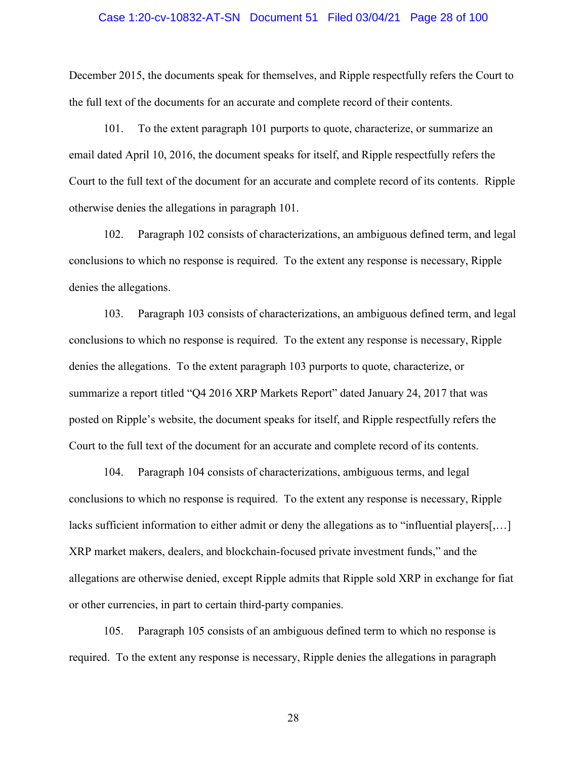# Case 1:20-cv-10832-AT-SN Document 51 Filed 03/04/21 Page 28 of 100

December 2015, the documents speak for themselves, and Ripple respectfully refers the Court to the full text of the documents for an accurate and complete record of their contents.

101. To the extent paragraph 101 purports to quote, characterize, or summarize an email dated April 10, 2016, the document speaks for itself, and Ripple respectfully refers the Court to the full text of the document for an accurate and complete record of its contents. Ripple otherwise denies the allegations in paragraph 101.

102. Paragraph 102 consists of characterizations, an ambiguous defined term, and legal conclusions to which no response is required. To the extent any response is necessary, Ripple denies the allegations.

103. Paragraph 103 consists of characterizations, an ambiguous defined term, and legal conclusions to which no response is required. To the extent any response is necessary, Ripple denies the allegations. To the extent paragraph 103 purports to quote, characterize, or summarize a report titled "Q4 2016 XRP Markets Report" dated January 24, 2017 that was posted on Ripple's website, the document speaks for itself, and Ripple respectfully refers the Court to the full text of the document for an accurate and complete record of its contents.

104. Paragraph 104 consists of characterizations, ambiguous terms, and legal conclusions to which no response is required. To the extent any response is necessary, Ripple lacks sufficient information to either admit or deny the allegations as to "influential players[,...] XRP market makers, dealers, and blockchain-focused private investment funds," and the allegations are otherwise denied, except Ripple admits that Ripple sold XRP in exchange for fiat or other currencies, in part to certain third-party companies.

105. Paragraph 105 consists of an ambiguous defined term to which no response is required. To the extent any response is necessary, Ripple denies the allegations in paragraph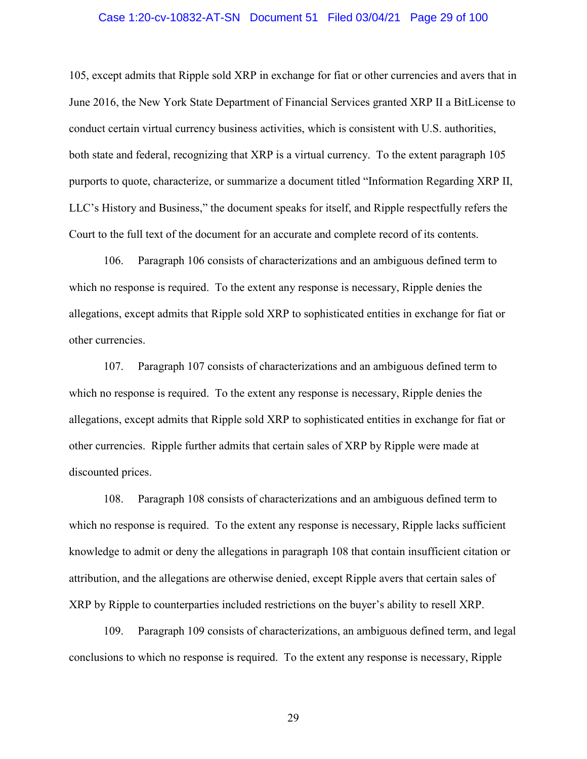# Case 1:20-cv-10832-AT-SN Document 51 Filed 03/04/21 Page 29 of 100

105, except admits that Ripple sold XRP in exchange for fiat or other currencies and avers that in June 2016, the New York State Department of Financial Services granted XRP II a BitLicense to conduct certain virtual currency business activities, which is consistent with U.S. authorities, both state and federal, recognizing that XRP is a virtual currency. To the extent paragraph 105 purports to quote, characterize, or summarize a document titled "Information Regarding XRP II, LLC's History and Business," the document speaks for itself, and Ripple respectfully refers the Court to the full text of the document for an accurate and complete record of its contents.

106. Paragraph 106 consists of characterizations and an ambiguous defined term to which no response is required. To the extent any response is necessary, Ripple denies the allegations, except admits that Ripple sold XRP to sophisticated entities in exchange for fiat or other currencies.

107. Paragraph 107 consists of characterizations and an ambiguous defined term to which no response is required. To the extent any response is necessary, Ripple denies the allegations, except admits that Ripple sold XRP to sophisticated entities in exchange for fiat or other currencies. Ripple further admits that certain sales of XRP by Ripple were made at discounted prices.

108. Paragraph 108 consists of characterizations and an ambiguous defined term to which no response is required. To the extent any response is necessary, Ripple lacks sufficient knowledge to admit or deny the allegations in paragraph 108 that contain insufficient citation or attribution, and the allegations are otherwise denied, except Ripple avers that certain sales of XRP by Ripple to counterparties included restrictions on the buyer's ability to resell XRP.

109. Paragraph 109 consists of characterizations, an ambiguous defined term, and legal conclusions to which no response is required. To the extent any response is necessary, Ripple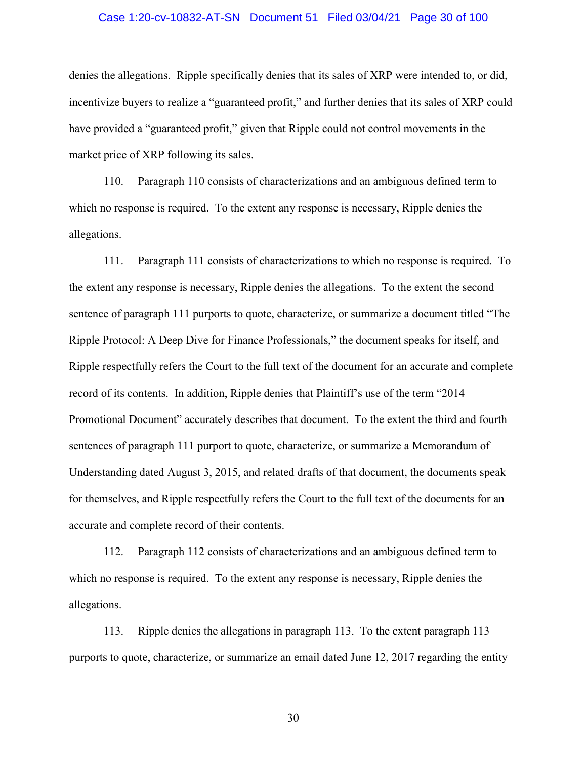# Case 1:20-cv-10832-AT-SN Document 51 Filed 03/04/21 Page 30 of 100

denies the allegations. Ripple specifically denies that its sales of XRP were intended to, or did, incentivize buyers to realize a "guaranteed profit," and further denies that its sales of XRP could have provided a "guaranteed profit," given that Ripple could not control movements in the market price of XRP following its sales.

110. Paragraph 110 consists of characterizations and an ambiguous defined term to which no response is required. To the extent any response is necessary, Ripple denies the allegations.

111. Paragraph 111 consists of characterizations to which no response is required. To the extent any response is necessary, Ripple denies the allegations. To the extent the second sentence of paragraph 111 purports to quote, characterize, or summarize a document titled "The Ripple Protocol: A Deep Dive for Finance Professionals," the document speaks for itself, and Ripple respectfully refers the Court to the full text of the document for an accurate and complete record of its contents. In addition, Ripple denies that Plaintiff's use of the term "2014 Promotional Document" accurately describes that document. To the extent the third and fourth sentences of paragraph 111 purport to quote, characterize, or summarize a Memorandum of Understanding dated August 3, 2015, and related drafts of that document, the documents speak for themselves, and Ripple respectfully refers the Court to the full text of the documents for an accurate and complete record of their contents.

112. Paragraph 112 consists of characterizations and an ambiguous defined term to which no response is required. To the extent any response is necessary, Ripple denies the allegations.

113. Ripple denies the allegations in paragraph 113. To the extent paragraph 113 purports to quote, characterize, or summarize an email dated June 12, 2017 regarding the entity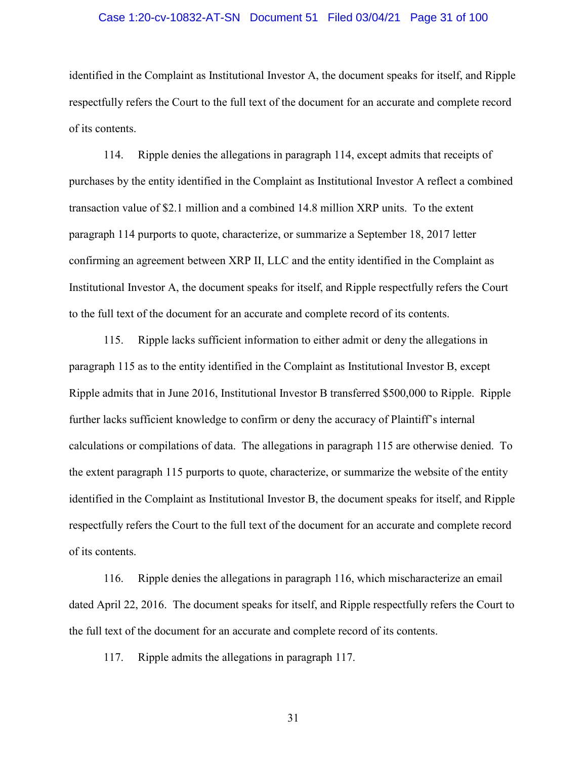# Case 1:20-cv-10832-AT-SN Document 51 Filed 03/04/21 Page 31 of 100

identified in the Complaint as Institutional Investor A, the document speaks for itself, and Ripple respectfully refers the Court to the full text of the document for an accurate and complete record of its contents.

114. Ripple denies the allegations in paragraph 114, except admits that receipts of purchases by the entity identified in the Complaint as Institutional Investor A reflect a combined transaction value of \$2.1 million and a combined 14.8 million XRP units. To the extent paragraph 114 purports to quote, characterize, or summarize a September 18, 2017 letter confirming an agreement between XRP II, LLC and the entity identified in the Complaint as Institutional Investor A, the document speaks for itself, and Ripple respectfully refers the Court to the full text of the document for an accurate and complete record of its contents.

115. Ripple lacks sufficient information to either admit or deny the allegations in paragraph 115 as to the entity identified in the Complaint as Institutional Investor B, except Ripple admits that in June 2016, Institutional Investor B transferred \$500,000 to Ripple. Ripple further lacks sufficient knowledge to confirm or deny the accuracy of Plaintiff's internal calculations or compilations of data. The allegations in paragraph 115 are otherwise denied. To the extent paragraph 115 purports to quote, characterize, or summarize the website of the entity identified in the Complaint as Institutional Investor B, the document speaks for itself, and Ripple respectfully refers the Court to the full text of the document for an accurate and complete record of its contents.

116. Ripple denies the allegations in paragraph 116, which mischaracterize an email dated April 22, 2016. The document speaks for itself, and Ripple respectfully refers the Court to the full text of the document for an accurate and complete record of its contents.

117. Ripple admits the allegations in paragraph 117.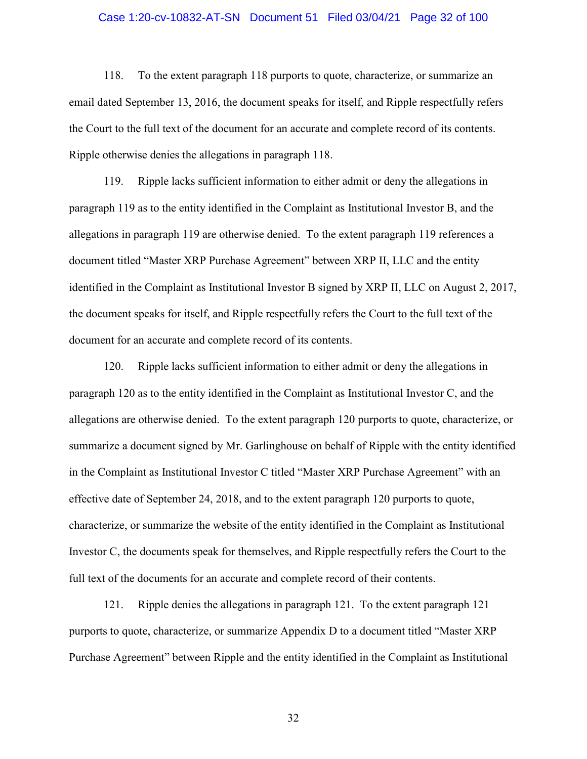# Case 1:20-cv-10832-AT-SN Document 51 Filed 03/04/21 Page 32 of 100

118. To the extent paragraph 118 purports to quote, characterize, or summarize an email dated September 13, 2016, the document speaks for itself, and Ripple respectfully refers the Court to the full text of the document for an accurate and complete record of its contents. Ripple otherwise denies the allegations in paragraph 118.

119. Ripple lacks sufficient information to either admit or deny the allegations in paragraph 119 as to the entity identified in the Complaint as Institutional Investor B, and the allegations in paragraph 119 are otherwise denied. To the extent paragraph 119 references a document titled "Master XRP Purchase Agreement" between XRP II, LLC and the entity identified in the Complaint as Institutional Investor B signed by XRP II, LLC on August 2, 2017, the document speaks for itself, and Ripple respectfully refers the Court to the full text of the document for an accurate and complete record of its contents.

120. Ripple lacks sufficient information to either admit or deny the allegations in paragraph 120 as to the entity identified in the Complaint as Institutional Investor C, and the allegations are otherwise denied. To the extent paragraph 120 purports to quote, characterize, or summarize a document signed by Mr. Garlinghouse on behalf of Ripple with the entity identified in the Complaint as Institutional Investor C titled "Master XRP Purchase Agreement" with an effective date of September 24, 2018, and to the extent paragraph 120 purports to quote, characterize, or summarize the website of the entity identified in the Complaint as Institutional Investor C, the documents speak for themselves, and Ripple respectfully refers the Court to the full text of the documents for an accurate and complete record of their contents.

121. Ripple denies the allegations in paragraph 121. To the extent paragraph 121 purports to quote, characterize, or summarize Appendix D to a document titled "Master XRP Purchase Agreement" between Ripple and the entity identified in the Complaint as Institutional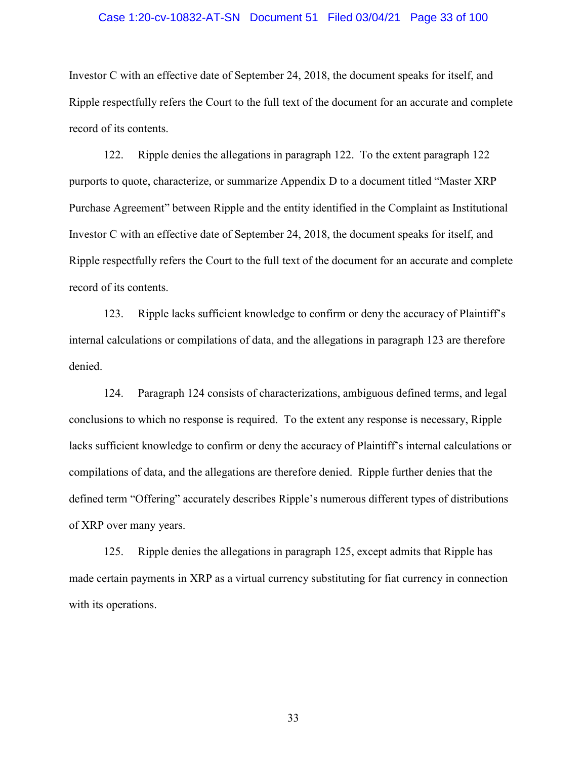# Case 1:20-cv-10832-AT-SN Document 51 Filed 03/04/21 Page 33 of 100

Investor C with an effective date of September 24, 2018, the document speaks for itself, and Ripple respectfully refers the Court to the full text of the document for an accurate and complete record of its contents.

122. Ripple denies the allegations in paragraph 122. To the extent paragraph 122 purports to quote, characterize, or summarize Appendix D to a document titled "Master XRP Purchase Agreement" between Ripple and the entity identified in the Complaint as Institutional Investor C with an effective date of September 24, 2018, the document speaks for itself, and Ripple respectfully refers the Court to the full text of the document for an accurate and complete record of its contents.

123. Ripple lacks sufficient knowledge to confirm or deny the accuracy of Plaintiff's internal calculations or compilations of data, and the allegations in paragraph 123 are therefore denied.

124. Paragraph 124 consists of characterizations, ambiguous defined terms, and legal conclusions to which no response is required. To the extent any response is necessary, Ripple lacks sufficient knowledge to confirm or deny the accuracy of Plaintiff's internal calculations or compilations of data, and the allegations are therefore denied. Ripple further denies that the defined term "Offering" accurately describes Ripple's numerous different types of distributions of XRP over many years.

125. Ripple denies the allegations in paragraph 125, except admits that Ripple has made certain payments in XRP as a virtual currency substituting for fiat currency in connection with its operations.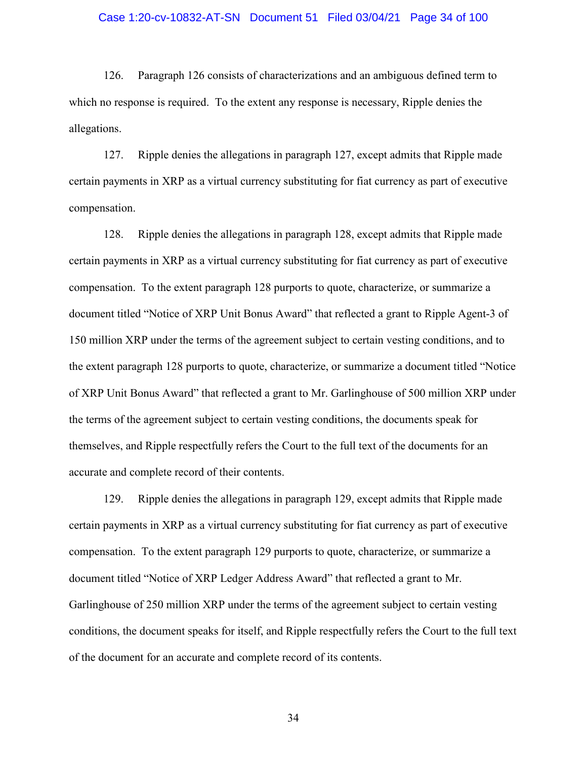# Case 1:20-cv-10832-AT-SN Document 51 Filed 03/04/21 Page 34 of 100

126. Paragraph 126 consists of characterizations and an ambiguous defined term to which no response is required. To the extent any response is necessary, Ripple denies the allegations.

127. Ripple denies the allegations in paragraph 127, except admits that Ripple made certain payments in XRP as a virtual currency substituting for fiat currency as part of executive compensation.

128. Ripple denies the allegations in paragraph 128, except admits that Ripple made certain payments in XRP as a virtual currency substituting for fiat currency as part of executive compensation. To the extent paragraph 128 purports to quote, characterize, or summarize a document titled "Notice of XRP Unit Bonus Award" that reflected a grant to Ripple Agent-3 of 150 million XRP under the terms of the agreement subject to certain vesting conditions, and to the extent paragraph 128 purports to quote, characterize, or summarize a document titled "Notice of XRP Unit Bonus Award" that reflected a grant to Mr. Garlinghouse of 500 million XRP under the terms of the agreement subject to certain vesting conditions, the documents speak for themselves, and Ripple respectfully refers the Court to the full text of the documents for an accurate and complete record of their contents.

129. Ripple denies the allegations in paragraph 129, except admits that Ripple made certain payments in XRP as a virtual currency substituting for fiat currency as part of executive compensation. To the extent paragraph 129 purports to quote, characterize, or summarize a document titled "Notice of XRP Ledger Address Award" that reflected a grant to Mr. Garlinghouse of 250 million XRP under the terms of the agreement subject to certain vesting conditions, the document speaks for itself, and Ripple respectfully refers the Court to the full text of the document for an accurate and complete record of its contents.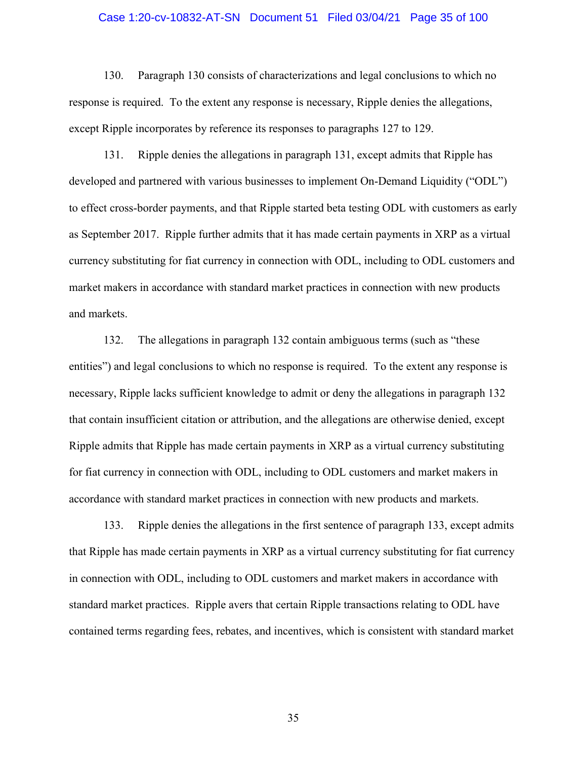# Case 1:20-cv-10832-AT-SN Document 51 Filed 03/04/21 Page 35 of 100

130. Paragraph 130 consists of characterizations and legal conclusions to which no response is required. To the extent any response is necessary, Ripple denies the allegations, except Ripple incorporates by reference its responses to paragraphs 127 to 129.

131. Ripple denies the allegations in paragraph 131, except admits that Ripple has developed and partnered with various businesses to implement On-Demand Liquidity ("ODL") to effect cross-border payments, and that Ripple started beta testing ODL with customers as early as September 2017. Ripple further admits that it has made certain payments in XRP as a virtual currency substituting for fiat currency in connection with ODL, including to ODL customers and market makers in accordance with standard market practices in connection with new products and markets.

132. The allegations in paragraph 132 contain ambiguous terms (such as "these entities") and legal conclusions to which no response is required. To the extent any response is necessary, Ripple lacks sufficient knowledge to admit or deny the allegations in paragraph 132 that contain insufficient citation or attribution, and the allegations are otherwise denied, except Ripple admits that Ripple has made certain payments in XRP as a virtual currency substituting for fiat currency in connection with ODL, including to ODL customers and market makers in accordance with standard market practices in connection with new products and markets.

133. Ripple denies the allegations in the first sentence of paragraph 133, except admits that Ripple has made certain payments in XRP as a virtual currency substituting for fiat currency in connection with ODL, including to ODL customers and market makers in accordance with standard market practices. Ripple avers that certain Ripple transactions relating to ODL have contained terms regarding fees, rebates, and incentives, which is consistent with standard market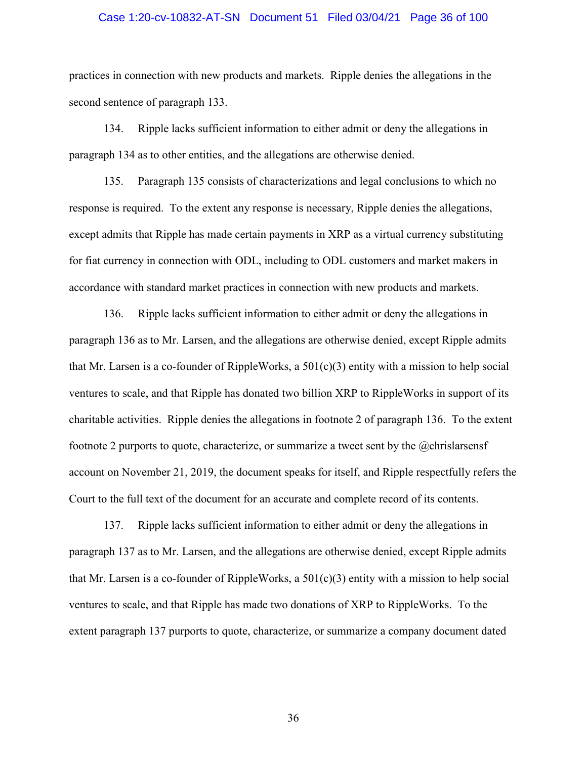# Case 1:20-cv-10832-AT-SN Document 51 Filed 03/04/21 Page 36 of 100

practices in connection with new products and markets. Ripple denies the allegations in the second sentence of paragraph 133.

134. Ripple lacks sufficient information to either admit or deny the allegations in paragraph 134 as to other entities, and the allegations are otherwise denied.

135. Paragraph 135 consists of characterizations and legal conclusions to which no response is required. To the extent any response is necessary, Ripple denies the allegations, except admits that Ripple has made certain payments in XRP as a virtual currency substituting for fiat currency in connection with ODL, including to ODL customers and market makers in accordance with standard market practices in connection with new products and markets.

136. Ripple lacks sufficient information to either admit or deny the allegations in paragraph 136 as to Mr. Larsen, and the allegations are otherwise denied, except Ripple admits that Mr. Larsen is a co-founder of RippleWorks, a  $501(c)(3)$  entity with a mission to help social ventures to scale, and that Ripple has donated two billion XRP to RippleWorks in support of its charitable activities. Ripple denies the allegations in footnote 2 of paragraph 136. To the extent footnote 2 purports to quote, characterize, or summarize a tweet sent by the @chrislarsensf account on November 21, 2019, the document speaks for itself, and Ripple respectfully refers the Court to the full text of the document for an accurate and complete record of its contents.

137. Ripple lacks sufficient information to either admit or deny the allegations in paragraph 137 as to Mr. Larsen, and the allegations are otherwise denied, except Ripple admits that Mr. Larsen is a co-founder of RippleWorks, a  $501(c)(3)$  entity with a mission to help social ventures to scale, and that Ripple has made two donations of XRP to RippleWorks. To the extent paragraph 137 purports to quote, characterize, or summarize a company document dated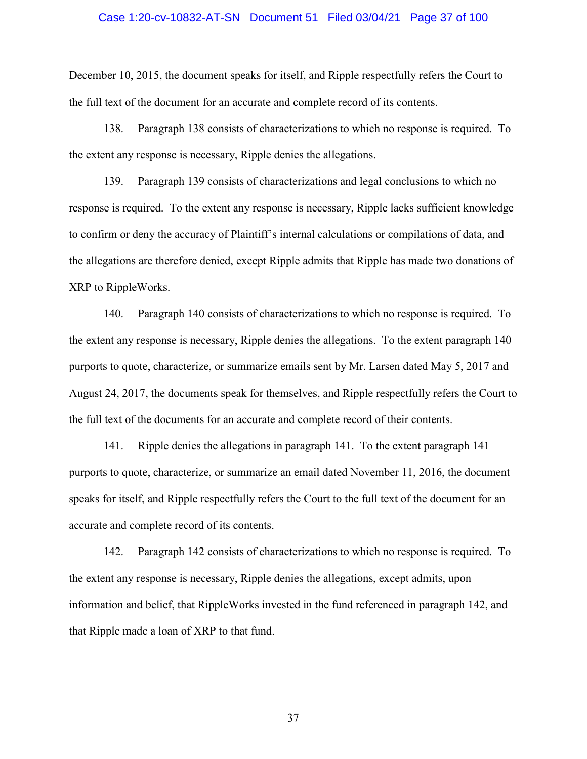# Case 1:20-cv-10832-AT-SN Document 51 Filed 03/04/21 Page 37 of 100

December 10, 2015, the document speaks for itself, and Ripple respectfully refers the Court to the full text of the document for an accurate and complete record of its contents.

138. Paragraph 138 consists of characterizations to which no response is required. To the extent any response is necessary, Ripple denies the allegations.

139. Paragraph 139 consists of characterizations and legal conclusions to which no response is required. To the extent any response is necessary, Ripple lacks sufficient knowledge to confirm or deny the accuracy of Plaintiff's internal calculations or compilations of data, and the allegations are therefore denied, except Ripple admits that Ripple has made two donations of XRP to RippleWorks.

140. Paragraph 140 consists of characterizations to which no response is required. To the extent any response is necessary, Ripple denies the allegations. To the extent paragraph 140 purports to quote, characterize, or summarize emails sent by Mr. Larsen dated May 5, 2017 and August 24, 2017, the documents speak for themselves, and Ripple respectfully refers the Court to the full text of the documents for an accurate and complete record of their contents.

141. Ripple denies the allegations in paragraph 141. To the extent paragraph 141 purports to quote, characterize, or summarize an email dated November 11, 2016, the document speaks for itself, and Ripple respectfully refers the Court to the full text of the document for an accurate and complete record of its contents.

142. Paragraph 142 consists of characterizations to which no response is required. To the extent any response is necessary, Ripple denies the allegations, except admits, upon information and belief, that RippleWorks invested in the fund referenced in paragraph 142, and that Ripple made a loan of XRP to that fund.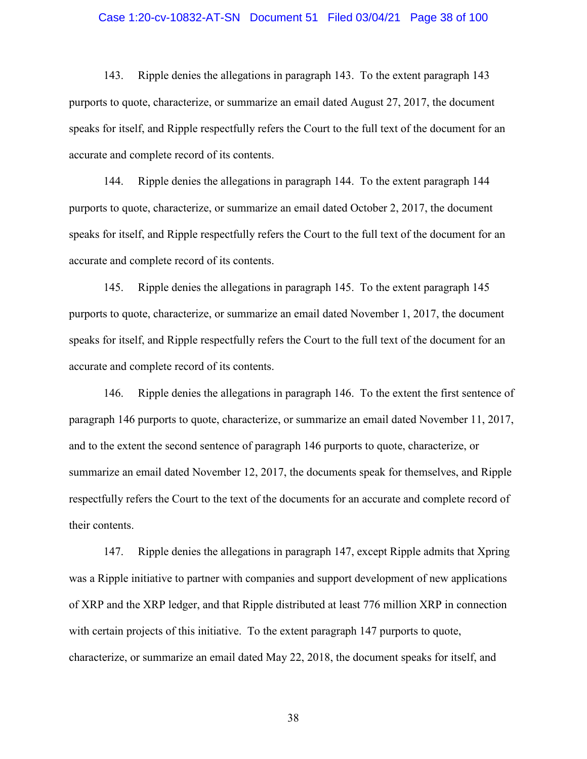# Case 1:20-cv-10832-AT-SN Document 51 Filed 03/04/21 Page 38 of 100

143. Ripple denies the allegations in paragraph 143. To the extent paragraph 143 purports to quote, characterize, or summarize an email dated August 27, 2017, the document speaks for itself, and Ripple respectfully refers the Court to the full text of the document for an accurate and complete record of its contents.

144. Ripple denies the allegations in paragraph 144. To the extent paragraph 144 purports to quote, characterize, or summarize an email dated October 2, 2017, the document speaks for itself, and Ripple respectfully refers the Court to the full text of the document for an accurate and complete record of its contents.

145. Ripple denies the allegations in paragraph 145. To the extent paragraph 145 purports to quote, characterize, or summarize an email dated November 1, 2017, the document speaks for itself, and Ripple respectfully refers the Court to the full text of the document for an accurate and complete record of its contents.

146. Ripple denies the allegations in paragraph 146. To the extent the first sentence of paragraph 146 purports to quote, characterize, or summarize an email dated November 11, 2017, and to the extent the second sentence of paragraph 146 purports to quote, characterize, or summarize an email dated November 12, 2017, the documents speak for themselves, and Ripple respectfully refers the Court to the text of the documents for an accurate and complete record of their contents.

147. Ripple denies the allegations in paragraph 147, except Ripple admits that Xpring was a Ripple initiative to partner with companies and support development of new applications of XRP and the XRP ledger, and that Ripple distributed at least 776 million XRP in connection with certain projects of this initiative. To the extent paragraph 147 purports to quote, characterize, or summarize an email dated May 22, 2018, the document speaks for itself, and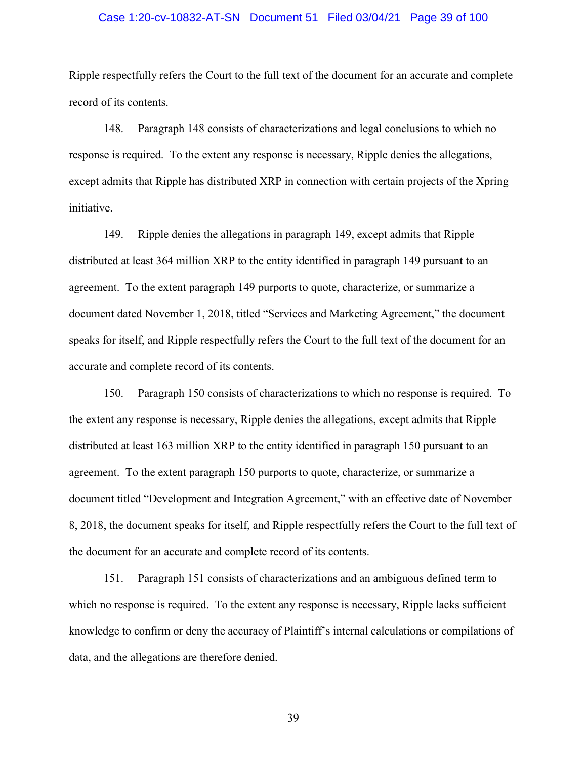# Case 1:20-cv-10832-AT-SN Document 51 Filed 03/04/21 Page 39 of 100

Ripple respectfully refers the Court to the full text of the document for an accurate and complete record of its contents.

148. Paragraph 148 consists of characterizations and legal conclusions to which no response is required. To the extent any response is necessary, Ripple denies the allegations, except admits that Ripple has distributed XRP in connection with certain projects of the Xpring initiative.

149. Ripple denies the allegations in paragraph 149, except admits that Ripple distributed at least 364 million XRP to the entity identified in paragraph 149 pursuant to an agreement. To the extent paragraph 149 purports to quote, characterize, or summarize a document dated November 1, 2018, titled "Services and Marketing Agreement," the document speaks for itself, and Ripple respectfully refers the Court to the full text of the document for an accurate and complete record of its contents.

150. Paragraph 150 consists of characterizations to which no response is required. To the extent any response is necessary, Ripple denies the allegations, except admits that Ripple distributed at least 163 million XRP to the entity identified in paragraph 150 pursuant to an agreement. To the extent paragraph 150 purports to quote, characterize, or summarize a document titled "Development and Integration Agreement," with an effective date of November 8, 2018, the document speaks for itself, and Ripple respectfully refers the Court to the full text of the document for an accurate and complete record of its contents.

151. Paragraph 151 consists of characterizations and an ambiguous defined term to which no response is required. To the extent any response is necessary, Ripple lacks sufficient knowledge to confirm or deny the accuracy of Plaintiff's internal calculations or compilations of data, and the allegations are therefore denied.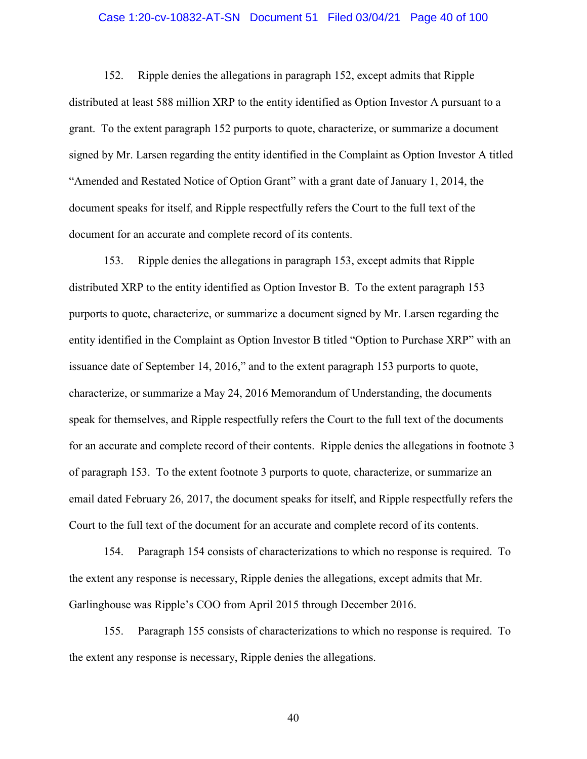# Case 1:20-cv-10832-AT-SN Document 51 Filed 03/04/21 Page 40 of 100

152. Ripple denies the allegations in paragraph 152, except admits that Ripple distributed at least 588 million XRP to the entity identified as Option Investor A pursuant to a grant. To the extent paragraph 152 purports to quote, characterize, or summarize a document signed by Mr. Larsen regarding the entity identified in the Complaint as Option Investor A titled "Amended and Restated Notice of Option Grant" with a grant date of January 1, 2014, the document speaks for itself, and Ripple respectfully refers the Court to the full text of the document for an accurate and complete record of its contents.

153. Ripple denies the allegations in paragraph 153, except admits that Ripple distributed XRP to the entity identified as Option Investor B. To the extent paragraph 153 purports to quote, characterize, or summarize a document signed by Mr. Larsen regarding the entity identified in the Complaint as Option Investor B titled "Option to Purchase XRP" with an issuance date of September 14, 2016," and to the extent paragraph 153 purports to quote, characterize, or summarize a May 24, 2016 Memorandum of Understanding, the documents speak for themselves, and Ripple respectfully refers the Court to the full text of the documents for an accurate and complete record of their contents. Ripple denies the allegations in footnote 3 of paragraph 153. To the extent footnote 3 purports to quote, characterize, or summarize an email dated February 26, 2017, the document speaks for itself, and Ripple respectfully refers the Court to the full text of the document for an accurate and complete record of its contents.

154. Paragraph 154 consists of characterizations to which no response is required. To the extent any response is necessary, Ripple denies the allegations, except admits that Mr. Garlinghouse was Ripple's COO from April 2015 through December 2016.

155. Paragraph 155 consists of characterizations to which no response is required. To the extent any response is necessary, Ripple denies the allegations.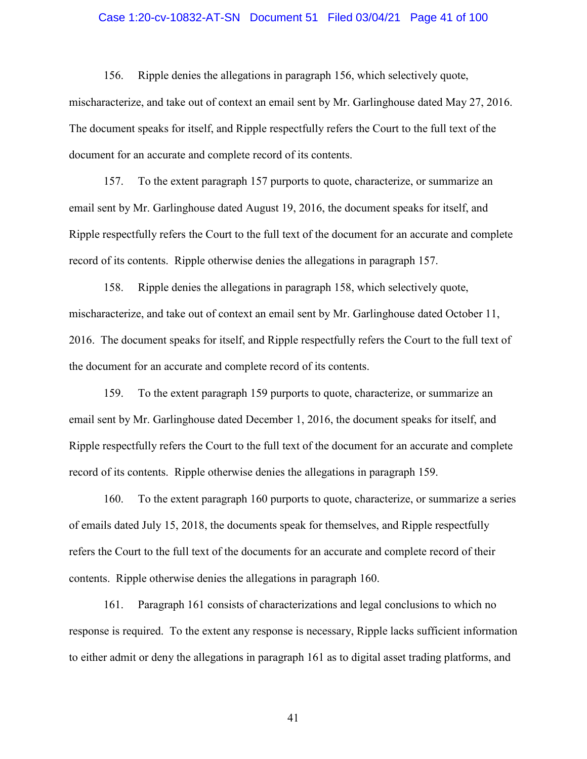# Case 1:20-cv-10832-AT-SN Document 51 Filed 03/04/21 Page 41 of 100

156. Ripple denies the allegations in paragraph 156, which selectively quote, mischaracterize, and take out of context an email sent by Mr. Garlinghouse dated May 27, 2016. The document speaks for itself, and Ripple respectfully refers the Court to the full text of the document for an accurate and complete record of its contents.

157. To the extent paragraph 157 purports to quote, characterize, or summarize an email sent by Mr. Garlinghouse dated August 19, 2016, the document speaks for itself, and Ripple respectfully refers the Court to the full text of the document for an accurate and complete record of its contents. Ripple otherwise denies the allegations in paragraph 157.

158. Ripple denies the allegations in paragraph 158, which selectively quote, mischaracterize, and take out of context an email sent by Mr. Garlinghouse dated October 11, 2016. The document speaks for itself, and Ripple respectfully refers the Court to the full text of the document for an accurate and complete record of its contents.

159. To the extent paragraph 159 purports to quote, characterize, or summarize an email sent by Mr. Garlinghouse dated December 1, 2016, the document speaks for itself, and Ripple respectfully refers the Court to the full text of the document for an accurate and complete record of its contents. Ripple otherwise denies the allegations in paragraph 159.

160. To the extent paragraph 160 purports to quote, characterize, or summarize a series of emails dated July 15, 2018, the documents speak for themselves, and Ripple respectfully refers the Court to the full text of the documents for an accurate and complete record of their contents. Ripple otherwise denies the allegations in paragraph 160.

161. Paragraph 161 consists of characterizations and legal conclusions to which no response is required. To the extent any response is necessary, Ripple lacks sufficient information to either admit or deny the allegations in paragraph 161 as to digital asset trading platforms, and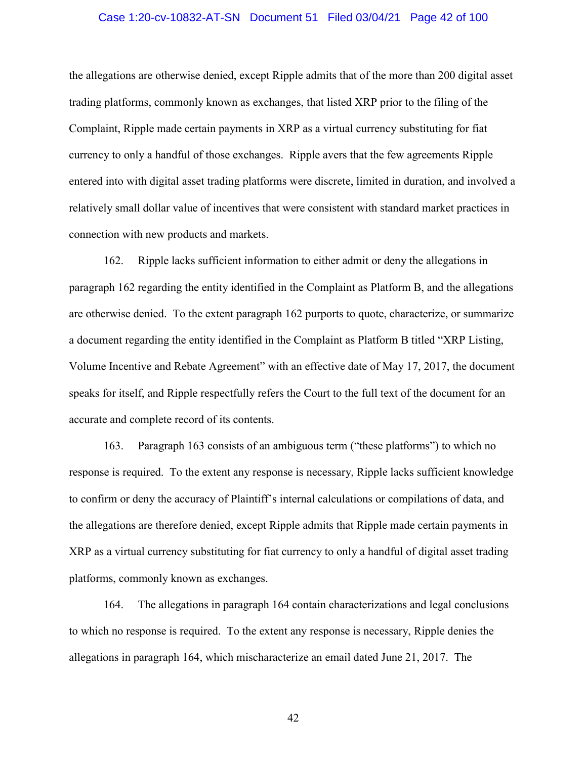# Case 1:20-cv-10832-AT-SN Document 51 Filed 03/04/21 Page 42 of 100

the allegations are otherwise denied, except Ripple admits that of the more than 200 digital asset trading platforms, commonly known as exchanges, that listed XRP prior to the filing of the Complaint, Ripple made certain payments in XRP as a virtual currency substituting for fiat currency to only a handful of those exchanges. Ripple avers that the few agreements Ripple entered into with digital asset trading platforms were discrete, limited in duration, and involved a relatively small dollar value of incentives that were consistent with standard market practices in connection with new products and markets.

162. Ripple lacks sufficient information to either admit or deny the allegations in paragraph 162 regarding the entity identified in the Complaint as Platform B, and the allegations are otherwise denied. To the extent paragraph 162 purports to quote, characterize, or summarize a document regarding the entity identified in the Complaint as Platform B titled "XRP Listing, Volume Incentive and Rebate Agreement" with an effective date of May 17, 2017, the document speaks for itself, and Ripple respectfully refers the Court to the full text of the document for an accurate and complete record of its contents.

163. Paragraph 163 consists of an ambiguous term ("these platforms") to which no response is required. To the extent any response is necessary, Ripple lacks sufficient knowledge to confirm or deny the accuracy of Plaintiff's internal calculations or compilations of data, and the allegations are therefore denied, except Ripple admits that Ripple made certain payments in XRP as a virtual currency substituting for fiat currency to only a handful of digital asset trading platforms, commonly known as exchanges.

164. The allegations in paragraph 164 contain characterizations and legal conclusions to which no response is required. To the extent any response is necessary, Ripple denies the allegations in paragraph 164, which mischaracterize an email dated June 21, 2017. The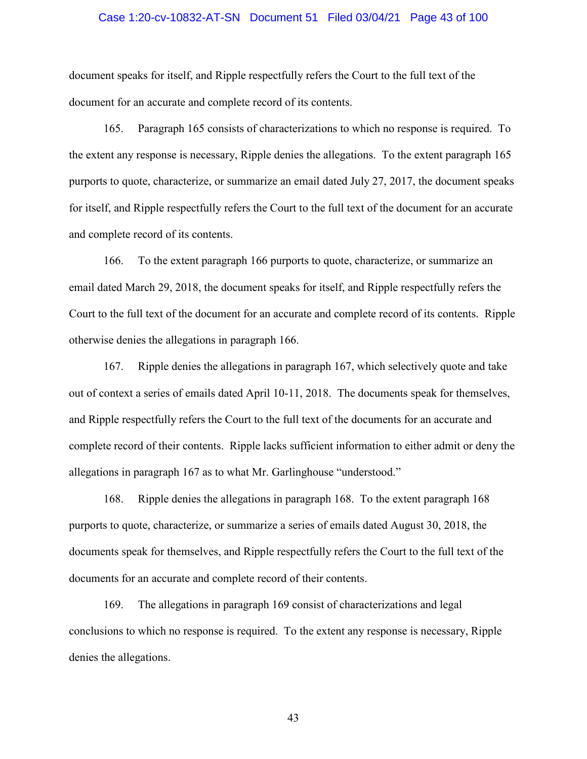# Case 1:20-cv-10832-AT-SN Document 51 Filed 03/04/21 Page 43 of 100

document speaks for itself, and Ripple respectfully refers the Court to the full text of the document for an accurate and complete record of its contents.

165. Paragraph 165 consists of characterizations to which no response is required. To the extent any response is necessary, Ripple denies the allegations. To the extent paragraph 165 purports to quote, characterize, or summarize an email dated July 27, 2017, the document speaks for itself, and Ripple respectfully refers the Court to the full text of the document for an accurate and complete record of its contents.

166. To the extent paragraph 166 purports to quote, characterize, or summarize an email dated March 29, 2018, the document speaks for itself, and Ripple respectfully refers the Court to the full text of the document for an accurate and complete record of its contents. Ripple otherwise denies the allegations in paragraph 166.

167. Ripple denies the allegations in paragraph 167, which selectively quote and take out of context a series of emails dated April 10-11, 2018. The documents speak for themselves, and Ripple respectfully refers the Court to the full text of the documents for an accurate and complete record of their contents. Ripple lacks sufficient information to either admit or deny the allegations in paragraph 167 as to what Mr. Garlinghouse "understood."

168. Ripple denies the allegations in paragraph 168. To the extent paragraph 168 purports to quote, characterize, or summarize a series of emails dated August 30, 2018, the documents speak for themselves, and Ripple respectfully refers the Court to the full text of the documents for an accurate and complete record of their contents.

169. The allegations in paragraph 169 consist of characterizations and legal conclusions to which no response is required. To the extent any response is necessary, Ripple denies the allegations.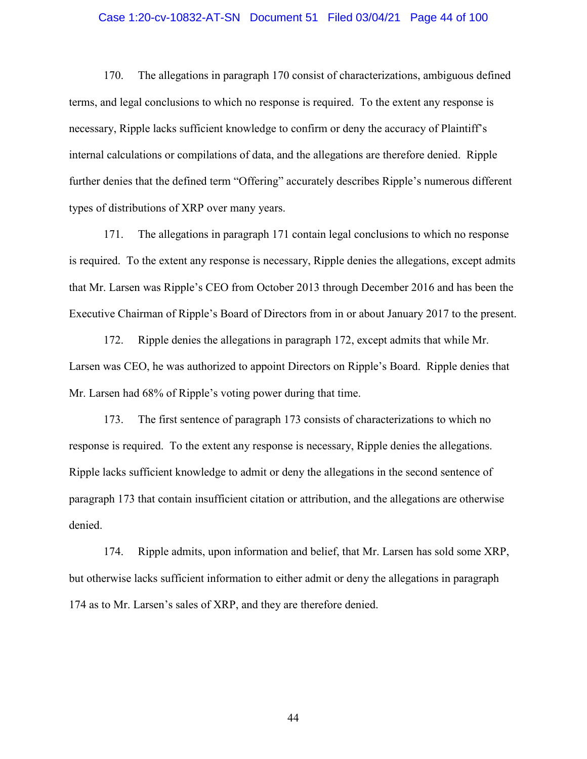### Case 1:20-cv-10832-AT-SN Document 51 Filed 03/04/21 Page 44 of 100

170. The allegations in paragraph 170 consist of characterizations, ambiguous defined terms, and legal conclusions to which no response is required. To the extent any response is necessary, Ripple lacks sufficient knowledge to confirm or deny the accuracy of Plaintiff's internal calculations or compilations of data, and the allegations are therefore denied. Ripple further denies that the defined term "Offering" accurately describes Ripple's numerous different types of distributions of XRP over many years.

171. The allegations in paragraph 171 contain legal conclusions to which no response is required. To the extent any response is necessary, Ripple denies the allegations, except admits that Mr. Larsen was Ripple's CEO from October 2013 through December 2016 and has been the Executive Chairman of Ripple's Board of Directors from in or about January 2017 to the present.

172. Ripple denies the allegations in paragraph 172, except admits that while Mr. Larsen was CEO, he was authorized to appoint Directors on Ripple's Board. Ripple denies that Mr. Larsen had 68% of Ripple's voting power during that time.

173. The first sentence of paragraph 173 consists of characterizations to which no response is required. To the extent any response is necessary, Ripple denies the allegations. Ripple lacks sufficient knowledge to admit or deny the allegations in the second sentence of paragraph 173 that contain insufficient citation or attribution, and the allegations are otherwise denied.

174. Ripple admits, upon information and belief, that Mr. Larsen has sold some XRP, but otherwise lacks sufficient information to either admit or deny the allegations in paragraph 174 as to Mr. Larsen's sales of XRP, and they are therefore denied.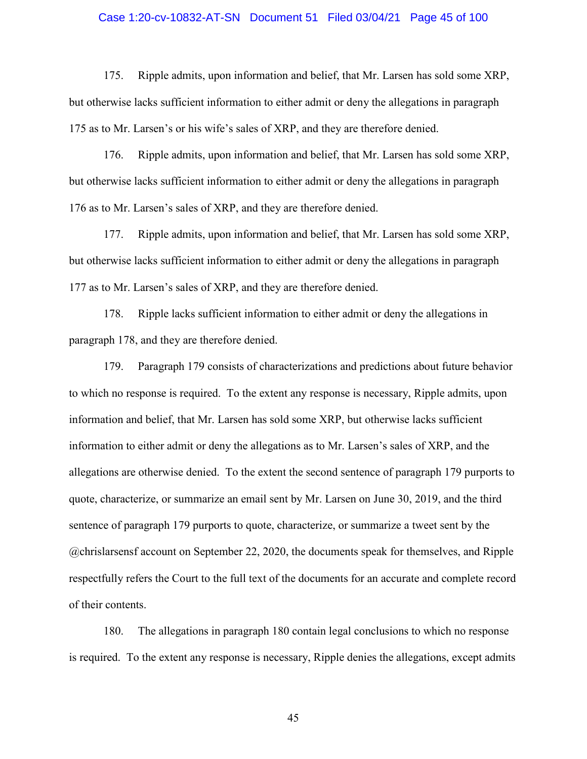# Case 1:20-cv-10832-AT-SN Document 51 Filed 03/04/21 Page 45 of 100

175. Ripple admits, upon information and belief, that Mr. Larsen has sold some XRP, but otherwise lacks sufficient information to either admit or deny the allegations in paragraph 175 as to Mr. Larsen's or his wife's sales of XRP, and they are therefore denied.

176. Ripple admits, upon information and belief, that Mr. Larsen has sold some XRP, but otherwise lacks sufficient information to either admit or deny the allegations in paragraph 176 as to Mr. Larsen's sales of XRP, and they are therefore denied.

177. Ripple admits, upon information and belief, that Mr. Larsen has sold some XRP, but otherwise lacks sufficient information to either admit or deny the allegations in paragraph 177 as to Mr. Larsen's sales of XRP, and they are therefore denied.

178. Ripple lacks sufficient information to either admit or deny the allegations in paragraph 178, and they are therefore denied.

179. Paragraph 179 consists of characterizations and predictions about future behavior to which no response is required. To the extent any response is necessary, Ripple admits, upon information and belief, that Mr. Larsen has sold some XRP, but otherwise lacks sufficient information to either admit or deny the allegations as to Mr. Larsen's sales of XRP, and the allegations are otherwise denied. To the extent the second sentence of paragraph 179 purports to quote, characterize, or summarize an email sent by Mr. Larsen on June 30, 2019, and the third sentence of paragraph 179 purports to quote, characterize, or summarize a tweet sent by the @chrislarsensf account on September 22, 2020, the documents speak for themselves, and Ripple respectfully refers the Court to the full text of the documents for an accurate and complete record of their contents.

180. The allegations in paragraph 180 contain legal conclusions to which no response is required. To the extent any response is necessary, Ripple denies the allegations, except admits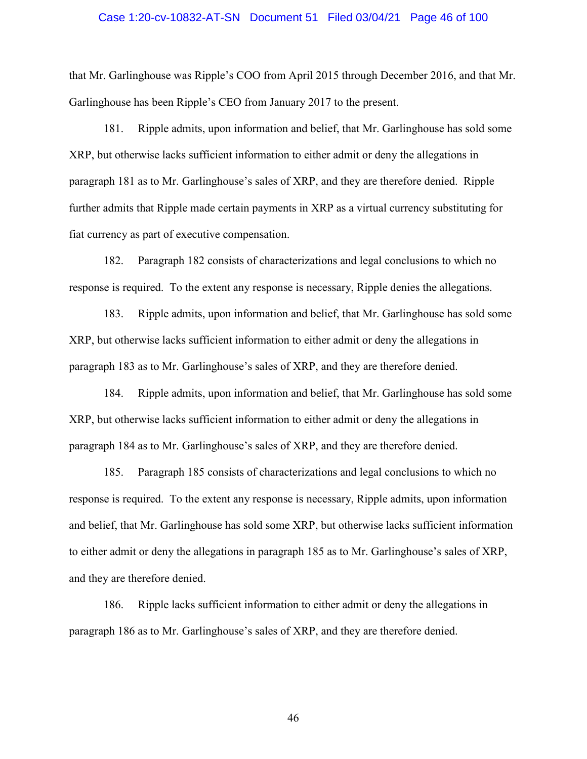#### Case 1:20-cv-10832-AT-SN Document 51 Filed 03/04/21 Page 46 of 100

that Mr. Garlinghouse was Ripple's COO from April 2015 through December 2016, and that Mr. Garlinghouse has been Ripple's CEO from January 2017 to the present.

181. Ripple admits, upon information and belief, that Mr. Garlinghouse has sold some XRP, but otherwise lacks sufficient information to either admit or deny the allegations in paragraph 181 as to Mr. Garlinghouse's sales of XRP, and they are therefore denied. Ripple further admits that Ripple made certain payments in XRP as a virtual currency substituting for fiat currency as part of executive compensation.

182. Paragraph 182 consists of characterizations and legal conclusions to which no response is required. To the extent any response is necessary, Ripple denies the allegations.

183. Ripple admits, upon information and belief, that Mr. Garlinghouse has sold some XRP, but otherwise lacks sufficient information to either admit or deny the allegations in paragraph 183 as to Mr. Garlinghouse's sales of XRP, and they are therefore denied.

184. Ripple admits, upon information and belief, that Mr. Garlinghouse has sold some XRP, but otherwise lacks sufficient information to either admit or deny the allegations in paragraph 184 as to Mr. Garlinghouse's sales of XRP, and they are therefore denied.

185. Paragraph 185 consists of characterizations and legal conclusions to which no response is required. To the extent any response is necessary, Ripple admits, upon information and belief, that Mr. Garlinghouse has sold some XRP, but otherwise lacks sufficient information to either admit or deny the allegations in paragraph 185 as to Mr. Garlinghouse's sales of XRP, and they are therefore denied.

186. Ripple lacks sufficient information to either admit or deny the allegations in paragraph 186 as to Mr. Garlinghouse's sales of XRP, and they are therefore denied.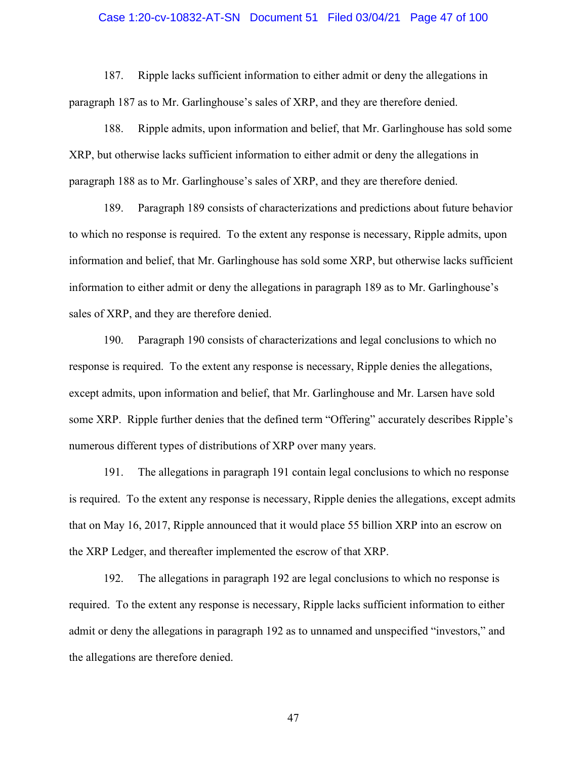# Case 1:20-cv-10832-AT-SN Document 51 Filed 03/04/21 Page 47 of 100

187. Ripple lacks sufficient information to either admit or deny the allegations in paragraph 187 as to Mr. Garlinghouse's sales of XRP, and they are therefore denied.

188. Ripple admits, upon information and belief, that Mr. Garlinghouse has sold some XRP, but otherwise lacks sufficient information to either admit or deny the allegations in paragraph 188 as to Mr. Garlinghouse's sales of XRP, and they are therefore denied.

189. Paragraph 189 consists of characterizations and predictions about future behavior to which no response is required. To the extent any response is necessary, Ripple admits, upon information and belief, that Mr. Garlinghouse has sold some XRP, but otherwise lacks sufficient information to either admit or deny the allegations in paragraph 189 as to Mr. Garlinghouse's sales of XRP, and they are therefore denied.

190. Paragraph 190 consists of characterizations and legal conclusions to which no response is required. To the extent any response is necessary, Ripple denies the allegations, except admits, upon information and belief, that Mr. Garlinghouse and Mr. Larsen have sold some XRP. Ripple further denies that the defined term "Offering" accurately describes Ripple's numerous different types of distributions of XRP over many years.

191. The allegations in paragraph 191 contain legal conclusions to which no response is required. To the extent any response is necessary, Ripple denies the allegations, except admits that on May 16, 2017, Ripple announced that it would place 55 billion XRP into an escrow on the XRP Ledger, and thereafter implemented the escrow of that XRP.

192. The allegations in paragraph 192 are legal conclusions to which no response is required. To the extent any response is necessary, Ripple lacks sufficient information to either admit or deny the allegations in paragraph 192 as to unnamed and unspecified "investors," and the allegations are therefore denied.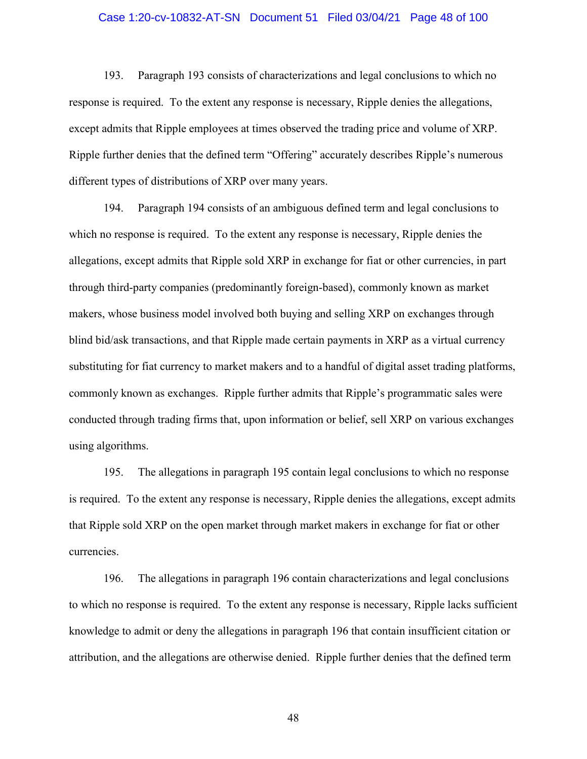# Case 1:20-cv-10832-AT-SN Document 51 Filed 03/04/21 Page 48 of 100

193. Paragraph 193 consists of characterizations and legal conclusions to which no response is required. To the extent any response is necessary, Ripple denies the allegations, except admits that Ripple employees at times observed the trading price and volume of XRP. Ripple further denies that the defined term "Offering" accurately describes Ripple's numerous different types of distributions of XRP over many years.

194. Paragraph 194 consists of an ambiguous defined term and legal conclusions to which no response is required. To the extent any response is necessary, Ripple denies the allegations, except admits that Ripple sold XRP in exchange for fiat or other currencies, in part through third-party companies (predominantly foreign-based), commonly known as market makers, whose business model involved both buying and selling XRP on exchanges through blind bid/ask transactions, and that Ripple made certain payments in XRP as a virtual currency substituting for fiat currency to market makers and to a handful of digital asset trading platforms, commonly known as exchanges. Ripple further admits that Ripple's programmatic sales were conducted through trading firms that, upon information or belief, sell XRP on various exchanges using algorithms.

195. The allegations in paragraph 195 contain legal conclusions to which no response is required. To the extent any response is necessary, Ripple denies the allegations, except admits that Ripple sold XRP on the open market through market makers in exchange for fiat or other currencies.

196. The allegations in paragraph 196 contain characterizations and legal conclusions to which no response is required. To the extent any response is necessary, Ripple lacks sufficient knowledge to admit or deny the allegations in paragraph 196 that contain insufficient citation or attribution, and the allegations are otherwise denied. Ripple further denies that the defined term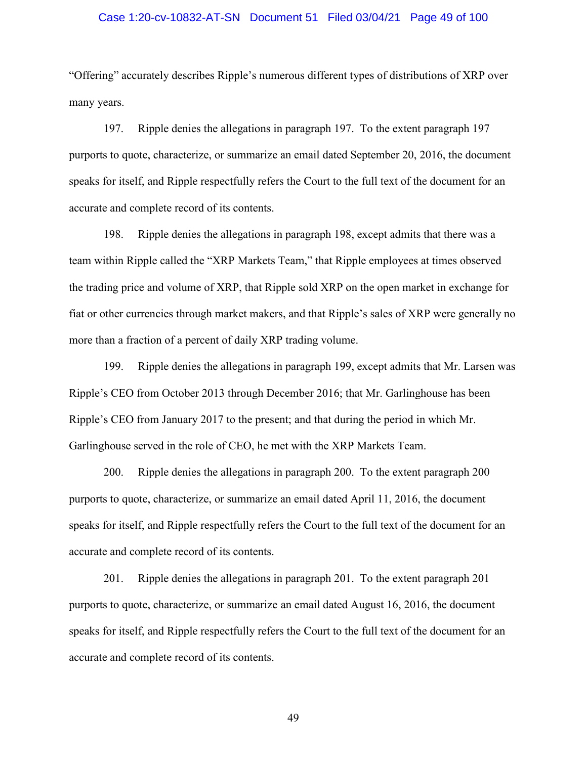# Case 1:20-cv-10832-AT-SN Document 51 Filed 03/04/21 Page 49 of 100

"Offering" accurately describes Ripple's numerous different types of distributions of XRP over many years.

197. Ripple denies the allegations in paragraph 197. To the extent paragraph 197 purports to quote, characterize, or summarize an email dated September 20, 2016, the document speaks for itself, and Ripple respectfully refers the Court to the full text of the document for an accurate and complete record of its contents.

198. Ripple denies the allegations in paragraph 198, except admits that there was a team within Ripple called the "XRP Markets Team," that Ripple employees at times observed the trading price and volume of XRP, that Ripple sold XRP on the open market in exchange for fiat or other currencies through market makers, and that Ripple's sales of XRP were generally no more than a fraction of a percent of daily XRP trading volume.

199. Ripple denies the allegations in paragraph 199, except admits that Mr. Larsen was Ripple's CEO from October 2013 through December 2016; that Mr. Garlinghouse has been Ripple's CEO from January 2017 to the present; and that during the period in which Mr. Garlinghouse served in the role of CEO, he met with the XRP Markets Team.

200. Ripple denies the allegations in paragraph 200. To the extent paragraph 200 purports to quote, characterize, or summarize an email dated April 11, 2016, the document speaks for itself, and Ripple respectfully refers the Court to the full text of the document for an accurate and complete record of its contents.

201. Ripple denies the allegations in paragraph 201. To the extent paragraph 201 purports to quote, characterize, or summarize an email dated August 16, 2016, the document speaks for itself, and Ripple respectfully refers the Court to the full text of the document for an accurate and complete record of its contents.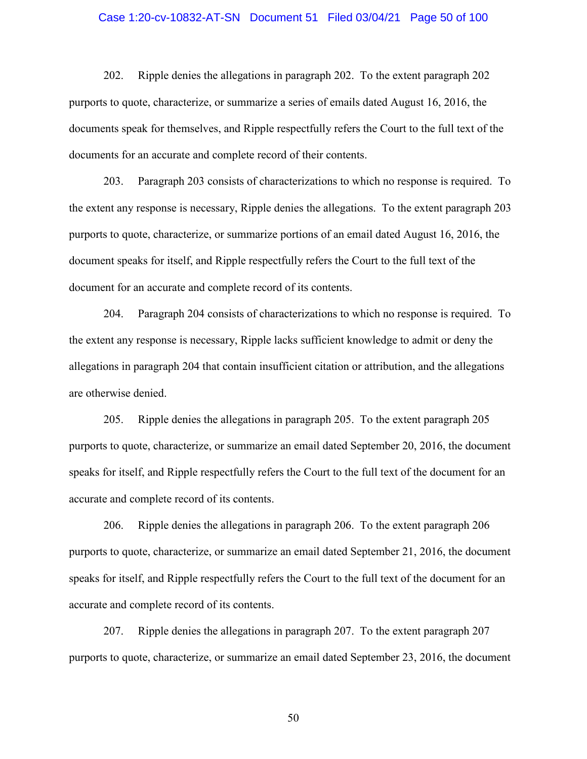# Case 1:20-cv-10832-AT-SN Document 51 Filed 03/04/21 Page 50 of 100

202. Ripple denies the allegations in paragraph 202. To the extent paragraph 202 purports to quote, characterize, or summarize a series of emails dated August 16, 2016, the documents speak for themselves, and Ripple respectfully refers the Court to the full text of the documents for an accurate and complete record of their contents.

203. Paragraph 203 consists of characterizations to which no response is required. To the extent any response is necessary, Ripple denies the allegations. To the extent paragraph 203 purports to quote, characterize, or summarize portions of an email dated August 16, 2016, the document speaks for itself, and Ripple respectfully refers the Court to the full text of the document for an accurate and complete record of its contents.

204. Paragraph 204 consists of characterizations to which no response is required. To the extent any response is necessary, Ripple lacks sufficient knowledge to admit or deny the allegations in paragraph 204 that contain insufficient citation or attribution, and the allegations are otherwise denied.

205. Ripple denies the allegations in paragraph 205. To the extent paragraph 205 purports to quote, characterize, or summarize an email dated September 20, 2016, the document speaks for itself, and Ripple respectfully refers the Court to the full text of the document for an accurate and complete record of its contents.

206. Ripple denies the allegations in paragraph 206. To the extent paragraph 206 purports to quote, characterize, or summarize an email dated September 21, 2016, the document speaks for itself, and Ripple respectfully refers the Court to the full text of the document for an accurate and complete record of its contents.

207. Ripple denies the allegations in paragraph 207. To the extent paragraph 207 purports to quote, characterize, or summarize an email dated September 23, 2016, the document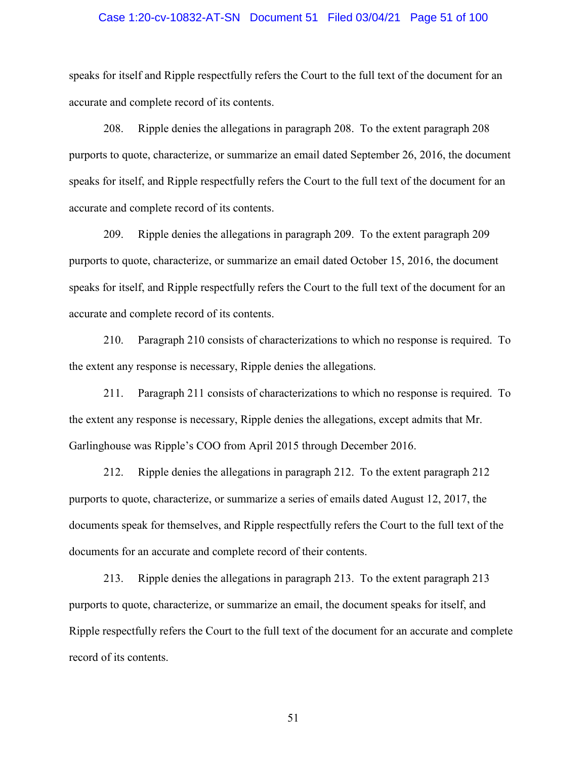# Case 1:20-cv-10832-AT-SN Document 51 Filed 03/04/21 Page 51 of 100

speaks for itself and Ripple respectfully refers the Court to the full text of the document for an accurate and complete record of its contents.

208. Ripple denies the allegations in paragraph 208. To the extent paragraph 208 purports to quote, characterize, or summarize an email dated September 26, 2016, the document speaks for itself, and Ripple respectfully refers the Court to the full text of the document for an accurate and complete record of its contents.

209. Ripple denies the allegations in paragraph 209. To the extent paragraph 209 purports to quote, characterize, or summarize an email dated October 15, 2016, the document speaks for itself, and Ripple respectfully refers the Court to the full text of the document for an accurate and complete record of its contents.

210. Paragraph 210 consists of characterizations to which no response is required. To the extent any response is necessary, Ripple denies the allegations.

211. Paragraph 211 consists of characterizations to which no response is required. To the extent any response is necessary, Ripple denies the allegations, except admits that Mr. Garlinghouse was Ripple's COO from April 2015 through December 2016.

212. Ripple denies the allegations in paragraph 212. To the extent paragraph 212 purports to quote, characterize, or summarize a series of emails dated August 12, 2017, the documents speak for themselves, and Ripple respectfully refers the Court to the full text of the documents for an accurate and complete record of their contents.

213. Ripple denies the allegations in paragraph 213. To the extent paragraph 213 purports to quote, characterize, or summarize an email, the document speaks for itself, and Ripple respectfully refers the Court to the full text of the document for an accurate and complete record of its contents.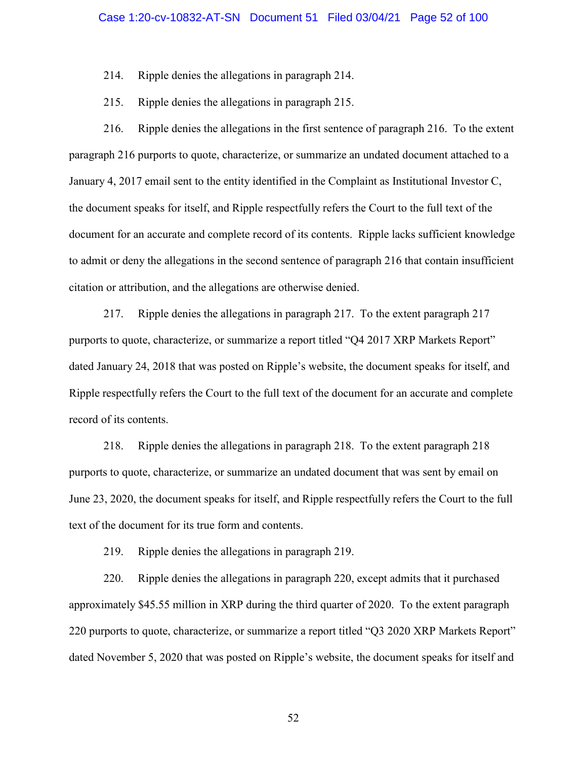214. Ripple denies the allegations in paragraph 214.

215. Ripple denies the allegations in paragraph 215.

216. Ripple denies the allegations in the first sentence of paragraph 216. To the extent paragraph 216 purports to quote, characterize, or summarize an undated document attached to a January 4, 2017 email sent to the entity identified in the Complaint as Institutional Investor C, the document speaks for itself, and Ripple respectfully refers the Court to the full text of the document for an accurate and complete record of its contents. Ripple lacks sufficient knowledge to admit or deny the allegations in the second sentence of paragraph 216 that contain insufficient citation or attribution, and the allegations are otherwise denied.

217. Ripple denies the allegations in paragraph 217. To the extent paragraph 217 purports to quote, characterize, or summarize a report titled "Q4 2017 XRP Markets Report" dated January 24, 2018 that was posted on Ripple's website, the document speaks for itself, and Ripple respectfully refers the Court to the full text of the document for an accurate and complete record of its contents.

218. Ripple denies the allegations in paragraph 218. To the extent paragraph 218 purports to quote, characterize, or summarize an undated document that was sent by email on June 23, 2020, the document speaks for itself, and Ripple respectfully refers the Court to the full text of the document for its true form and contents.

219. Ripple denies the allegations in paragraph 219.

220. Ripple denies the allegations in paragraph 220, except admits that it purchased approximately \$45.55 million in XRP during the third quarter of 2020. To the extent paragraph 220 purports to quote, characterize, or summarize a report titled "Q3 2020 XRP Markets Report" dated November 5, 2020 that was posted on Ripple's website, the document speaks for itself and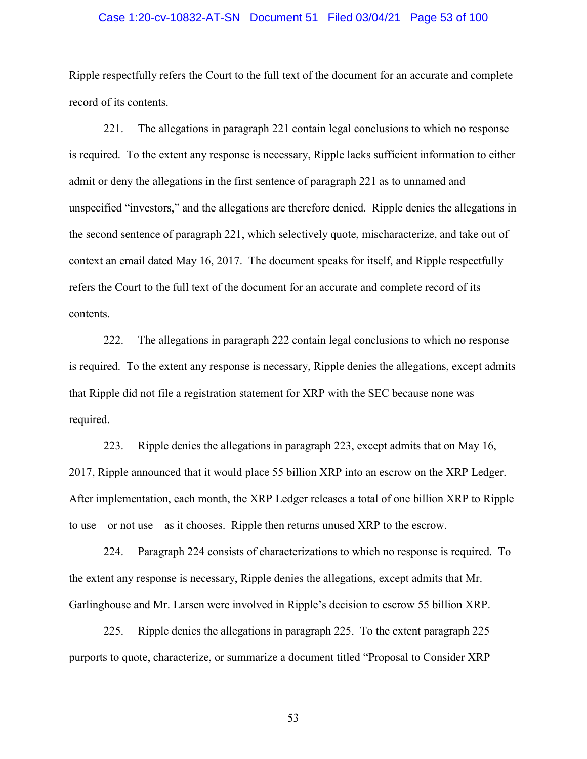# Case 1:20-cv-10832-AT-SN Document 51 Filed 03/04/21 Page 53 of 100

Ripple respectfully refers the Court to the full text of the document for an accurate and complete record of its contents.

221. The allegations in paragraph 221 contain legal conclusions to which no response is required. To the extent any response is necessary, Ripple lacks sufficient information to either admit or deny the allegations in the first sentence of paragraph 221 as to unnamed and unspecified "investors," and the allegations are therefore denied. Ripple denies the allegations in the second sentence of paragraph 221, which selectively quote, mischaracterize, and take out of context an email dated May 16, 2017. The document speaks for itself, and Ripple respectfully refers the Court to the full text of the document for an accurate and complete record of its contents.

222. The allegations in paragraph 222 contain legal conclusions to which no response is required. To the extent any response is necessary, Ripple denies the allegations, except admits that Ripple did not file a registration statement for XRP with the SEC because none was required.

223. Ripple denies the allegations in paragraph 223, except admits that on May 16, 2017, Ripple announced that it would place 55 billion XRP into an escrow on the XRP Ledger. After implementation, each month, the XRP Ledger releases a total of one billion XRP to Ripple to use – or not use – as it chooses. Ripple then returns unused XRP to the escrow.

224. Paragraph 224 consists of characterizations to which no response is required. To the extent any response is necessary, Ripple denies the allegations, except admits that Mr. Garlinghouse and Mr. Larsen were involved in Ripple's decision to escrow 55 billion XRP.

225. Ripple denies the allegations in paragraph 225. To the extent paragraph 225 purports to quote, characterize, or summarize a document titled "Proposal to Consider XRP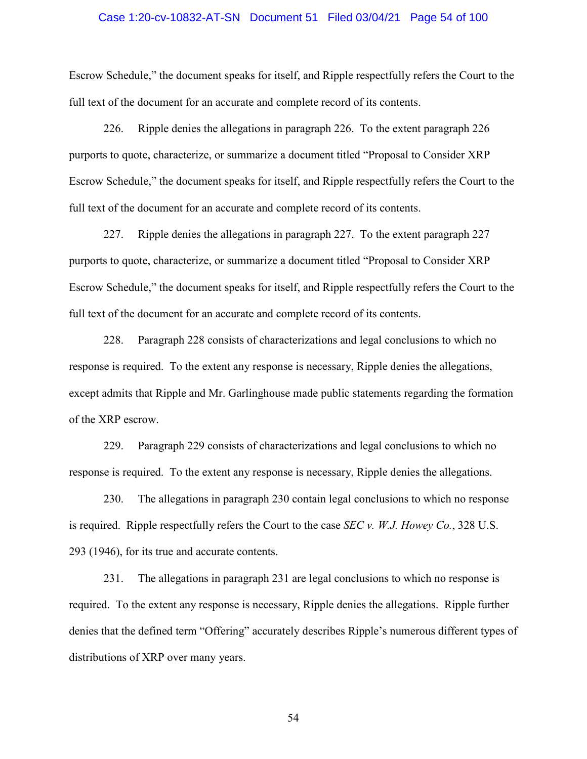## Case 1:20-cv-10832-AT-SN Document 51 Filed 03/04/21 Page 54 of 100

Escrow Schedule," the document speaks for itself, and Ripple respectfully refers the Court to the full text of the document for an accurate and complete record of its contents.

226. Ripple denies the allegations in paragraph 226. To the extent paragraph 226 purports to quote, characterize, or summarize a document titled "Proposal to Consider XRP Escrow Schedule," the document speaks for itself, and Ripple respectfully refers the Court to the full text of the document for an accurate and complete record of its contents.

227. Ripple denies the allegations in paragraph 227. To the extent paragraph 227 purports to quote, characterize, or summarize a document titled "Proposal to Consider XRP Escrow Schedule," the document speaks for itself, and Ripple respectfully refers the Court to the full text of the document for an accurate and complete record of its contents.

228. Paragraph 228 consists of characterizations and legal conclusions to which no response is required. To the extent any response is necessary, Ripple denies the allegations, except admits that Ripple and Mr. Garlinghouse made public statements regarding the formation of the XRP escrow.

229. Paragraph 229 consists of characterizations and legal conclusions to which no response is required. To the extent any response is necessary, Ripple denies the allegations.

230. The allegations in paragraph 230 contain legal conclusions to which no response is required. Ripple respectfully refers the Court to the case *SEC v. W.J. Howey Co.*, 328 U.S. 293 (1946), for its true and accurate contents.

231. The allegations in paragraph 231 are legal conclusions to which no response is required. To the extent any response is necessary, Ripple denies the allegations. Ripple further denies that the defined term "Offering" accurately describes Ripple's numerous different types of distributions of XRP over many years.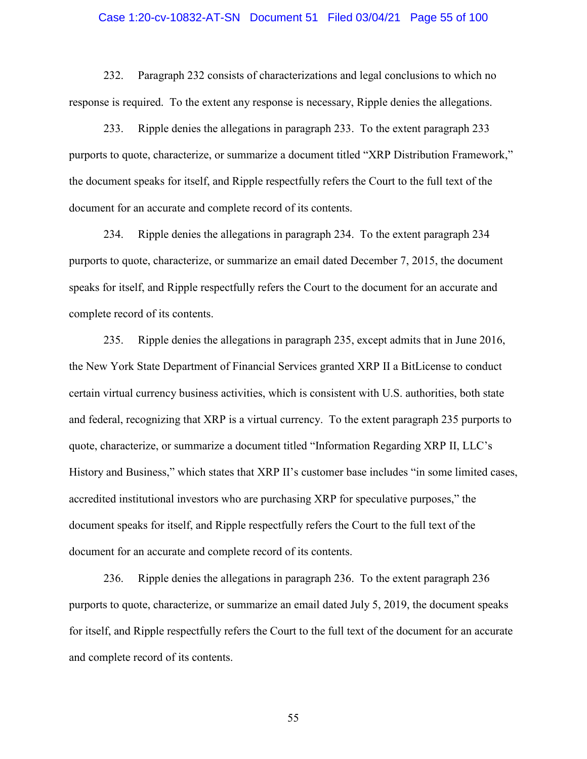### Case 1:20-cv-10832-AT-SN Document 51 Filed 03/04/21 Page 55 of 100

232. Paragraph 232 consists of characterizations and legal conclusions to which no response is required. To the extent any response is necessary, Ripple denies the allegations.

233. Ripple denies the allegations in paragraph 233. To the extent paragraph 233 purports to quote, characterize, or summarize a document titled "XRP Distribution Framework," the document speaks for itself, and Ripple respectfully refers the Court to the full text of the document for an accurate and complete record of its contents.

234. Ripple denies the allegations in paragraph 234. To the extent paragraph 234 purports to quote, characterize, or summarize an email dated December 7, 2015, the document speaks for itself, and Ripple respectfully refers the Court to the document for an accurate and complete record of its contents.

235. Ripple denies the allegations in paragraph 235, except admits that in June 2016, the New York State Department of Financial Services granted XRP II a BitLicense to conduct certain virtual currency business activities, which is consistent with U.S. authorities, both state and federal, recognizing that XRP is a virtual currency. To the extent paragraph 235 purports to quote, characterize, or summarize a document titled "Information Regarding XRP II, LLC's History and Business," which states that XRP II's customer base includes "in some limited cases, accredited institutional investors who are purchasing XRP for speculative purposes," the document speaks for itself, and Ripple respectfully refers the Court to the full text of the document for an accurate and complete record of its contents.

236. Ripple denies the allegations in paragraph 236. To the extent paragraph 236 purports to quote, characterize, or summarize an email dated July 5, 2019, the document speaks for itself, and Ripple respectfully refers the Court to the full text of the document for an accurate and complete record of its contents.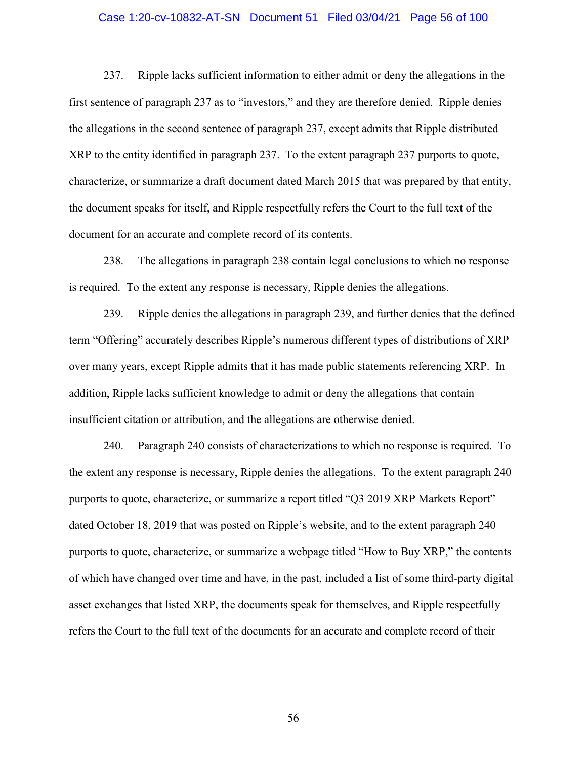# Case 1:20-cv-10832-AT-SN Document 51 Filed 03/04/21 Page 56 of 100

237. Ripple lacks sufficient information to either admit or deny the allegations in the first sentence of paragraph 237 as to "investors," and they are therefore denied. Ripple denies the allegations in the second sentence of paragraph 237, except admits that Ripple distributed XRP to the entity identified in paragraph 237. To the extent paragraph 237 purports to quote, characterize, or summarize a draft document dated March 2015 that was prepared by that entity, the document speaks for itself, and Ripple respectfully refers the Court to the full text of the document for an accurate and complete record of its contents.

238. The allegations in paragraph 238 contain legal conclusions to which no response is required. To the extent any response is necessary, Ripple denies the allegations.

239. Ripple denies the allegations in paragraph 239, and further denies that the defined term "Offering" accurately describes Ripple's numerous different types of distributions of XRP over many years, except Ripple admits that it has made public statements referencing XRP. In addition, Ripple lacks sufficient knowledge to admit or deny the allegations that contain insufficient citation or attribution, and the allegations are otherwise denied.

240. Paragraph 240 consists of characterizations to which no response is required. To the extent any response is necessary, Ripple denies the allegations. To the extent paragraph 240 purports to quote, characterize, or summarize a report titled "Q3 2019 XRP Markets Report" dated October 18, 2019 that was posted on Ripple's website, and to the extent paragraph 240 purports to quote, characterize, or summarize a webpage titled "How to Buy XRP," the contents of which have changed over time and have, in the past, included a list of some third-party digital asset exchanges that listed XRP, the documents speak for themselves, and Ripple respectfully refers the Court to the full text of the documents for an accurate and complete record of their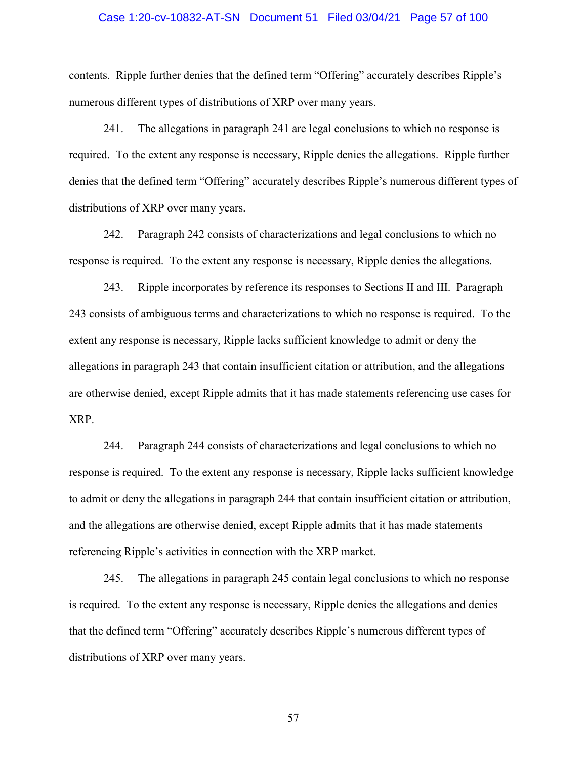# Case 1:20-cv-10832-AT-SN Document 51 Filed 03/04/21 Page 57 of 100

contents. Ripple further denies that the defined term "Offering" accurately describes Ripple's numerous different types of distributions of XRP over many years.

241. The allegations in paragraph 241 are legal conclusions to which no response is required. To the extent any response is necessary, Ripple denies the allegations. Ripple further denies that the defined term "Offering" accurately describes Ripple's numerous different types of distributions of XRP over many years.

242. Paragraph 242 consists of characterizations and legal conclusions to which no response is required. To the extent any response is necessary, Ripple denies the allegations.

243. Ripple incorporates by reference its responses to Sections II and III. Paragraph 243 consists of ambiguous terms and characterizations to which no response is required. To the extent any response is necessary, Ripple lacks sufficient knowledge to admit or deny the allegations in paragraph 243 that contain insufficient citation or attribution, and the allegations are otherwise denied, except Ripple admits that it has made statements referencing use cases for XRP.

244. Paragraph 244 consists of characterizations and legal conclusions to which no response is required. To the extent any response is necessary, Ripple lacks sufficient knowledge to admit or deny the allegations in paragraph 244 that contain insufficient citation or attribution, and the allegations are otherwise denied, except Ripple admits that it has made statements referencing Ripple's activities in connection with the XRP market.

245. The allegations in paragraph 245 contain legal conclusions to which no response is required. To the extent any response is necessary, Ripple denies the allegations and denies that the defined term "Offering" accurately describes Ripple's numerous different types of distributions of XRP over many years.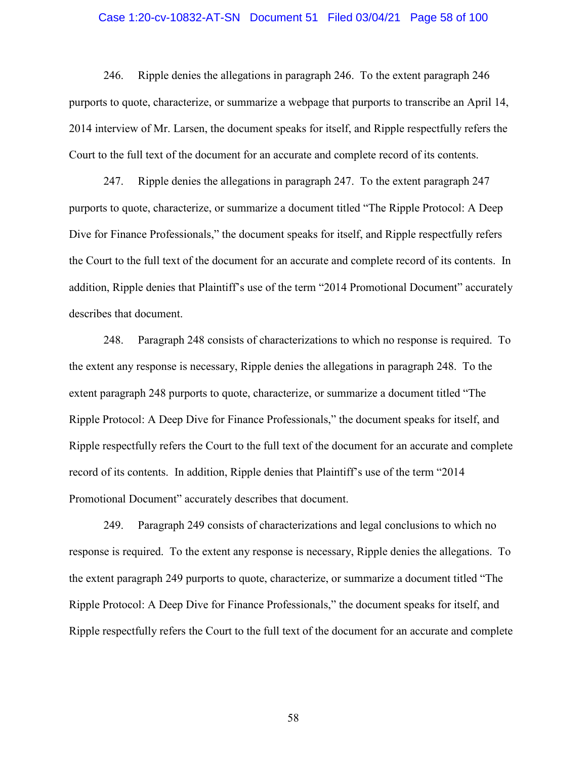# Case 1:20-cv-10832-AT-SN Document 51 Filed 03/04/21 Page 58 of 100

246. Ripple denies the allegations in paragraph 246. To the extent paragraph 246 purports to quote, characterize, or summarize a webpage that purports to transcribe an April 14, 2014 interview of Mr. Larsen, the document speaks for itself, and Ripple respectfully refers the Court to the full text of the document for an accurate and complete record of its contents.

247. Ripple denies the allegations in paragraph 247. To the extent paragraph 247 purports to quote, characterize, or summarize a document titled "The Ripple Protocol: A Deep Dive for Finance Professionals," the document speaks for itself, and Ripple respectfully refers the Court to the full text of the document for an accurate and complete record of its contents. In addition, Ripple denies that Plaintiff's use of the term "2014 Promotional Document" accurately describes that document.

248. Paragraph 248 consists of characterizations to which no response is required. To the extent any response is necessary, Ripple denies the allegations in paragraph 248. To the extent paragraph 248 purports to quote, characterize, or summarize a document titled "The Ripple Protocol: A Deep Dive for Finance Professionals," the document speaks for itself, and Ripple respectfully refers the Court to the full text of the document for an accurate and complete record of its contents. In addition, Ripple denies that Plaintiff's use of the term "2014 Promotional Document" accurately describes that document.

249. Paragraph 249 consists of characterizations and legal conclusions to which no response is required. To the extent any response is necessary, Ripple denies the allegations. To the extent paragraph 249 purports to quote, characterize, or summarize a document titled "The Ripple Protocol: A Deep Dive for Finance Professionals," the document speaks for itself, and Ripple respectfully refers the Court to the full text of the document for an accurate and complete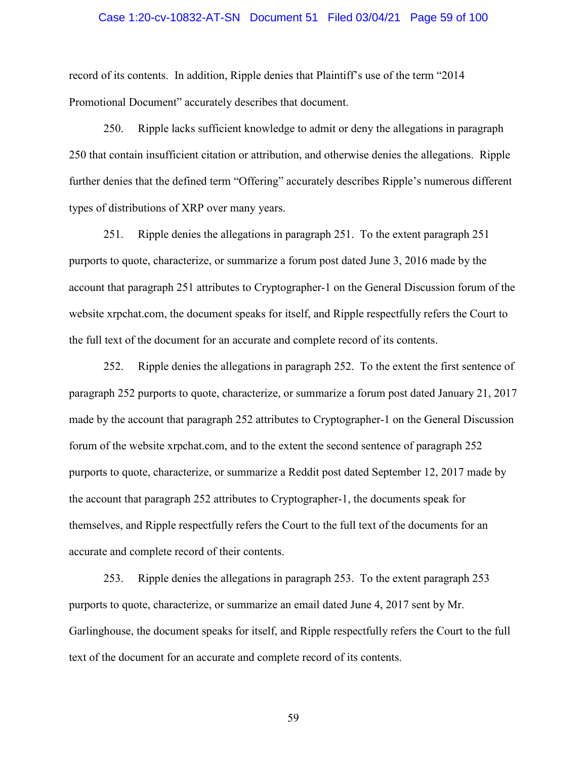# Case 1:20-cv-10832-AT-SN Document 51 Filed 03/04/21 Page 59 of 100

record of its contents. In addition, Ripple denies that Plaintiff's use of the term "2014 Promotional Document" accurately describes that document.

250. Ripple lacks sufficient knowledge to admit or deny the allegations in paragraph 250 that contain insufficient citation or attribution, and otherwise denies the allegations. Ripple further denies that the defined term "Offering" accurately describes Ripple's numerous different types of distributions of XRP over many years.

251. Ripple denies the allegations in paragraph 251. To the extent paragraph 251 purports to quote, characterize, or summarize a forum post dated June 3, 2016 made by the account that paragraph 251 attributes to Cryptographer-1 on the General Discussion forum of the website xrpchat.com, the document speaks for itself, and Ripple respectfully refers the Court to the full text of the document for an accurate and complete record of its contents.

252. Ripple denies the allegations in paragraph 252. To the extent the first sentence of paragraph 252 purports to quote, characterize, or summarize a forum post dated January 21, 2017 made by the account that paragraph 252 attributes to Cryptographer-1 on the General Discussion forum of the website xrpchat.com, and to the extent the second sentence of paragraph 252 purports to quote, characterize, or summarize a Reddit post dated September 12, 2017 made by the account that paragraph 252 attributes to Cryptographer-1, the documents speak for themselves, and Ripple respectfully refers the Court to the full text of the documents for an accurate and complete record of their contents.

253. Ripple denies the allegations in paragraph 253. To the extent paragraph 253 purports to quote, characterize, or summarize an email dated June 4, 2017 sent by Mr. Garlinghouse, the document speaks for itself, and Ripple respectfully refers the Court to the full text of the document for an accurate and complete record of its contents.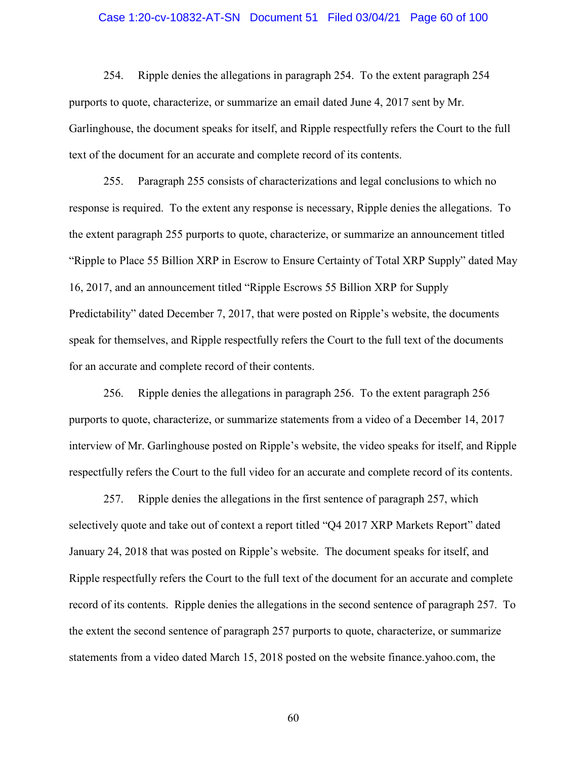# Case 1:20-cv-10832-AT-SN Document 51 Filed 03/04/21 Page 60 of 100

254. Ripple denies the allegations in paragraph 254. To the extent paragraph 254 purports to quote, characterize, or summarize an email dated June 4, 2017 sent by Mr. Garlinghouse, the document speaks for itself, and Ripple respectfully refers the Court to the full text of the document for an accurate and complete record of its contents.

255. Paragraph 255 consists of characterizations and legal conclusions to which no response is required. To the extent any response is necessary, Ripple denies the allegations. To the extent paragraph 255 purports to quote, characterize, or summarize an announcement titled "Ripple to Place 55 Billion XRP in Escrow to Ensure Certainty of Total XRP Supply" dated May 16, 2017, and an announcement titled "Ripple Escrows 55 Billion XRP for Supply Predictability" dated December 7, 2017, that were posted on Ripple's website, the documents speak for themselves, and Ripple respectfully refers the Court to the full text of the documents for an accurate and complete record of their contents.

256. Ripple denies the allegations in paragraph 256. To the extent paragraph 256 purports to quote, characterize, or summarize statements from a video of a December 14, 2017 interview of Mr. Garlinghouse posted on Ripple's website, the video speaks for itself, and Ripple respectfully refers the Court to the full video for an accurate and complete record of its contents.

257. Ripple denies the allegations in the first sentence of paragraph 257, which selectively quote and take out of context a report titled "Q4 2017 XRP Markets Report" dated January 24, 2018 that was posted on Ripple's website. The document speaks for itself, and Ripple respectfully refers the Court to the full text of the document for an accurate and complete record of its contents. Ripple denies the allegations in the second sentence of paragraph 257. To the extent the second sentence of paragraph 257 purports to quote, characterize, or summarize statements from a video dated March 15, 2018 posted on the website finance.yahoo.com, the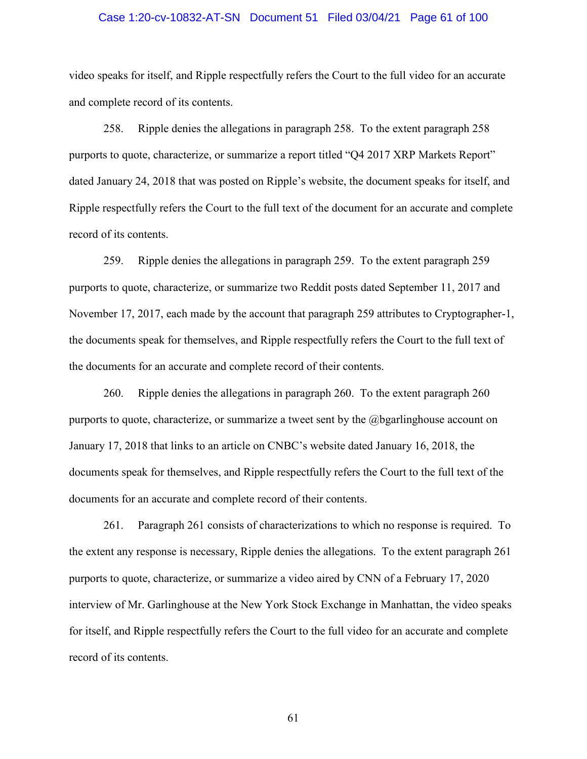# Case 1:20-cv-10832-AT-SN Document 51 Filed 03/04/21 Page 61 of 100

video speaks for itself, and Ripple respectfully refers the Court to the full video for an accurate and complete record of its contents.

258. Ripple denies the allegations in paragraph 258. To the extent paragraph 258 purports to quote, characterize, or summarize a report titled "Q4 2017 XRP Markets Report" dated January 24, 2018 that was posted on Ripple's website, the document speaks for itself, and Ripple respectfully refers the Court to the full text of the document for an accurate and complete record of its contents.

259. Ripple denies the allegations in paragraph 259. To the extent paragraph 259 purports to quote, characterize, or summarize two Reddit posts dated September 11, 2017 and November 17, 2017, each made by the account that paragraph 259 attributes to Cryptographer-1, the documents speak for themselves, and Ripple respectfully refers the Court to the full text of the documents for an accurate and complete record of their contents.

260. Ripple denies the allegations in paragraph 260. To the extent paragraph 260 purports to quote, characterize, or summarize a tweet sent by the @bgarlinghouse account on January 17, 2018 that links to an article on CNBC's website dated January 16, 2018, the documents speak for themselves, and Ripple respectfully refers the Court to the full text of the documents for an accurate and complete record of their contents.

261. Paragraph 261 consists of characterizations to which no response is required. To the extent any response is necessary, Ripple denies the allegations. To the extent paragraph 261 purports to quote, characterize, or summarize a video aired by CNN of a February 17, 2020 interview of Mr. Garlinghouse at the New York Stock Exchange in Manhattan, the video speaks for itself, and Ripple respectfully refers the Court to the full video for an accurate and complete record of its contents.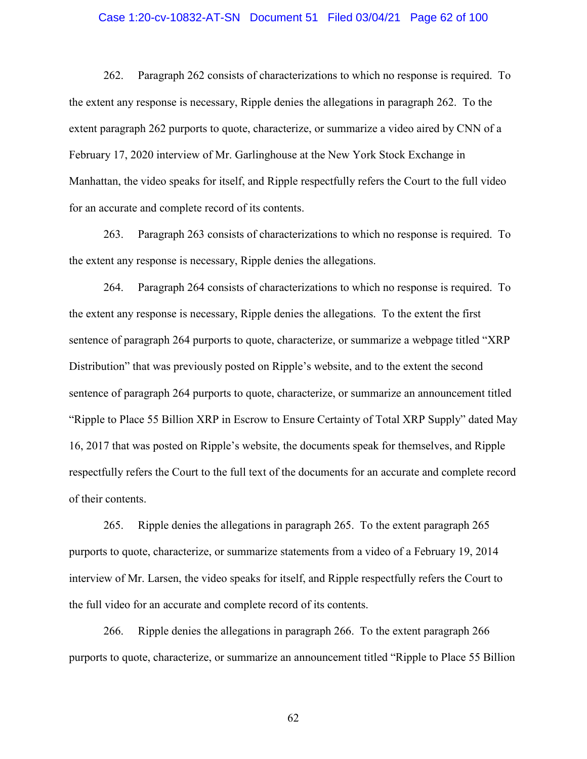# Case 1:20-cv-10832-AT-SN Document 51 Filed 03/04/21 Page 62 of 100

262. Paragraph 262 consists of characterizations to which no response is required. To the extent any response is necessary, Ripple denies the allegations in paragraph 262. To the extent paragraph 262 purports to quote, characterize, or summarize a video aired by CNN of a February 17, 2020 interview of Mr. Garlinghouse at the New York Stock Exchange in Manhattan, the video speaks for itself, and Ripple respectfully refers the Court to the full video for an accurate and complete record of its contents.

263. Paragraph 263 consists of characterizations to which no response is required. To the extent any response is necessary, Ripple denies the allegations.

264. Paragraph 264 consists of characterizations to which no response is required. To the extent any response is necessary, Ripple denies the allegations. To the extent the first sentence of paragraph 264 purports to quote, characterize, or summarize a webpage titled "XRP Distribution" that was previously posted on Ripple's website, and to the extent the second sentence of paragraph 264 purports to quote, characterize, or summarize an announcement titled "Ripple to Place 55 Billion XRP in Escrow to Ensure Certainty of Total XRP Supply" dated May 16, 2017 that was posted on Ripple's website, the documents speak for themselves, and Ripple respectfully refers the Court to the full text of the documents for an accurate and complete record of their contents.

265. Ripple denies the allegations in paragraph 265. To the extent paragraph 265 purports to quote, characterize, or summarize statements from a video of a February 19, 2014 interview of Mr. Larsen, the video speaks for itself, and Ripple respectfully refers the Court to the full video for an accurate and complete record of its contents.

266. Ripple denies the allegations in paragraph 266. To the extent paragraph 266 purports to quote, characterize, or summarize an announcement titled "Ripple to Place 55 Billion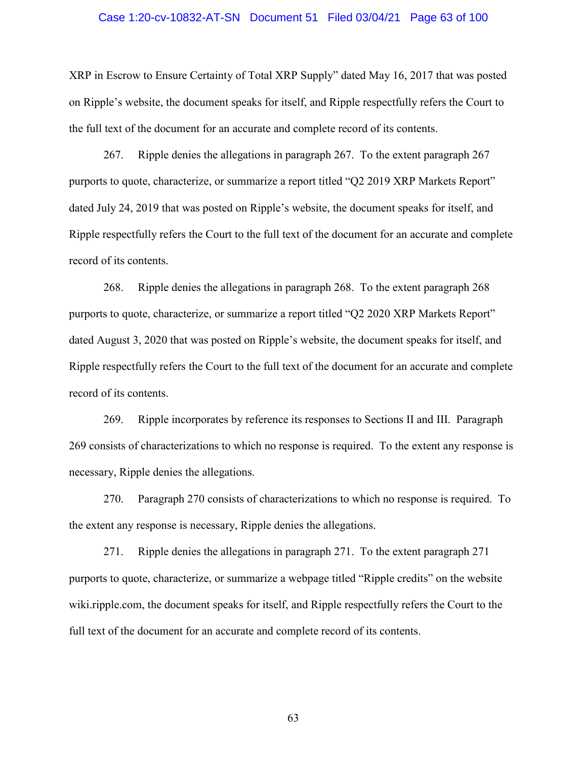#### Case 1:20-cv-10832-AT-SN Document 51 Filed 03/04/21 Page 63 of 100

XRP in Escrow to Ensure Certainty of Total XRP Supply" dated May 16, 2017 that was posted on Ripple's website, the document speaks for itself, and Ripple respectfully refers the Court to the full text of the document for an accurate and complete record of its contents.

267. Ripple denies the allegations in paragraph 267. To the extent paragraph 267 purports to quote, characterize, or summarize a report titled "Q2 2019 XRP Markets Report" dated July 24, 2019 that was posted on Ripple's website, the document speaks for itself, and Ripple respectfully refers the Court to the full text of the document for an accurate and complete record of its contents.

268. Ripple denies the allegations in paragraph 268. To the extent paragraph 268 purports to quote, characterize, or summarize a report titled "Q2 2020 XRP Markets Report" dated August 3, 2020 that was posted on Ripple's website, the document speaks for itself, and Ripple respectfully refers the Court to the full text of the document for an accurate and complete record of its contents.

269. Ripple incorporates by reference its responses to Sections II and III. Paragraph 269 consists of characterizations to which no response is required. To the extent any response is necessary, Ripple denies the allegations.

270. Paragraph 270 consists of characterizations to which no response is required. To the extent any response is necessary, Ripple denies the allegations.

271. Ripple denies the allegations in paragraph 271. To the extent paragraph 271 purports to quote, characterize, or summarize a webpage titled "Ripple credits" on the website wiki.ripple.com, the document speaks for itself, and Ripple respectfully refers the Court to the full text of the document for an accurate and complete record of its contents.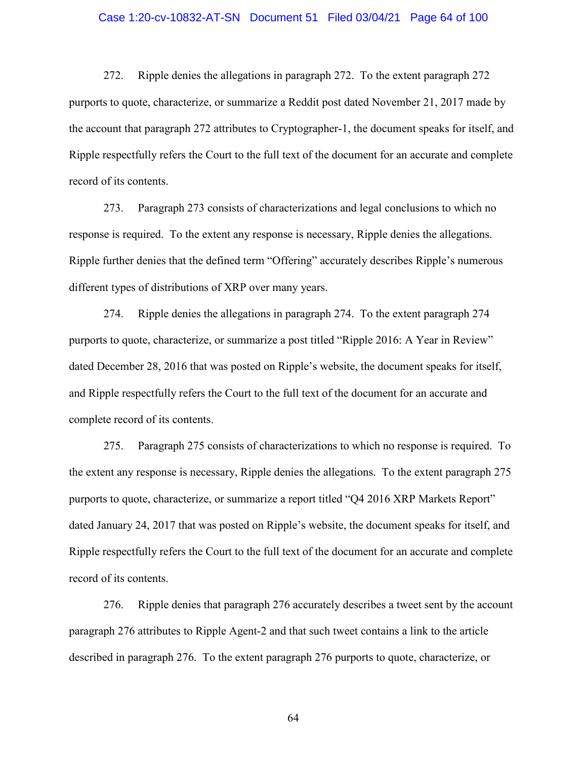# Case 1:20-cv-10832-AT-SN Document 51 Filed 03/04/21 Page 64 of 100

272. Ripple denies the allegations in paragraph 272. To the extent paragraph 272 purports to quote, characterize, or summarize a Reddit post dated November 21, 2017 made by the account that paragraph 272 attributes to Cryptographer-1, the document speaks for itself, and Ripple respectfully refers the Court to the full text of the document for an accurate and complete record of its contents.

273. Paragraph 273 consists of characterizations and legal conclusions to which no response is required. To the extent any response is necessary, Ripple denies the allegations. Ripple further denies that the defined term "Offering" accurately describes Ripple's numerous different types of distributions of XRP over many years.

274. Ripple denies the allegations in paragraph 274. To the extent paragraph 274 purports to quote, characterize, or summarize a post titled "Ripple 2016: A Year in Review" dated December 28, 2016 that was posted on Ripple's website, the document speaks for itself, and Ripple respectfully refers the Court to the full text of the document for an accurate and complete record of its contents.

275. Paragraph 275 consists of characterizations to which no response is required. To the extent any response is necessary, Ripple denies the allegations. To the extent paragraph 275 purports to quote, characterize, or summarize a report titled "Q4 2016 XRP Markets Report" dated January 24, 2017 that was posted on Ripple's website, the document speaks for itself, and Ripple respectfully refers the Court to the full text of the document for an accurate and complete record of its contents.

276. Ripple denies that paragraph 276 accurately describes a tweet sent by the account paragraph 276 attributes to Ripple Agent-2 and that such tweet contains a link to the article described in paragraph 276. To the extent paragraph 276 purports to quote, characterize, or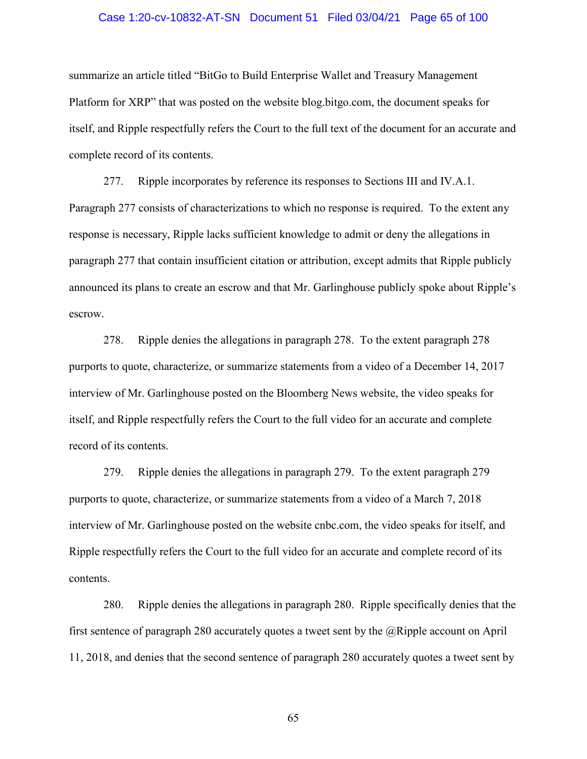# Case 1:20-cv-10832-AT-SN Document 51 Filed 03/04/21 Page 65 of 100

summarize an article titled "BitGo to Build Enterprise Wallet and Treasury Management Platform for XRP" that was posted on the website blog.bitgo.com, the document speaks for itself, and Ripple respectfully refers the Court to the full text of the document for an accurate and complete record of its contents.

277. Ripple incorporates by reference its responses to Sections III and IV.A.1. Paragraph 277 consists of characterizations to which no response is required. To the extent any response is necessary, Ripple lacks sufficient knowledge to admit or deny the allegations in paragraph 277 that contain insufficient citation or attribution, except admits that Ripple publicly announced its plans to create an escrow and that Mr. Garlinghouse publicly spoke about Ripple's escrow.

278. Ripple denies the allegations in paragraph 278. To the extent paragraph 278 purports to quote, characterize, or summarize statements from a video of a December 14, 2017 interview of Mr. Garlinghouse posted on the Bloomberg News website, the video speaks for itself, and Ripple respectfully refers the Court to the full video for an accurate and complete record of its contents.

279. Ripple denies the allegations in paragraph 279. To the extent paragraph 279 purports to quote, characterize, or summarize statements from a video of a March 7, 2018 interview of Mr. Garlinghouse posted on the website cnbc.com, the video speaks for itself, and Ripple respectfully refers the Court to the full video for an accurate and complete record of its contents.

280. Ripple denies the allegations in paragraph 280. Ripple specifically denies that the first sentence of paragraph 280 accurately quotes a tweet sent by the  $@Ripple$  account on April 11, 2018, and denies that the second sentence of paragraph 280 accurately quotes a tweet sent by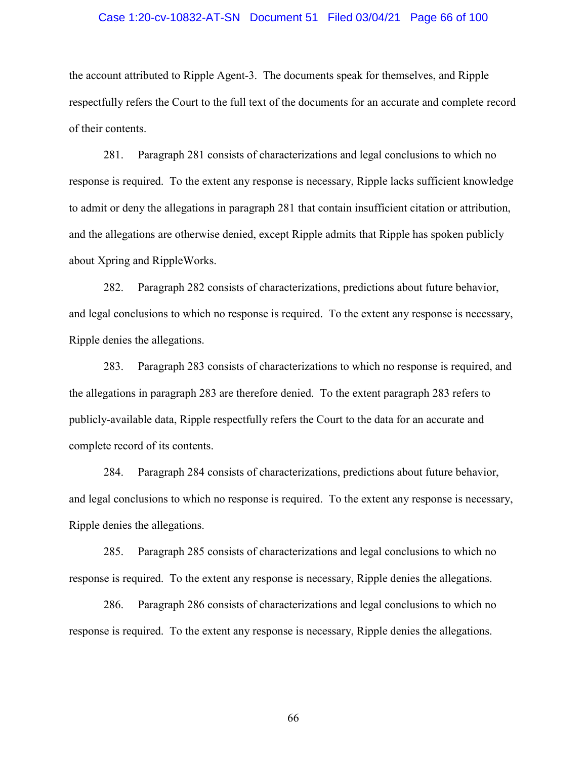# Case 1:20-cv-10832-AT-SN Document 51 Filed 03/04/21 Page 66 of 100

the account attributed to Ripple Agent-3. The documents speak for themselves, and Ripple respectfully refers the Court to the full text of the documents for an accurate and complete record of their contents.

281. Paragraph 281 consists of characterizations and legal conclusions to which no response is required. To the extent any response is necessary, Ripple lacks sufficient knowledge to admit or deny the allegations in paragraph 281 that contain insufficient citation or attribution, and the allegations are otherwise denied, except Ripple admits that Ripple has spoken publicly about Xpring and RippleWorks.

282. Paragraph 282 consists of characterizations, predictions about future behavior, and legal conclusions to which no response is required. To the extent any response is necessary, Ripple denies the allegations.

283. Paragraph 283 consists of characterizations to which no response is required, and the allegations in paragraph 283 are therefore denied. To the extent paragraph 283 refers to publicly-available data, Ripple respectfully refers the Court to the data for an accurate and complete record of its contents.

284. Paragraph 284 consists of characterizations, predictions about future behavior, and legal conclusions to which no response is required. To the extent any response is necessary, Ripple denies the allegations.

285. Paragraph 285 consists of characterizations and legal conclusions to which no response is required. To the extent any response is necessary, Ripple denies the allegations.

286. Paragraph 286 consists of characterizations and legal conclusions to which no response is required. To the extent any response is necessary, Ripple denies the allegations.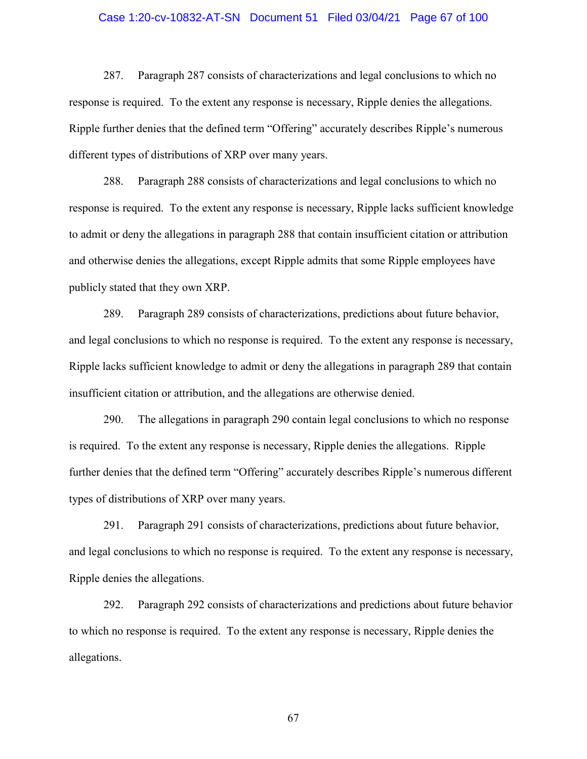# Case 1:20-cv-10832-AT-SN Document 51 Filed 03/04/21 Page 67 of 100

287. Paragraph 287 consists of characterizations and legal conclusions to which no response is required. To the extent any response is necessary, Ripple denies the allegations. Ripple further denies that the defined term "Offering" accurately describes Ripple's numerous different types of distributions of XRP over many years.

288. Paragraph 288 consists of characterizations and legal conclusions to which no response is required. To the extent any response is necessary, Ripple lacks sufficient knowledge to admit or deny the allegations in paragraph 288 that contain insufficient citation or attribution and otherwise denies the allegations, except Ripple admits that some Ripple employees have publicly stated that they own XRP.

289. Paragraph 289 consists of characterizations, predictions about future behavior, and legal conclusions to which no response is required. To the extent any response is necessary, Ripple lacks sufficient knowledge to admit or deny the allegations in paragraph 289 that contain insufficient citation or attribution, and the allegations are otherwise denied.

290. The allegations in paragraph 290 contain legal conclusions to which no response is required. To the extent any response is necessary, Ripple denies the allegations. Ripple further denies that the defined term "Offering" accurately describes Ripple's numerous different types of distributions of XRP over many years.

291. Paragraph 291 consists of characterizations, predictions about future behavior, and legal conclusions to which no response is required. To the extent any response is necessary, Ripple denies the allegations.

292. Paragraph 292 consists of characterizations and predictions about future behavior to which no response is required. To the extent any response is necessary, Ripple denies the allegations.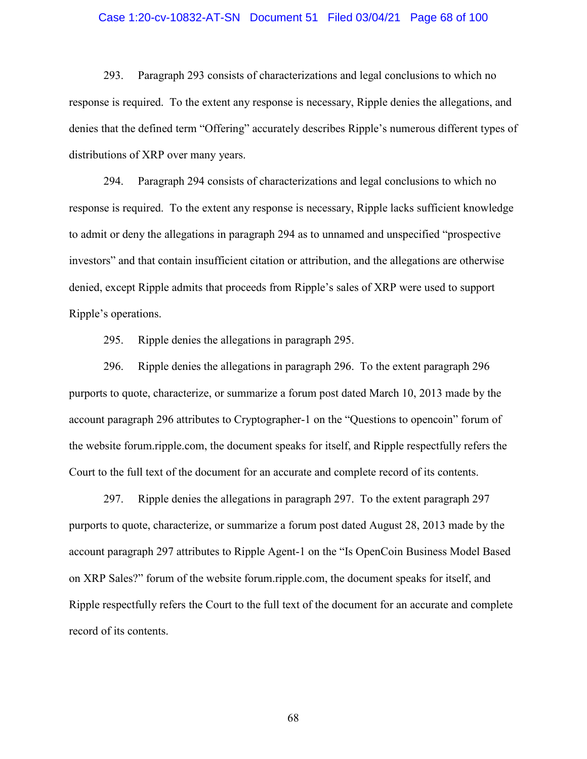# Case 1:20-cv-10832-AT-SN Document 51 Filed 03/04/21 Page 68 of 100

293. Paragraph 293 consists of characterizations and legal conclusions to which no response is required. To the extent any response is necessary, Ripple denies the allegations, and denies that the defined term "Offering" accurately describes Ripple's numerous different types of distributions of XRP over many years.

294. Paragraph 294 consists of characterizations and legal conclusions to which no response is required. To the extent any response is necessary, Ripple lacks sufficient knowledge to admit or deny the allegations in paragraph 294 as to unnamed and unspecified "prospective investors" and that contain insufficient citation or attribution, and the allegations are otherwise denied, except Ripple admits that proceeds from Ripple's sales of XRP were used to support Ripple's operations.

295. Ripple denies the allegations in paragraph 295.

296. Ripple denies the allegations in paragraph 296. To the extent paragraph 296 purports to quote, characterize, or summarize a forum post dated March 10, 2013 made by the account paragraph 296 attributes to Cryptographer-1 on the "Questions to opencoin" forum of the website forum.ripple.com, the document speaks for itself, and Ripple respectfully refers the Court to the full text of the document for an accurate and complete record of its contents.

297. Ripple denies the allegations in paragraph 297. To the extent paragraph 297 purports to quote, characterize, or summarize a forum post dated August 28, 2013 made by the account paragraph 297 attributes to Ripple Agent-1 on the "Is OpenCoin Business Model Based on XRP Sales?" forum of the website forum.ripple.com, the document speaks for itself, and Ripple respectfully refers the Court to the full text of the document for an accurate and complete record of its contents.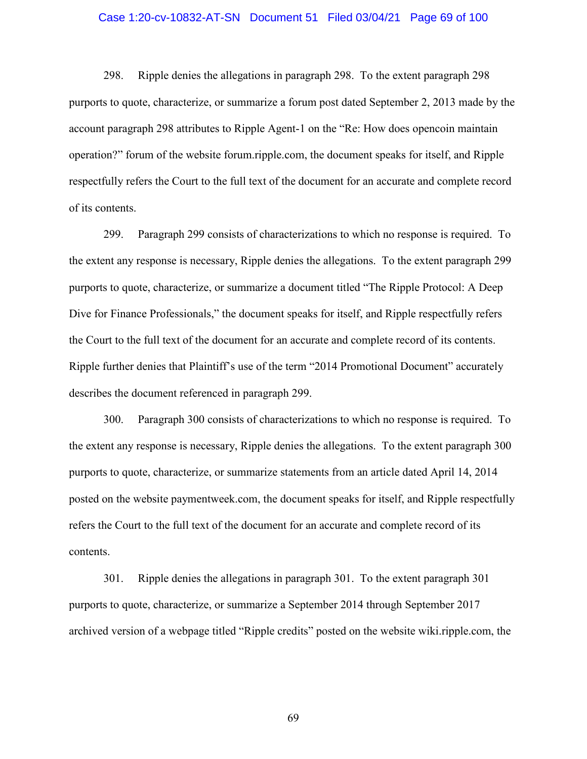# Case 1:20-cv-10832-AT-SN Document 51 Filed 03/04/21 Page 69 of 100

298. Ripple denies the allegations in paragraph 298. To the extent paragraph 298 purports to quote, characterize, or summarize a forum post dated September 2, 2013 made by the account paragraph 298 attributes to Ripple Agent-1 on the "Re: How does opencoin maintain operation?" forum of the website forum.ripple.com, the document speaks for itself, and Ripple respectfully refers the Court to the full text of the document for an accurate and complete record of its contents.

299. Paragraph 299 consists of characterizations to which no response is required. To the extent any response is necessary, Ripple denies the allegations. To the extent paragraph 299 purports to quote, characterize, or summarize a document titled "The Ripple Protocol: A Deep Dive for Finance Professionals," the document speaks for itself, and Ripple respectfully refers the Court to the full text of the document for an accurate and complete record of its contents. Ripple further denies that Plaintiff's use of the term "2014 Promotional Document" accurately describes the document referenced in paragraph 299.

300. Paragraph 300 consists of characterizations to which no response is required. To the extent any response is necessary, Ripple denies the allegations. To the extent paragraph 300 purports to quote, characterize, or summarize statements from an article dated April 14, 2014 posted on the website paymentweek.com, the document speaks for itself, and Ripple respectfully refers the Court to the full text of the document for an accurate and complete record of its contents.

301. Ripple denies the allegations in paragraph 301. To the extent paragraph 301 purports to quote, characterize, or summarize a September 2014 through September 2017 archived version of a webpage titled "Ripple credits" posted on the website wiki.ripple.com, the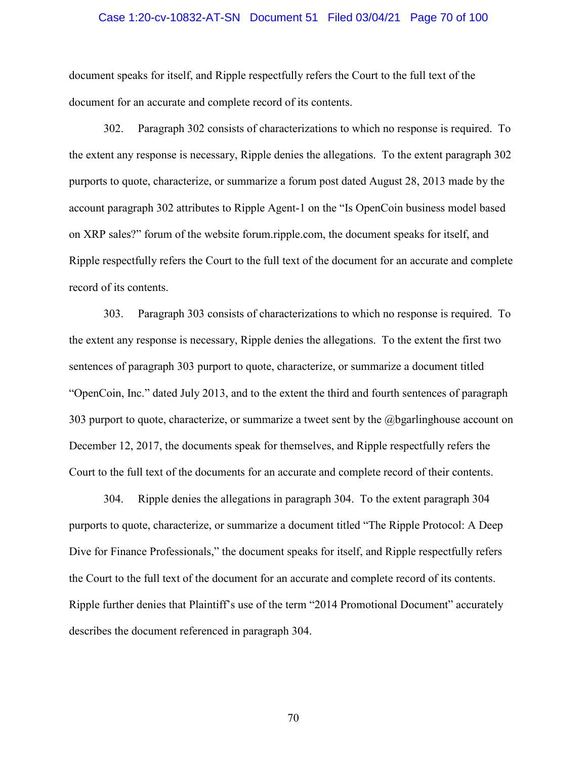# Case 1:20-cv-10832-AT-SN Document 51 Filed 03/04/21 Page 70 of 100

document speaks for itself, and Ripple respectfully refers the Court to the full text of the document for an accurate and complete record of its contents.

302. Paragraph 302 consists of characterizations to which no response is required. To the extent any response is necessary, Ripple denies the allegations. To the extent paragraph 302 purports to quote, characterize, or summarize a forum post dated August 28, 2013 made by the account paragraph 302 attributes to Ripple Agent-1 on the "Is OpenCoin business model based on XRP sales?" forum of the website forum.ripple.com, the document speaks for itself, and Ripple respectfully refers the Court to the full text of the document for an accurate and complete record of its contents.

303. Paragraph 303 consists of characterizations to which no response is required. To the extent any response is necessary, Ripple denies the allegations. To the extent the first two sentences of paragraph 303 purport to quote, characterize, or summarize a document titled "OpenCoin, Inc." dated July 2013, and to the extent the third and fourth sentences of paragraph 303 purport to quote, characterize, or summarize a tweet sent by the @bgarlinghouse account on December 12, 2017, the documents speak for themselves, and Ripple respectfully refers the Court to the full text of the documents for an accurate and complete record of their contents.

304. Ripple denies the allegations in paragraph 304. To the extent paragraph 304 purports to quote, characterize, or summarize a document titled "The Ripple Protocol: A Deep Dive for Finance Professionals," the document speaks for itself, and Ripple respectfully refers the Court to the full text of the document for an accurate and complete record of its contents. Ripple further denies that Plaintiff's use of the term "2014 Promotional Document" accurately describes the document referenced in paragraph 304.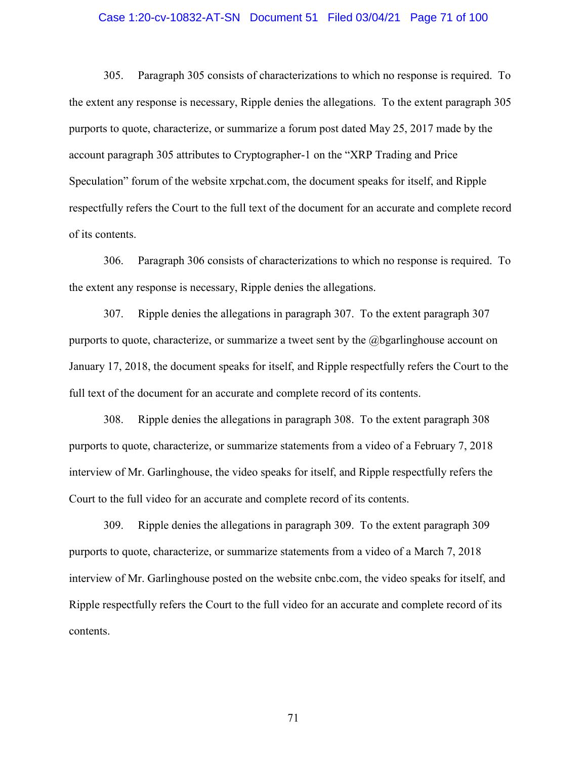## Case 1:20-cv-10832-AT-SN Document 51 Filed 03/04/21 Page 71 of 100

305. Paragraph 305 consists of characterizations to which no response is required. To the extent any response is necessary, Ripple denies the allegations. To the extent paragraph 305 purports to quote, characterize, or summarize a forum post dated May 25, 2017 made by the account paragraph 305 attributes to Cryptographer-1 on the "XRP Trading and Price Speculation" forum of the website xrpchat.com, the document speaks for itself, and Ripple respectfully refers the Court to the full text of the document for an accurate and complete record of its contents.

306. Paragraph 306 consists of characterizations to which no response is required. To the extent any response is necessary, Ripple denies the allegations.

307. Ripple denies the allegations in paragraph 307. To the extent paragraph 307 purports to quote, characterize, or summarize a tweet sent by the @bgarlinghouse account on January 17, 2018, the document speaks for itself, and Ripple respectfully refers the Court to the full text of the document for an accurate and complete record of its contents.

308. Ripple denies the allegations in paragraph 308. To the extent paragraph 308 purports to quote, characterize, or summarize statements from a video of a February 7, 2018 interview of Mr. Garlinghouse, the video speaks for itself, and Ripple respectfully refers the Court to the full video for an accurate and complete record of its contents.

309. Ripple denies the allegations in paragraph 309. To the extent paragraph 309 purports to quote, characterize, or summarize statements from a video of a March 7, 2018 interview of Mr. Garlinghouse posted on the website cnbc.com, the video speaks for itself, and Ripple respectfully refers the Court to the full video for an accurate and complete record of its contents.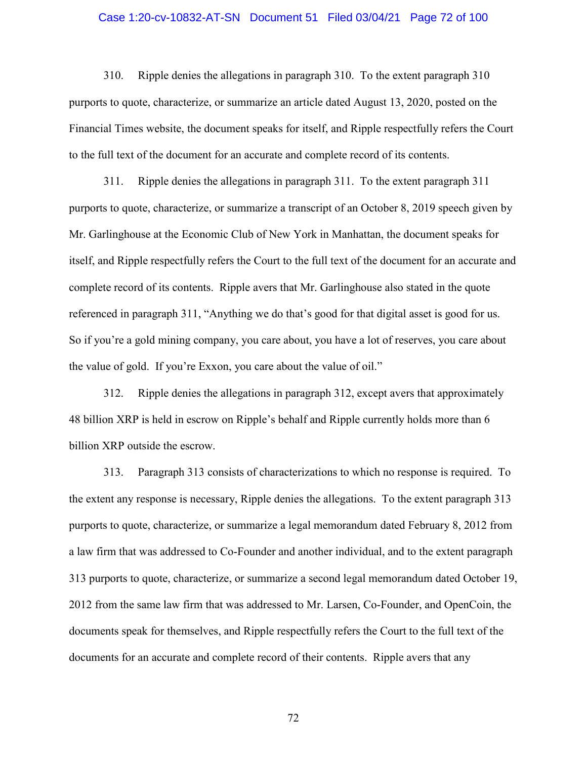# Case 1:20-cv-10832-AT-SN Document 51 Filed 03/04/21 Page 72 of 100

310. Ripple denies the allegations in paragraph 310. To the extent paragraph 310 purports to quote, characterize, or summarize an article dated August 13, 2020, posted on the Financial Times website, the document speaks for itself, and Ripple respectfully refers the Court to the full text of the document for an accurate and complete record of its contents.

311. Ripple denies the allegations in paragraph 311. To the extent paragraph 311 purports to quote, characterize, or summarize a transcript of an October 8, 2019 speech given by Mr. Garlinghouse at the Economic Club of New York in Manhattan, the document speaks for itself, and Ripple respectfully refers the Court to the full text of the document for an accurate and complete record of its contents. Ripple avers that Mr. Garlinghouse also stated in the quote referenced in paragraph 311, "Anything we do that's good for that digital asset is good for us. So if you're a gold mining company, you care about, you have a lot of reserves, you care about the value of gold. If you're Exxon, you care about the value of oil."

312. Ripple denies the allegations in paragraph 312, except avers that approximately 48 billion XRP is held in escrow on Ripple's behalf and Ripple currently holds more than 6 billion XRP outside the escrow.

313. Paragraph 313 consists of characterizations to which no response is required. To the extent any response is necessary, Ripple denies the allegations. To the extent paragraph 313 purports to quote, characterize, or summarize a legal memorandum dated February 8, 2012 from a law firm that was addressed to Co-Founder and another individual, and to the extent paragraph 313 purports to quote, characterize, or summarize a second legal memorandum dated October 19, 2012 from the same law firm that was addressed to Mr. Larsen, Co-Founder, and OpenCoin, the documents speak for themselves, and Ripple respectfully refers the Court to the full text of the documents for an accurate and complete record of their contents. Ripple avers that any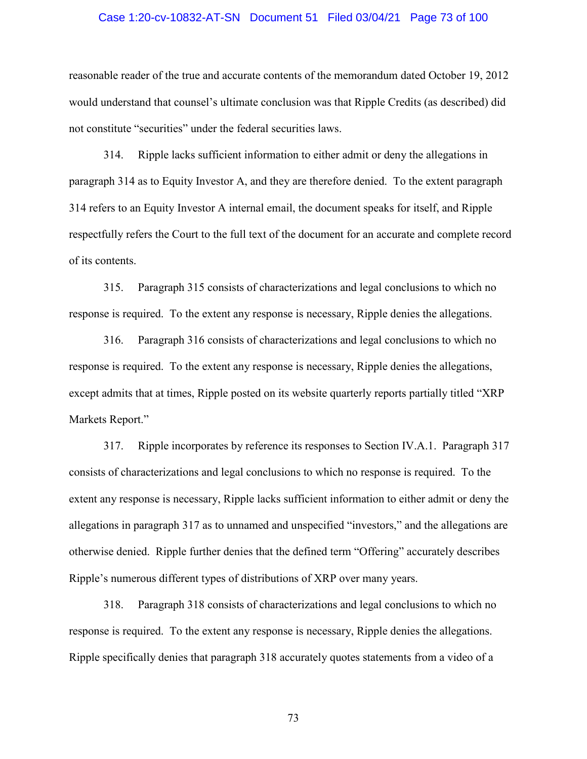## Case 1:20-cv-10832-AT-SN Document 51 Filed 03/04/21 Page 73 of 100

reasonable reader of the true and accurate contents of the memorandum dated October 19, 2012 would understand that counsel's ultimate conclusion was that Ripple Credits (as described) did not constitute "securities" under the federal securities laws.

314. Ripple lacks sufficient information to either admit or deny the allegations in paragraph 314 as to Equity Investor A, and they are therefore denied. To the extent paragraph 314 refers to an Equity Investor A internal email, the document speaks for itself, and Ripple respectfully refers the Court to the full text of the document for an accurate and complete record of its contents.

315. Paragraph 315 consists of characterizations and legal conclusions to which no response is required. To the extent any response is necessary, Ripple denies the allegations.

316. Paragraph 316 consists of characterizations and legal conclusions to which no response is required. To the extent any response is necessary, Ripple denies the allegations, except admits that at times, Ripple posted on its website quarterly reports partially titled "XRP Markets Report."

317. Ripple incorporates by reference its responses to Section IV.A.1. Paragraph 317 consists of characterizations and legal conclusions to which no response is required. To the extent any response is necessary, Ripple lacks sufficient information to either admit or deny the allegations in paragraph 317 as to unnamed and unspecified "investors," and the allegations are otherwise denied. Ripple further denies that the defined term "Offering" accurately describes Ripple's numerous different types of distributions of XRP over many years.

318. Paragraph 318 consists of characterizations and legal conclusions to which no response is required. To the extent any response is necessary, Ripple denies the allegations. Ripple specifically denies that paragraph 318 accurately quotes statements from a video of a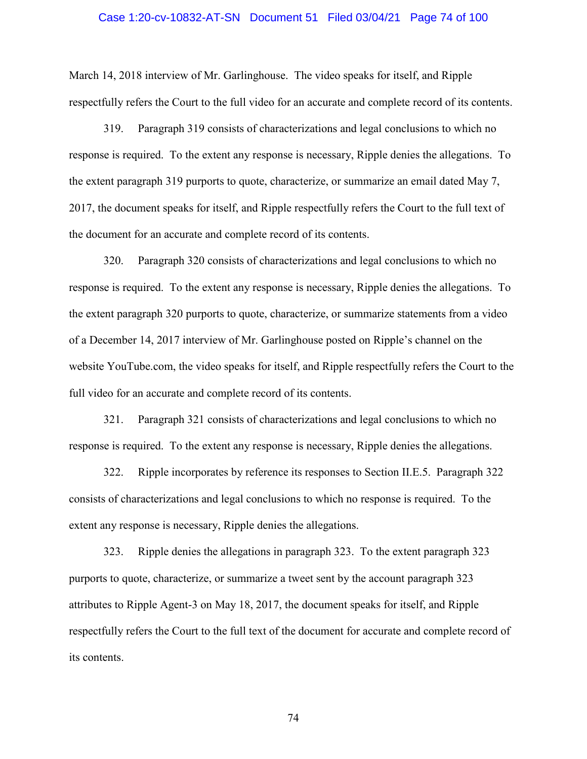### Case 1:20-cv-10832-AT-SN Document 51 Filed 03/04/21 Page 74 of 100

March 14, 2018 interview of Mr. Garlinghouse. The video speaks for itself, and Ripple respectfully refers the Court to the full video for an accurate and complete record of its contents.

319. Paragraph 319 consists of characterizations and legal conclusions to which no response is required. To the extent any response is necessary, Ripple denies the allegations. To the extent paragraph 319 purports to quote, characterize, or summarize an email dated May 7, 2017, the document speaks for itself, and Ripple respectfully refers the Court to the full text of the document for an accurate and complete record of its contents.

320. Paragraph 320 consists of characterizations and legal conclusions to which no response is required. To the extent any response is necessary, Ripple denies the allegations. To the extent paragraph 320 purports to quote, characterize, or summarize statements from a video of a December 14, 2017 interview of Mr. Garlinghouse posted on Ripple's channel on the website YouTube.com, the video speaks for itself, and Ripple respectfully refers the Court to the full video for an accurate and complete record of its contents.

321. Paragraph 321 consists of characterizations and legal conclusions to which no response is required. To the extent any response is necessary, Ripple denies the allegations.

322. Ripple incorporates by reference its responses to Section II.E.5. Paragraph 322 consists of characterizations and legal conclusions to which no response is required. To the extent any response is necessary, Ripple denies the allegations.

323. Ripple denies the allegations in paragraph 323. To the extent paragraph 323 purports to quote, characterize, or summarize a tweet sent by the account paragraph 323 attributes to Ripple Agent-3 on May 18, 2017, the document speaks for itself, and Ripple respectfully refers the Court to the full text of the document for accurate and complete record of its contents.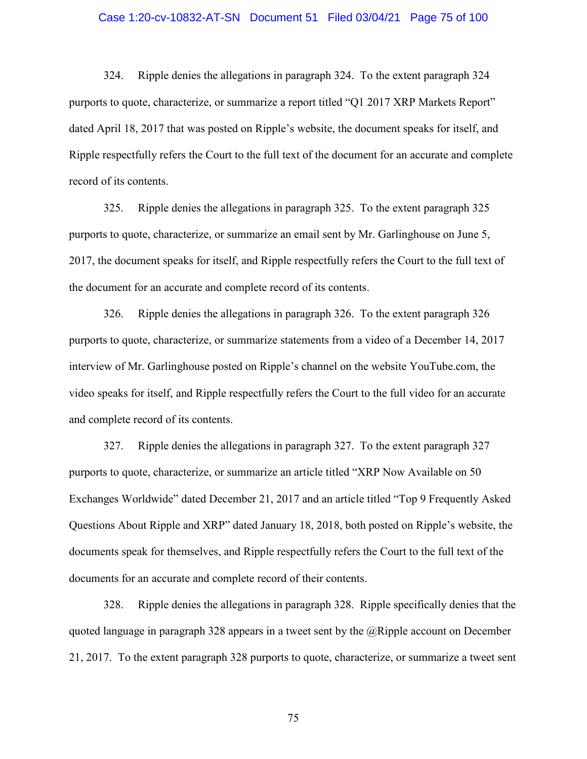# Case 1:20-cv-10832-AT-SN Document 51 Filed 03/04/21 Page 75 of 100

324. Ripple denies the allegations in paragraph 324. To the extent paragraph 324 purports to quote, characterize, or summarize a report titled "Q1 2017 XRP Markets Report" dated April 18, 2017 that was posted on Ripple's website, the document speaks for itself, and Ripple respectfully refers the Court to the full text of the document for an accurate and complete record of its contents.

325. Ripple denies the allegations in paragraph 325. To the extent paragraph 325 purports to quote, characterize, or summarize an email sent by Mr. Garlinghouse on June 5, 2017, the document speaks for itself, and Ripple respectfully refers the Court to the full text of the document for an accurate and complete record of its contents.

326. Ripple denies the allegations in paragraph 326. To the extent paragraph 326 purports to quote, characterize, or summarize statements from a video of a December 14, 2017 interview of Mr. Garlinghouse posted on Ripple's channel on the website YouTube.com, the video speaks for itself, and Ripple respectfully refers the Court to the full video for an accurate and complete record of its contents.

327. Ripple denies the allegations in paragraph 327. To the extent paragraph 327 purports to quote, characterize, or summarize an article titled "XRP Now Available on 50 Exchanges Worldwide" dated December 21, 2017 and an article titled "Top 9 Frequently Asked Questions About Ripple and XRP" dated January 18, 2018, both posted on Ripple's website, the documents speak for themselves, and Ripple respectfully refers the Court to the full text of the documents for an accurate and complete record of their contents.

328. Ripple denies the allegations in paragraph 328. Ripple specifically denies that the quoted language in paragraph 328 appears in a tweet sent by the @Ripple account on December 21, 2017. To the extent paragraph 328 purports to quote, characterize, or summarize a tweet sent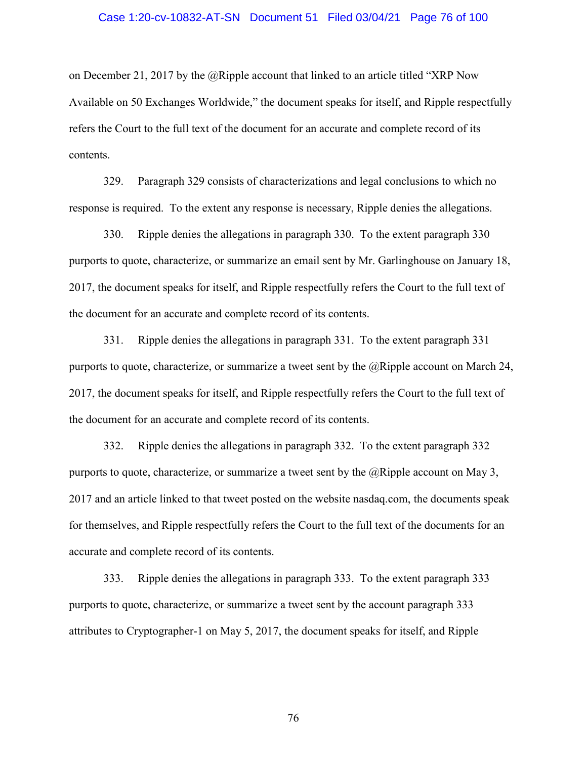#### Case 1:20-cv-10832-AT-SN Document 51 Filed 03/04/21 Page 76 of 100

on December 21, 2017 by the @Ripple account that linked to an article titled "XRP Now Available on 50 Exchanges Worldwide," the document speaks for itself, and Ripple respectfully refers the Court to the full text of the document for an accurate and complete record of its contents.

329. Paragraph 329 consists of characterizations and legal conclusions to which no response is required. To the extent any response is necessary, Ripple denies the allegations.

330. Ripple denies the allegations in paragraph 330. To the extent paragraph 330 purports to quote, characterize, or summarize an email sent by Mr. Garlinghouse on January 18, 2017, the document speaks for itself, and Ripple respectfully refers the Court to the full text of the document for an accurate and complete record of its contents.

331. Ripple denies the allegations in paragraph 331. To the extent paragraph 331 purports to quote, characterize, or summarize a tweet sent by the @Ripple account on March 24, 2017, the document speaks for itself, and Ripple respectfully refers the Court to the full text of the document for an accurate and complete record of its contents.

332. Ripple denies the allegations in paragraph 332. To the extent paragraph 332 purports to quote, characterize, or summarize a tweet sent by the  $@Ripple$  account on May 3, 2017 and an article linked to that tweet posted on the website nasdaq.com, the documents speak for themselves, and Ripple respectfully refers the Court to the full text of the documents for an accurate and complete record of its contents.

333. Ripple denies the allegations in paragraph 333. To the extent paragraph 333 purports to quote, characterize, or summarize a tweet sent by the account paragraph 333 attributes to Cryptographer-1 on May 5, 2017, the document speaks for itself, and Ripple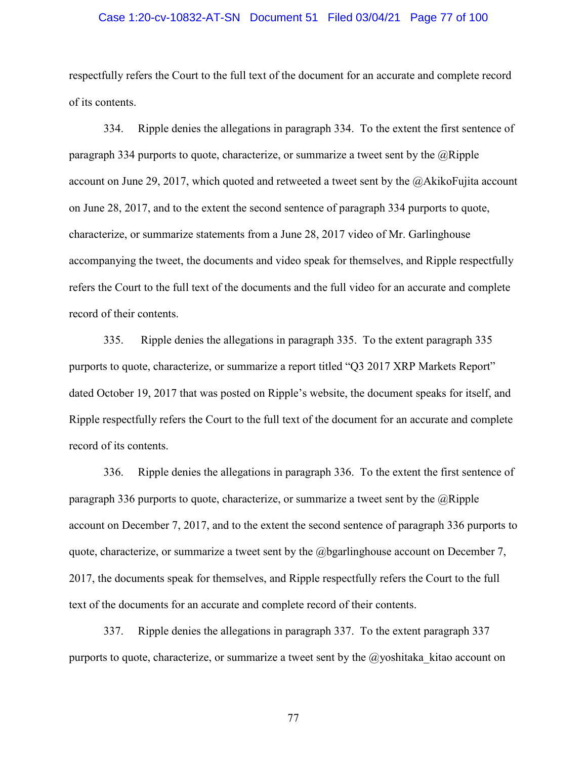# Case 1:20-cv-10832-AT-SN Document 51 Filed 03/04/21 Page 77 of 100

respectfully refers the Court to the full text of the document for an accurate and complete record of its contents.

334. Ripple denies the allegations in paragraph 334. To the extent the first sentence of paragraph 334 purports to quote, characterize, or summarize a tweet sent by the  $@Ripple$ account on June 29, 2017, which quoted and retweeted a tweet sent by the @AkikoFujita account on June 28, 2017, and to the extent the second sentence of paragraph 334 purports to quote, characterize, or summarize statements from a June 28, 2017 video of Mr. Garlinghouse accompanying the tweet, the documents and video speak for themselves, and Ripple respectfully refers the Court to the full text of the documents and the full video for an accurate and complete record of their contents.

335. Ripple denies the allegations in paragraph 335. To the extent paragraph 335 purports to quote, characterize, or summarize a report titled "Q3 2017 XRP Markets Report" dated October 19, 2017 that was posted on Ripple's website, the document speaks for itself, and Ripple respectfully refers the Court to the full text of the document for an accurate and complete record of its contents.

336. Ripple denies the allegations in paragraph 336. To the extent the first sentence of paragraph 336 purports to quote, characterize, or summarize a tweet sent by the  $@Ripple$ account on December 7, 2017, and to the extent the second sentence of paragraph 336 purports to quote, characterize, or summarize a tweet sent by the  $@$  begarlinghouse account on December 7, 2017, the documents speak for themselves, and Ripple respectfully refers the Court to the full text of the documents for an accurate and complete record of their contents.

337. Ripple denies the allegations in paragraph 337. To the extent paragraph 337 purports to quote, characterize, or summarize a tweet sent by the  $\omega$  yoshitaka kitao account on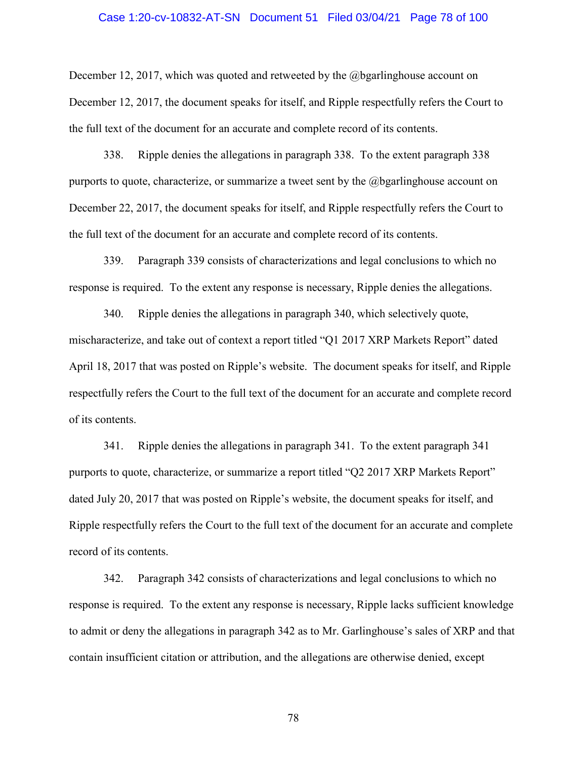#### Case 1:20-cv-10832-AT-SN Document 51 Filed 03/04/21 Page 78 of 100

December 12, 2017, which was quoted and retweeted by the  $@$  bearlinghouse account on December 12, 2017, the document speaks for itself, and Ripple respectfully refers the Court to the full text of the document for an accurate and complete record of its contents.

338. Ripple denies the allegations in paragraph 338. To the extent paragraph 338 purports to quote, characterize, or summarize a tweet sent by the @bgarlinghouse account on December 22, 2017, the document speaks for itself, and Ripple respectfully refers the Court to the full text of the document for an accurate and complete record of its contents.

339. Paragraph 339 consists of characterizations and legal conclusions to which no response is required. To the extent any response is necessary, Ripple denies the allegations.

340. Ripple denies the allegations in paragraph 340, which selectively quote, mischaracterize, and take out of context a report titled "Q1 2017 XRP Markets Report" dated April 18, 2017 that was posted on Ripple's website. The document speaks for itself, and Ripple respectfully refers the Court to the full text of the document for an accurate and complete record of its contents.

341. Ripple denies the allegations in paragraph 341. To the extent paragraph 341 purports to quote, characterize, or summarize a report titled "Q2 2017 XRP Markets Report" dated July 20, 2017 that was posted on Ripple's website, the document speaks for itself, and Ripple respectfully refers the Court to the full text of the document for an accurate and complete record of its contents.

342. Paragraph 342 consists of characterizations and legal conclusions to which no response is required. To the extent any response is necessary, Ripple lacks sufficient knowledge to admit or deny the allegations in paragraph 342 as to Mr. Garlinghouse's sales of XRP and that contain insufficient citation or attribution, and the allegations are otherwise denied, except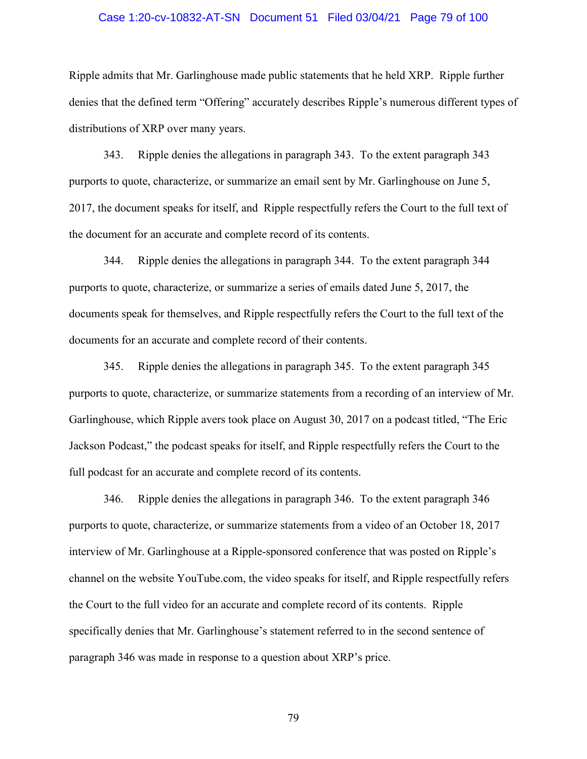# Case 1:20-cv-10832-AT-SN Document 51 Filed 03/04/21 Page 79 of 100

Ripple admits that Mr. Garlinghouse made public statements that he held XRP. Ripple further denies that the defined term "Offering" accurately describes Ripple's numerous different types of distributions of XRP over many years.

343. Ripple denies the allegations in paragraph 343. To the extent paragraph 343 purports to quote, characterize, or summarize an email sent by Mr. Garlinghouse on June 5, 2017, the document speaks for itself, and Ripple respectfully refers the Court to the full text of the document for an accurate and complete record of its contents.

344. Ripple denies the allegations in paragraph 344. To the extent paragraph 344 purports to quote, characterize, or summarize a series of emails dated June 5, 2017, the documents speak for themselves, and Ripple respectfully refers the Court to the full text of the documents for an accurate and complete record of their contents.

345. Ripple denies the allegations in paragraph 345. To the extent paragraph 345 purports to quote, characterize, or summarize statements from a recording of an interview of Mr. Garlinghouse, which Ripple avers took place on August 30, 2017 on a podcast titled, "The Eric Jackson Podcast," the podcast speaks for itself, and Ripple respectfully refers the Court to the full podcast for an accurate and complete record of its contents.

346. Ripple denies the allegations in paragraph 346. To the extent paragraph 346 purports to quote, characterize, or summarize statements from a video of an October 18, 2017 interview of Mr. Garlinghouse at a Ripple-sponsored conference that was posted on Ripple's channel on the website YouTube.com, the video speaks for itself, and Ripple respectfully refers the Court to the full video for an accurate and complete record of its contents. Ripple specifically denies that Mr. Garlinghouse's statement referred to in the second sentence of paragraph 346 was made in response to a question about XRP's price.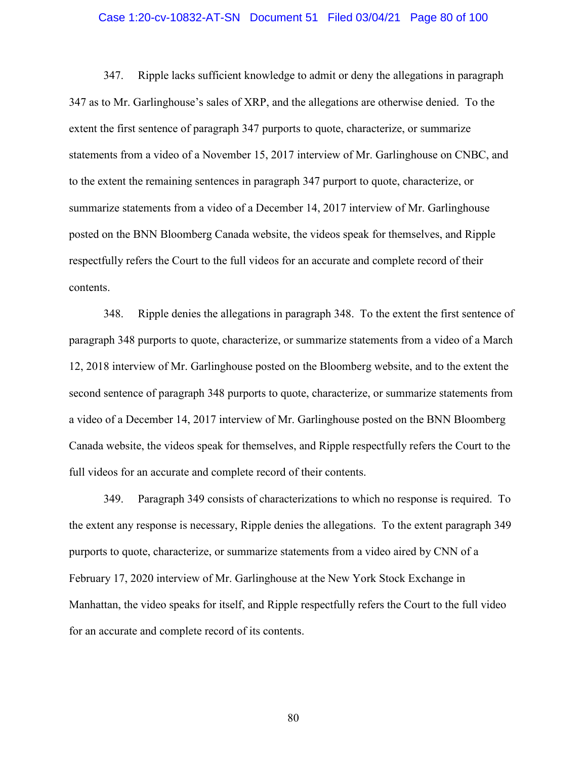# Case 1:20-cv-10832-AT-SN Document 51 Filed 03/04/21 Page 80 of 100

347. Ripple lacks sufficient knowledge to admit or deny the allegations in paragraph 347 as to Mr. Garlinghouse's sales of XRP, and the allegations are otherwise denied. To the extent the first sentence of paragraph 347 purports to quote, characterize, or summarize statements from a video of a November 15, 2017 interview of Mr. Garlinghouse on CNBC, and to the extent the remaining sentences in paragraph 347 purport to quote, characterize, or summarize statements from a video of a December 14, 2017 interview of Mr. Garlinghouse posted on the BNN Bloomberg Canada website, the videos speak for themselves, and Ripple respectfully refers the Court to the full videos for an accurate and complete record of their contents.

348. Ripple denies the allegations in paragraph 348. To the extent the first sentence of paragraph 348 purports to quote, characterize, or summarize statements from a video of a March 12, 2018 interview of Mr. Garlinghouse posted on the Bloomberg website, and to the extent the second sentence of paragraph 348 purports to quote, characterize, or summarize statements from a video of a December 14, 2017 interview of Mr. Garlinghouse posted on the BNN Bloomberg Canada website, the videos speak for themselves, and Ripple respectfully refers the Court to the full videos for an accurate and complete record of their contents.

349. Paragraph 349 consists of characterizations to which no response is required. To the extent any response is necessary, Ripple denies the allegations. To the extent paragraph 349 purports to quote, characterize, or summarize statements from a video aired by CNN of a February 17, 2020 interview of Mr. Garlinghouse at the New York Stock Exchange in Manhattan, the video speaks for itself, and Ripple respectfully refers the Court to the full video for an accurate and complete record of its contents.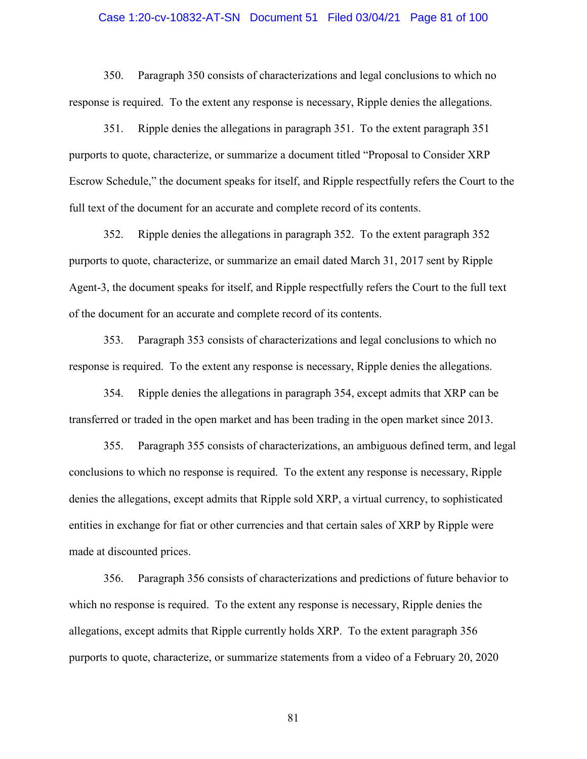## Case 1:20-cv-10832-AT-SN Document 51 Filed 03/04/21 Page 81 of 100

350. Paragraph 350 consists of characterizations and legal conclusions to which no response is required. To the extent any response is necessary, Ripple denies the allegations.

351. Ripple denies the allegations in paragraph 351. To the extent paragraph 351 purports to quote, characterize, or summarize a document titled "Proposal to Consider XRP Escrow Schedule," the document speaks for itself, and Ripple respectfully refers the Court to the full text of the document for an accurate and complete record of its contents.

352. Ripple denies the allegations in paragraph 352. To the extent paragraph 352 purports to quote, characterize, or summarize an email dated March 31, 2017 sent by Ripple Agent-3, the document speaks for itself, and Ripple respectfully refers the Court to the full text of the document for an accurate and complete record of its contents.

353. Paragraph 353 consists of characterizations and legal conclusions to which no response is required. To the extent any response is necessary, Ripple denies the allegations.

354. Ripple denies the allegations in paragraph 354, except admits that XRP can be transferred or traded in the open market and has been trading in the open market since 2013.

355. Paragraph 355 consists of characterizations, an ambiguous defined term, and legal conclusions to which no response is required. To the extent any response is necessary, Ripple denies the allegations, except admits that Ripple sold XRP, a virtual currency, to sophisticated entities in exchange for fiat or other currencies and that certain sales of XRP by Ripple were made at discounted prices.

356. Paragraph 356 consists of characterizations and predictions of future behavior to which no response is required. To the extent any response is necessary, Ripple denies the allegations, except admits that Ripple currently holds XRP. To the extent paragraph 356 purports to quote, characterize, or summarize statements from a video of a February 20, 2020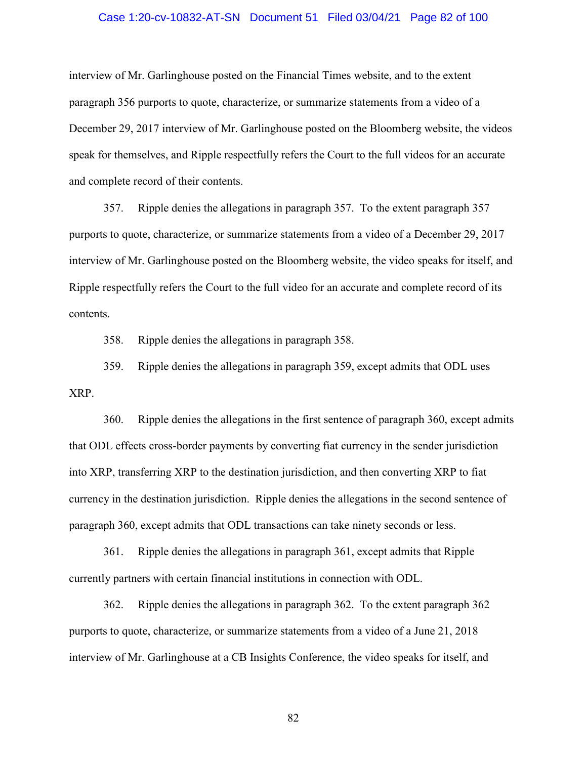# Case 1:20-cv-10832-AT-SN Document 51 Filed 03/04/21 Page 82 of 100

interview of Mr. Garlinghouse posted on the Financial Times website, and to the extent paragraph 356 purports to quote, characterize, or summarize statements from a video of a December 29, 2017 interview of Mr. Garlinghouse posted on the Bloomberg website, the videos speak for themselves, and Ripple respectfully refers the Court to the full videos for an accurate and complete record of their contents.

357. Ripple denies the allegations in paragraph 357. To the extent paragraph 357 purports to quote, characterize, or summarize statements from a video of a December 29, 2017 interview of Mr. Garlinghouse posted on the Bloomberg website, the video speaks for itself, and Ripple respectfully refers the Court to the full video for an accurate and complete record of its contents.

358. Ripple denies the allegations in paragraph 358.

359. Ripple denies the allegations in paragraph 359, except admits that ODL uses XRP.

360. Ripple denies the allegations in the first sentence of paragraph 360, except admits that ODL effects cross-border payments by converting fiat currency in the sender jurisdiction into XRP, transferring XRP to the destination jurisdiction, and then converting XRP to fiat currency in the destination jurisdiction. Ripple denies the allegations in the second sentence of paragraph 360, except admits that ODL transactions can take ninety seconds or less.

361. Ripple denies the allegations in paragraph 361, except admits that Ripple currently partners with certain financial institutions in connection with ODL.

362. Ripple denies the allegations in paragraph 362. To the extent paragraph 362 purports to quote, characterize, or summarize statements from a video of a June 21, 2018 interview of Mr. Garlinghouse at a CB Insights Conference, the video speaks for itself, and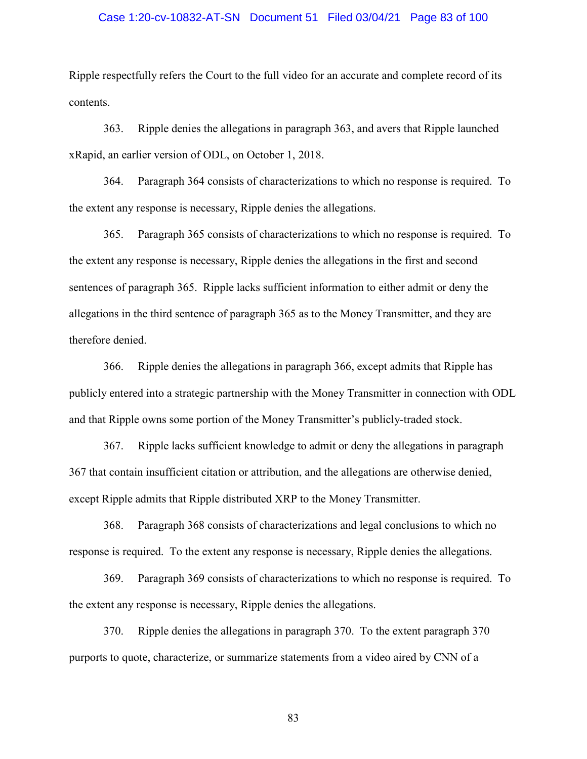# Case 1:20-cv-10832-AT-SN Document 51 Filed 03/04/21 Page 83 of 100

Ripple respectfully refers the Court to the full video for an accurate and complete record of its contents.

363. Ripple denies the allegations in paragraph 363, and avers that Ripple launched xRapid, an earlier version of ODL, on October 1, 2018.

364. Paragraph 364 consists of characterizations to which no response is required. To the extent any response is necessary, Ripple denies the allegations.

365. Paragraph 365 consists of characterizations to which no response is required. To the extent any response is necessary, Ripple denies the allegations in the first and second sentences of paragraph 365. Ripple lacks sufficient information to either admit or deny the allegations in the third sentence of paragraph 365 as to the Money Transmitter, and they are therefore denied.

366. Ripple denies the allegations in paragraph 366, except admits that Ripple has publicly entered into a strategic partnership with the Money Transmitter in connection with ODL and that Ripple owns some portion of the Money Transmitter's publicly-traded stock.

367. Ripple lacks sufficient knowledge to admit or deny the allegations in paragraph 367 that contain insufficient citation or attribution, and the allegations are otherwise denied, except Ripple admits that Ripple distributed XRP to the Money Transmitter.

368. Paragraph 368 consists of characterizations and legal conclusions to which no response is required. To the extent any response is necessary, Ripple denies the allegations.

369. Paragraph 369 consists of characterizations to which no response is required. To the extent any response is necessary, Ripple denies the allegations.

370. Ripple denies the allegations in paragraph 370. To the extent paragraph 370 purports to quote, characterize, or summarize statements from a video aired by CNN of a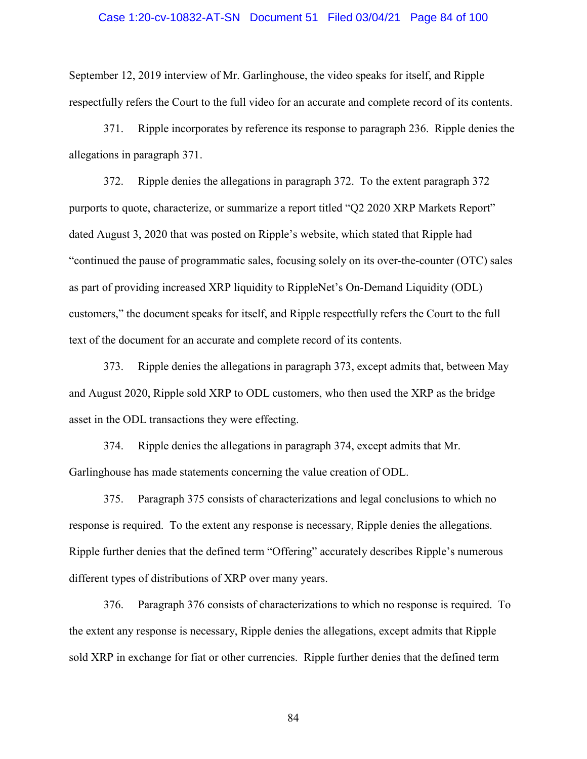## Case 1:20-cv-10832-AT-SN Document 51 Filed 03/04/21 Page 84 of 100

September 12, 2019 interview of Mr. Garlinghouse, the video speaks for itself, and Ripple respectfully refers the Court to the full video for an accurate and complete record of its contents.

371. Ripple incorporates by reference its response to paragraph 236. Ripple denies the allegations in paragraph 371.

372. Ripple denies the allegations in paragraph 372. To the extent paragraph 372 purports to quote, characterize, or summarize a report titled "Q2 2020 XRP Markets Report" dated August 3, 2020 that was posted on Ripple's website, which stated that Ripple had "continued the pause of programmatic sales, focusing solely on its over-the-counter (OTC) sales as part of providing increased XRP liquidity to RippleNet's On-Demand Liquidity (ODL) customers," the document speaks for itself, and Ripple respectfully refers the Court to the full text of the document for an accurate and complete record of its contents.

373. Ripple denies the allegations in paragraph 373, except admits that, between May and August 2020, Ripple sold XRP to ODL customers, who then used the XRP as the bridge asset in the ODL transactions they were effecting.

374. Ripple denies the allegations in paragraph 374, except admits that Mr. Garlinghouse has made statements concerning the value creation of ODL.

375. Paragraph 375 consists of characterizations and legal conclusions to which no response is required. To the extent any response is necessary, Ripple denies the allegations. Ripple further denies that the defined term "Offering" accurately describes Ripple's numerous different types of distributions of XRP over many years.

376. Paragraph 376 consists of characterizations to which no response is required. To the extent any response is necessary, Ripple denies the allegations, except admits that Ripple sold XRP in exchange for fiat or other currencies. Ripple further denies that the defined term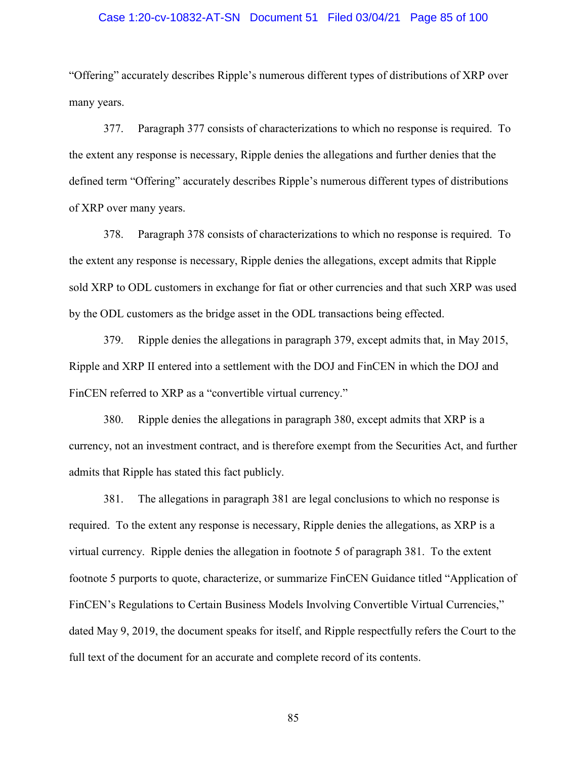### Case 1:20-cv-10832-AT-SN Document 51 Filed 03/04/21 Page 85 of 100

"Offering" accurately describes Ripple's numerous different types of distributions of XRP over many years.

377. Paragraph 377 consists of characterizations to which no response is required. To the extent any response is necessary, Ripple denies the allegations and further denies that the defined term "Offering" accurately describes Ripple's numerous different types of distributions of XRP over many years.

378. Paragraph 378 consists of characterizations to which no response is required. To the extent any response is necessary, Ripple denies the allegations, except admits that Ripple sold XRP to ODL customers in exchange for fiat or other currencies and that such XRP was used by the ODL customers as the bridge asset in the ODL transactions being effected.

379. Ripple denies the allegations in paragraph 379, except admits that, in May 2015, Ripple and XRP II entered into a settlement with the DOJ and FinCEN in which the DOJ and FinCEN referred to XRP as a "convertible virtual currency."

380. Ripple denies the allegations in paragraph 380, except admits that XRP is a currency, not an investment contract, and is therefore exempt from the Securities Act, and further admits that Ripple has stated this fact publicly.

381. The allegations in paragraph 381 are legal conclusions to which no response is required. To the extent any response is necessary, Ripple denies the allegations, as XRP is a virtual currency. Ripple denies the allegation in footnote 5 of paragraph 381. To the extent footnote 5 purports to quote, characterize, or summarize FinCEN Guidance titled "Application of FinCEN's Regulations to Certain Business Models Involving Convertible Virtual Currencies," dated May 9, 2019, the document speaks for itself, and Ripple respectfully refers the Court to the full text of the document for an accurate and complete record of its contents.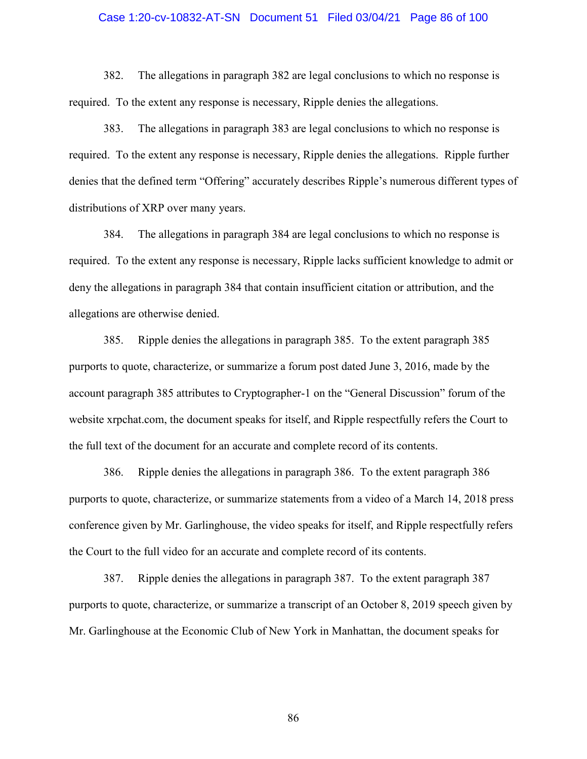## Case 1:20-cv-10832-AT-SN Document 51 Filed 03/04/21 Page 86 of 100

382. The allegations in paragraph 382 are legal conclusions to which no response is required. To the extent any response is necessary, Ripple denies the allegations.

383. The allegations in paragraph 383 are legal conclusions to which no response is required. To the extent any response is necessary, Ripple denies the allegations. Ripple further denies that the defined term "Offering" accurately describes Ripple's numerous different types of distributions of XRP over many years.

384. The allegations in paragraph 384 are legal conclusions to which no response is required. To the extent any response is necessary, Ripple lacks sufficient knowledge to admit or deny the allegations in paragraph 384 that contain insufficient citation or attribution, and the allegations are otherwise denied.

385. Ripple denies the allegations in paragraph 385. To the extent paragraph 385 purports to quote, characterize, or summarize a forum post dated June 3, 2016, made by the account paragraph 385 attributes to Cryptographer-1 on the "General Discussion" forum of the website xrpchat.com, the document speaks for itself, and Ripple respectfully refers the Court to the full text of the document for an accurate and complete record of its contents.

386. Ripple denies the allegations in paragraph 386. To the extent paragraph 386 purports to quote, characterize, or summarize statements from a video of a March 14, 2018 press conference given by Mr. Garlinghouse, the video speaks for itself, and Ripple respectfully refers the Court to the full video for an accurate and complete record of its contents.

387. Ripple denies the allegations in paragraph 387. To the extent paragraph 387 purports to quote, characterize, or summarize a transcript of an October 8, 2019 speech given by Mr. Garlinghouse at the Economic Club of New York in Manhattan, the document speaks for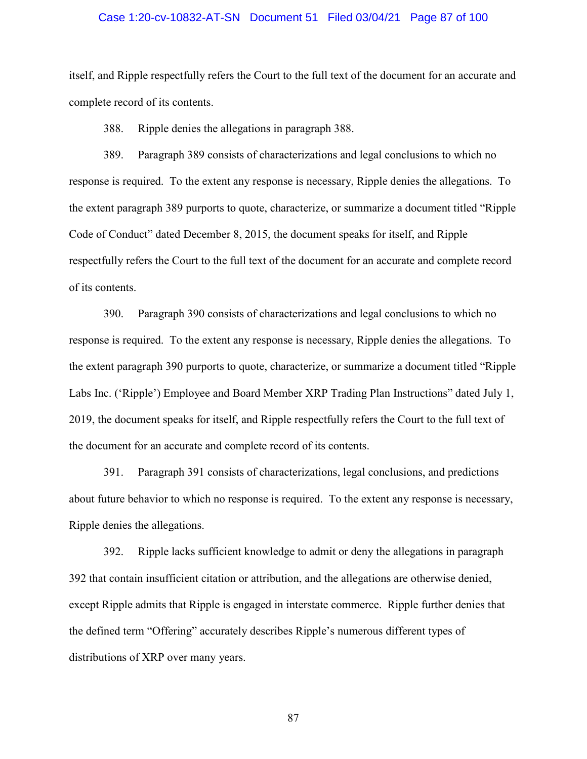# Case 1:20-cv-10832-AT-SN Document 51 Filed 03/04/21 Page 87 of 100

itself, and Ripple respectfully refers the Court to the full text of the document for an accurate and complete record of its contents.

388. Ripple denies the allegations in paragraph 388.

389. Paragraph 389 consists of characterizations and legal conclusions to which no response is required. To the extent any response is necessary, Ripple denies the allegations. To the extent paragraph 389 purports to quote, characterize, or summarize a document titled "Ripple Code of Conduct" dated December 8, 2015, the document speaks for itself, and Ripple respectfully refers the Court to the full text of the document for an accurate and complete record of its contents.

390. Paragraph 390 consists of characterizations and legal conclusions to which no response is required. To the extent any response is necessary, Ripple denies the allegations. To the extent paragraph 390 purports to quote, characterize, or summarize a document titled "Ripple Labs Inc. ('Ripple') Employee and Board Member XRP Trading Plan Instructions" dated July 1, 2019, the document speaks for itself, and Ripple respectfully refers the Court to the full text of the document for an accurate and complete record of its contents.

391. Paragraph 391 consists of characterizations, legal conclusions, and predictions about future behavior to which no response is required. To the extent any response is necessary, Ripple denies the allegations.

392. Ripple lacks sufficient knowledge to admit or deny the allegations in paragraph 392 that contain insufficient citation or attribution, and the allegations are otherwise denied, except Ripple admits that Ripple is engaged in interstate commerce. Ripple further denies that the defined term "Offering" accurately describes Ripple's numerous different types of distributions of XRP over many years.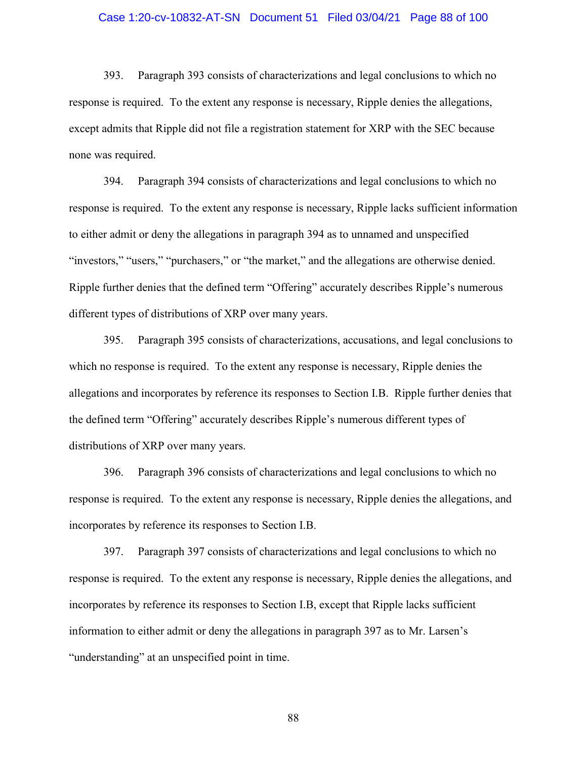#### Case 1:20-cv-10832-AT-SN Document 51 Filed 03/04/21 Page 88 of 100

393. Paragraph 393 consists of characterizations and legal conclusions to which no response is required. To the extent any response is necessary, Ripple denies the allegations, except admits that Ripple did not file a registration statement for XRP with the SEC because none was required.

394. Paragraph 394 consists of characterizations and legal conclusions to which no response is required. To the extent any response is necessary, Ripple lacks sufficient information to either admit or deny the allegations in paragraph 394 as to unnamed and unspecified "investors," "users," "purchasers," or "the market," and the allegations are otherwise denied. Ripple further denies that the defined term "Offering" accurately describes Ripple's numerous different types of distributions of XRP over many years.

395. Paragraph 395 consists of characterizations, accusations, and legal conclusions to which no response is required. To the extent any response is necessary, Ripple denies the allegations and incorporates by reference its responses to Section I.B. Ripple further denies that the defined term "Offering" accurately describes Ripple's numerous different types of distributions of XRP over many years.

396. Paragraph 396 consists of characterizations and legal conclusions to which no response is required. To the extent any response is necessary, Ripple denies the allegations, and incorporates by reference its responses to Section I.B.

397. Paragraph 397 consists of characterizations and legal conclusions to which no response is required. To the extent any response is necessary, Ripple denies the allegations, and incorporates by reference its responses to Section I.B, except that Ripple lacks sufficient information to either admit or deny the allegations in paragraph 397 as to Mr. Larsen's "understanding" at an unspecified point in time.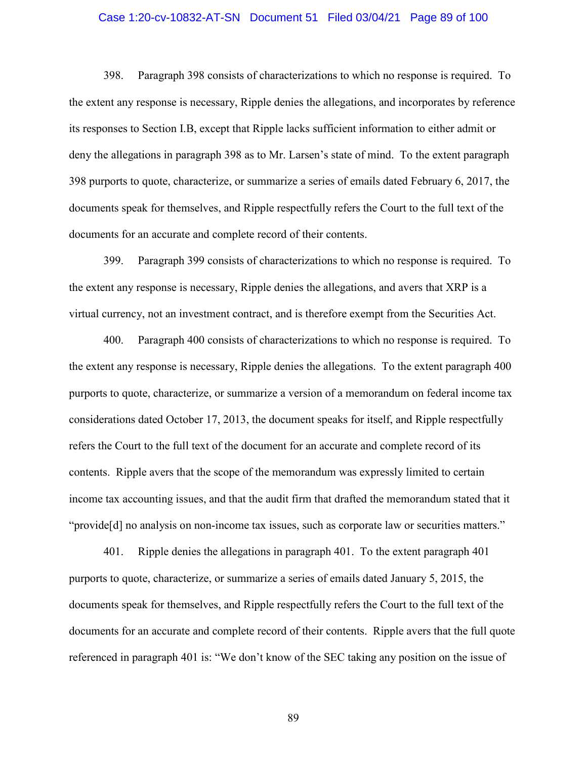# Case 1:20-cv-10832-AT-SN Document 51 Filed 03/04/21 Page 89 of 100

398. Paragraph 398 consists of characterizations to which no response is required. To the extent any response is necessary, Ripple denies the allegations, and incorporates by reference its responses to Section I.B, except that Ripple lacks sufficient information to either admit or deny the allegations in paragraph 398 as to Mr. Larsen's state of mind. To the extent paragraph 398 purports to quote, characterize, or summarize a series of emails dated February 6, 2017, the documents speak for themselves, and Ripple respectfully refers the Court to the full text of the documents for an accurate and complete record of their contents.

399. Paragraph 399 consists of characterizations to which no response is required. To the extent any response is necessary, Ripple denies the allegations, and avers that XRP is a virtual currency, not an investment contract, and is therefore exempt from the Securities Act.

400. Paragraph 400 consists of characterizations to which no response is required. To the extent any response is necessary, Ripple denies the allegations. To the extent paragraph 400 purports to quote, characterize, or summarize a version of a memorandum on federal income tax considerations dated October 17, 2013, the document speaks for itself, and Ripple respectfully refers the Court to the full text of the document for an accurate and complete record of its contents. Ripple avers that the scope of the memorandum was expressly limited to certain income tax accounting issues, and that the audit firm that drafted the memorandum stated that it "provide[d] no analysis on non-income tax issues, such as corporate law or securities matters."

401. Ripple denies the allegations in paragraph 401. To the extent paragraph 401 purports to quote, characterize, or summarize a series of emails dated January 5, 2015, the documents speak for themselves, and Ripple respectfully refers the Court to the full text of the documents for an accurate and complete record of their contents. Ripple avers that the full quote referenced in paragraph 401 is: "We don't know of the SEC taking any position on the issue of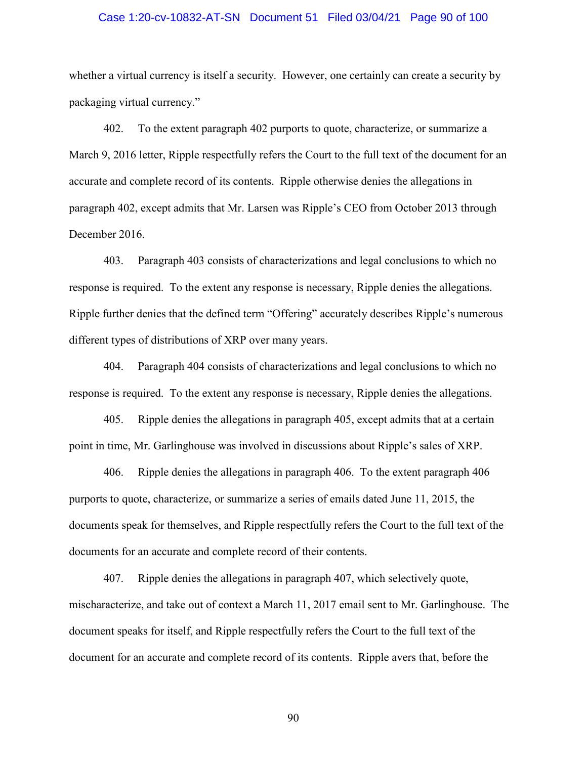# Case 1:20-cv-10832-AT-SN Document 51 Filed 03/04/21 Page 90 of 100

whether a virtual currency is itself a security. However, one certainly can create a security by packaging virtual currency."

402. To the extent paragraph 402 purports to quote, characterize, or summarize a March 9, 2016 letter, Ripple respectfully refers the Court to the full text of the document for an accurate and complete record of its contents. Ripple otherwise denies the allegations in paragraph 402, except admits that Mr. Larsen was Ripple's CEO from October 2013 through December 2016.

403. Paragraph 403 consists of characterizations and legal conclusions to which no response is required. To the extent any response is necessary, Ripple denies the allegations. Ripple further denies that the defined term "Offering" accurately describes Ripple's numerous different types of distributions of XRP over many years.

404. Paragraph 404 consists of characterizations and legal conclusions to which no response is required. To the extent any response is necessary, Ripple denies the allegations.

405. Ripple denies the allegations in paragraph 405, except admits that at a certain point in time, Mr. Garlinghouse was involved in discussions about Ripple's sales of XRP.

406. Ripple denies the allegations in paragraph 406. To the extent paragraph 406 purports to quote, characterize, or summarize a series of emails dated June 11, 2015, the documents speak for themselves, and Ripple respectfully refers the Court to the full text of the documents for an accurate and complete record of their contents.

407. Ripple denies the allegations in paragraph 407, which selectively quote, mischaracterize, and take out of context a March 11, 2017 email sent to Mr. Garlinghouse. The document speaks for itself, and Ripple respectfully refers the Court to the full text of the document for an accurate and complete record of its contents. Ripple avers that, before the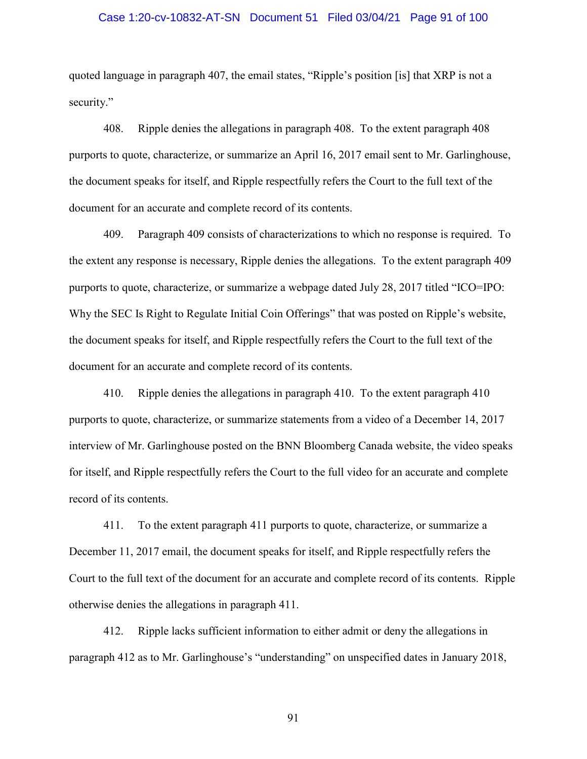# Case 1:20-cv-10832-AT-SN Document 51 Filed 03/04/21 Page 91 of 100

quoted language in paragraph 407, the email states, "Ripple's position [is] that XRP is not a security."

408. Ripple denies the allegations in paragraph 408. To the extent paragraph 408 purports to quote, characterize, or summarize an April 16, 2017 email sent to Mr. Garlinghouse, the document speaks for itself, and Ripple respectfully refers the Court to the full text of the document for an accurate and complete record of its contents.

409. Paragraph 409 consists of characterizations to which no response is required. To the extent any response is necessary, Ripple denies the allegations. To the extent paragraph 409 purports to quote, characterize, or summarize a webpage dated July 28, 2017 titled "ICO=IPO: Why the SEC Is Right to Regulate Initial Coin Offerings" that was posted on Ripple's website, the document speaks for itself, and Ripple respectfully refers the Court to the full text of the document for an accurate and complete record of its contents.

410. Ripple denies the allegations in paragraph 410. To the extent paragraph 410 purports to quote, characterize, or summarize statements from a video of a December 14, 2017 interview of Mr. Garlinghouse posted on the BNN Bloomberg Canada website, the video speaks for itself, and Ripple respectfully refers the Court to the full video for an accurate and complete record of its contents.

411. To the extent paragraph 411 purports to quote, characterize, or summarize a December 11, 2017 email, the document speaks for itself, and Ripple respectfully refers the Court to the full text of the document for an accurate and complete record of its contents. Ripple otherwise denies the allegations in paragraph 411.

412. Ripple lacks sufficient information to either admit or deny the allegations in paragraph 412 as to Mr. Garlinghouse's "understanding" on unspecified dates in January 2018,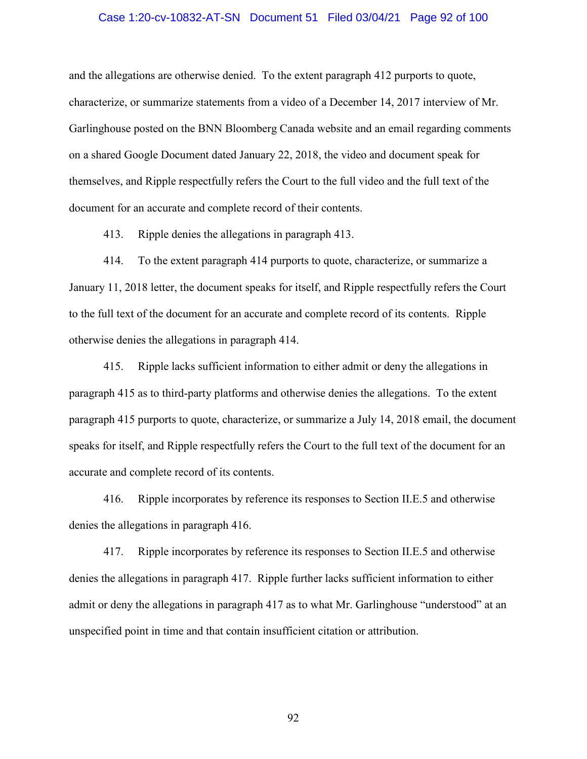## Case 1:20-cv-10832-AT-SN Document 51 Filed 03/04/21 Page 92 of 100

and the allegations are otherwise denied. To the extent paragraph 412 purports to quote, characterize, or summarize statements from a video of a December 14, 2017 interview of Mr. Garlinghouse posted on the BNN Bloomberg Canada website and an email regarding comments on a shared Google Document dated January 22, 2018, the video and document speak for themselves, and Ripple respectfully refers the Court to the full video and the full text of the document for an accurate and complete record of their contents.

413. Ripple denies the allegations in paragraph 413.

414. To the extent paragraph 414 purports to quote, characterize, or summarize a January 11, 2018 letter, the document speaks for itself, and Ripple respectfully refers the Court to the full text of the document for an accurate and complete record of its contents. Ripple otherwise denies the allegations in paragraph 414.

415. Ripple lacks sufficient information to either admit or deny the allegations in paragraph 415 as to third-party platforms and otherwise denies the allegations. To the extent paragraph 415 purports to quote, characterize, or summarize a July 14, 2018 email, the document speaks for itself, and Ripple respectfully refers the Court to the full text of the document for an accurate and complete record of its contents.

416. Ripple incorporates by reference its responses to Section II.E.5 and otherwise denies the allegations in paragraph 416.

417. Ripple incorporates by reference its responses to Section II.E.5 and otherwise denies the allegations in paragraph 417. Ripple further lacks sufficient information to either admit or deny the allegations in paragraph 417 as to what Mr. Garlinghouse "understood" at an unspecified point in time and that contain insufficient citation or attribution.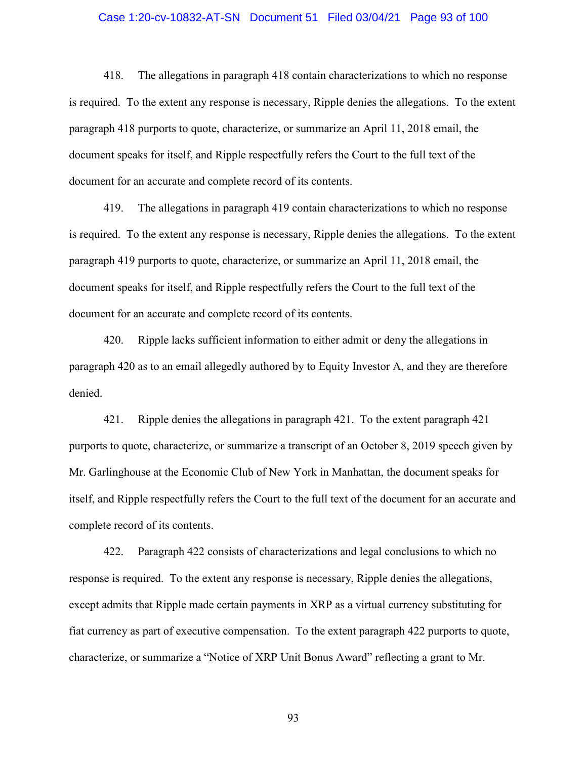## Case 1:20-cv-10832-AT-SN Document 51 Filed 03/04/21 Page 93 of 100

418. The allegations in paragraph 418 contain characterizations to which no response is required. To the extent any response is necessary, Ripple denies the allegations. To the extent paragraph 418 purports to quote, characterize, or summarize an April 11, 2018 email, the document speaks for itself, and Ripple respectfully refers the Court to the full text of the document for an accurate and complete record of its contents.

419. The allegations in paragraph 419 contain characterizations to which no response is required. To the extent any response is necessary, Ripple denies the allegations. To the extent paragraph 419 purports to quote, characterize, or summarize an April 11, 2018 email, the document speaks for itself, and Ripple respectfully refers the Court to the full text of the document for an accurate and complete record of its contents.

420. Ripple lacks sufficient information to either admit or deny the allegations in paragraph 420 as to an email allegedly authored by to Equity Investor A, and they are therefore denied.

421. Ripple denies the allegations in paragraph 421. To the extent paragraph 421 purports to quote, characterize, or summarize a transcript of an October 8, 2019 speech given by Mr. Garlinghouse at the Economic Club of New York in Manhattan, the document speaks for itself, and Ripple respectfully refers the Court to the full text of the document for an accurate and complete record of its contents.

422. Paragraph 422 consists of characterizations and legal conclusions to which no response is required. To the extent any response is necessary, Ripple denies the allegations, except admits that Ripple made certain payments in XRP as a virtual currency substituting for fiat currency as part of executive compensation. To the extent paragraph 422 purports to quote, characterize, or summarize a "Notice of XRP Unit Bonus Award" reflecting a grant to Mr.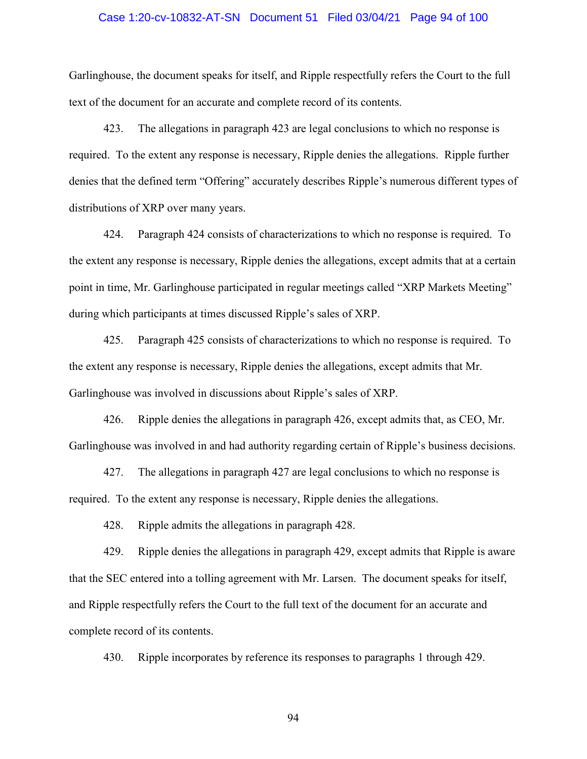# Case 1:20-cv-10832-AT-SN Document 51 Filed 03/04/21 Page 94 of 100

Garlinghouse, the document speaks for itself, and Ripple respectfully refers the Court to the full text of the document for an accurate and complete record of its contents.

423. The allegations in paragraph 423 are legal conclusions to which no response is required. To the extent any response is necessary, Ripple denies the allegations. Ripple further denies that the defined term "Offering" accurately describes Ripple's numerous different types of distributions of XRP over many years.

424. Paragraph 424 consists of characterizations to which no response is required. To the extent any response is necessary, Ripple denies the allegations, except admits that at a certain point in time, Mr. Garlinghouse participated in regular meetings called "XRP Markets Meeting" during which participants at times discussed Ripple's sales of XRP.

425. Paragraph 425 consists of characterizations to which no response is required. To the extent any response is necessary, Ripple denies the allegations, except admits that Mr. Garlinghouse was involved in discussions about Ripple's sales of XRP.

426. Ripple denies the allegations in paragraph 426, except admits that, as CEO, Mr. Garlinghouse was involved in and had authority regarding certain of Ripple's business decisions.

427. The allegations in paragraph 427 are legal conclusions to which no response is required. To the extent any response is necessary, Ripple denies the allegations.

428. Ripple admits the allegations in paragraph 428.

429. Ripple denies the allegations in paragraph 429, except admits that Ripple is aware that the SEC entered into a tolling agreement with Mr. Larsen. The document speaks for itself, and Ripple respectfully refers the Court to the full text of the document for an accurate and complete record of its contents.

430. Ripple incorporates by reference its responses to paragraphs 1 through 429.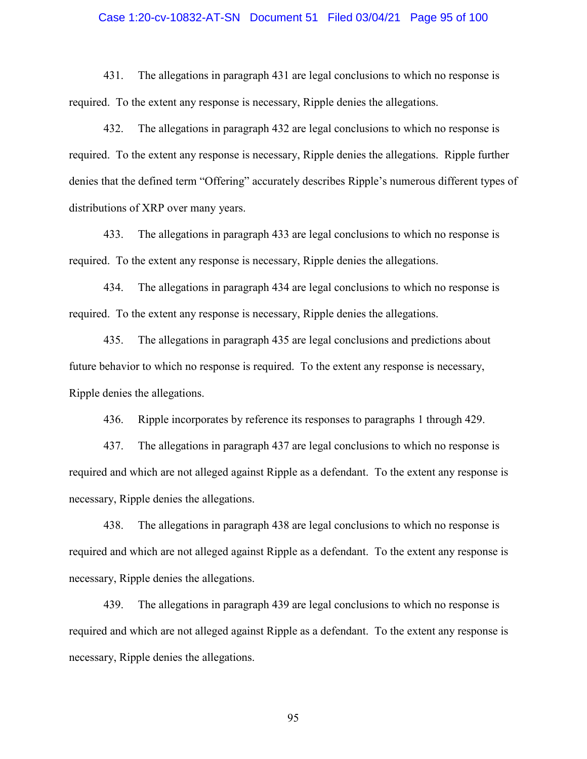## Case 1:20-cv-10832-AT-SN Document 51 Filed 03/04/21 Page 95 of 100

431. The allegations in paragraph 431 are legal conclusions to which no response is required. To the extent any response is necessary, Ripple denies the allegations.

432. The allegations in paragraph 432 are legal conclusions to which no response is required. To the extent any response is necessary, Ripple denies the allegations. Ripple further denies that the defined term "Offering" accurately describes Ripple's numerous different types of distributions of XRP over many years.

433. The allegations in paragraph 433 are legal conclusions to which no response is required. To the extent any response is necessary, Ripple denies the allegations.

434. The allegations in paragraph 434 are legal conclusions to which no response is required. To the extent any response is necessary, Ripple denies the allegations.

435. The allegations in paragraph 435 are legal conclusions and predictions about future behavior to which no response is required. To the extent any response is necessary, Ripple denies the allegations.

436. Ripple incorporates by reference its responses to paragraphs 1 through 429.

437. The allegations in paragraph 437 are legal conclusions to which no response is required and which are not alleged against Ripple as a defendant. To the extent any response is necessary, Ripple denies the allegations.

438. The allegations in paragraph 438 are legal conclusions to which no response is required and which are not alleged against Ripple as a defendant. To the extent any response is necessary, Ripple denies the allegations.

439. The allegations in paragraph 439 are legal conclusions to which no response is required and which are not alleged against Ripple as a defendant. To the extent any response is necessary, Ripple denies the allegations.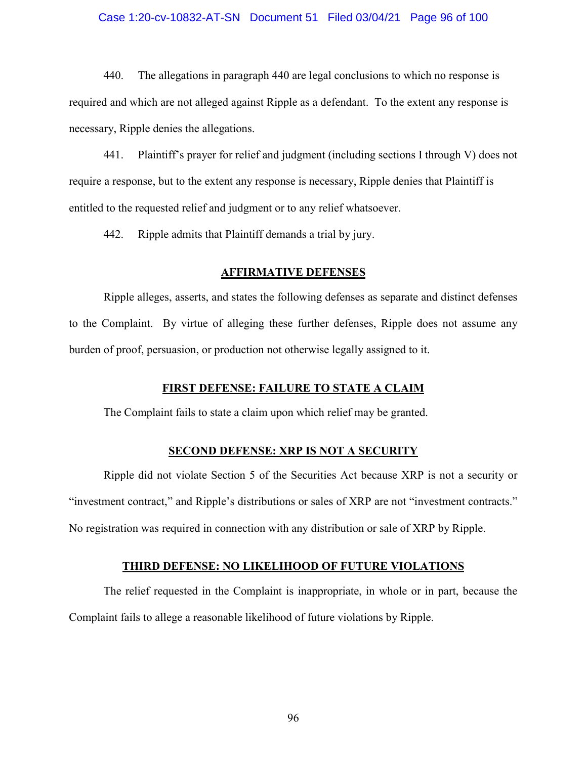# Case 1:20-cv-10832-AT-SN Document 51 Filed 03/04/21 Page 96 of 100

440. The allegations in paragraph 440 are legal conclusions to which no response is required and which are not alleged against Ripple as a defendant. To the extent any response is necessary, Ripple denies the allegations.

441. Plaintiff's prayer for relief and judgment (including sections I through V) does not require a response, but to the extent any response is necessary, Ripple denies that Plaintiff is entitled to the requested relief and judgment or to any relief whatsoever.

442. Ripple admits that Plaintiff demands a trial by jury.

## **AFFIRMATIVE DEFENSES**

Ripple alleges, asserts, and states the following defenses as separate and distinct defenses to the Complaint. By virtue of alleging these further defenses, Ripple does not assume any burden of proof, persuasion, or production not otherwise legally assigned to it.

# **FIRST DEFENSE: FAILURE TO STATE A CLAIM**

The Complaint fails to state a claim upon which relief may be granted.

# **SECOND DEFENSE: XRP IS NOT A SECURITY**

Ripple did not violate Section 5 of the Securities Act because XRP is not a security or "investment contract," and Ripple's distributions or sales of XRP are not "investment contracts." No registration was required in connection with any distribution or sale of XRP by Ripple.

# **THIRD DEFENSE: NO LIKELIHOOD OF FUTURE VIOLATIONS**

The relief requested in the Complaint is inappropriate, in whole or in part, because the Complaint fails to allege a reasonable likelihood of future violations by Ripple.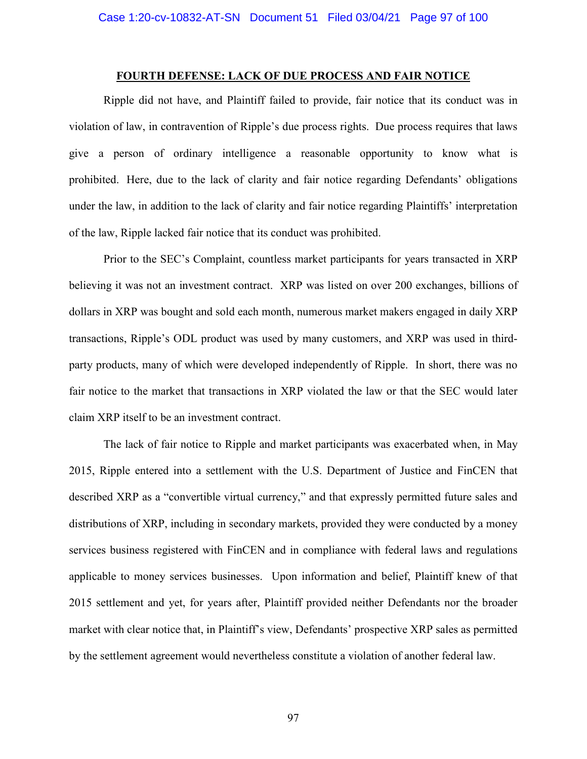# **FOURTH DEFENSE: LACK OF DUE PROCESS AND FAIR NOTICE**

Ripple did not have, and Plaintiff failed to provide, fair notice that its conduct was in violation of law, in contravention of Ripple's due process rights. Due process requires that laws give a person of ordinary intelligence a reasonable opportunity to know what is prohibited. Here, due to the lack of clarity and fair notice regarding Defendants' obligations under the law, in addition to the lack of clarity and fair notice regarding Plaintiffs' interpretation of the law, Ripple lacked fair notice that its conduct was prohibited.

Prior to the SEC's Complaint, countless market participants for years transacted in XRP believing it was not an investment contract. XRP was listed on over 200 exchanges, billions of dollars in XRP was bought and sold each month, numerous market makers engaged in daily XRP transactions, Ripple's ODL product was used by many customers, and XRP was used in thirdparty products, many of which were developed independently of Ripple. In short, there was no fair notice to the market that transactions in XRP violated the law or that the SEC would later claim XRP itself to be an investment contract.

The lack of fair notice to Ripple and market participants was exacerbated when, in May 2015, Ripple entered into a settlement with the U.S. Department of Justice and FinCEN that described XRP as a "convertible virtual currency," and that expressly permitted future sales and distributions of XRP, including in secondary markets, provided they were conducted by a money services business registered with FinCEN and in compliance with federal laws and regulations applicable to money services businesses. Upon information and belief, Plaintiff knew of that 2015 settlement and yet, for years after, Plaintiff provided neither Defendants nor the broader market with clear notice that, in Plaintiff's view, Defendants' prospective XRP sales as permitted by the settlement agreement would nevertheless constitute a violation of another federal law.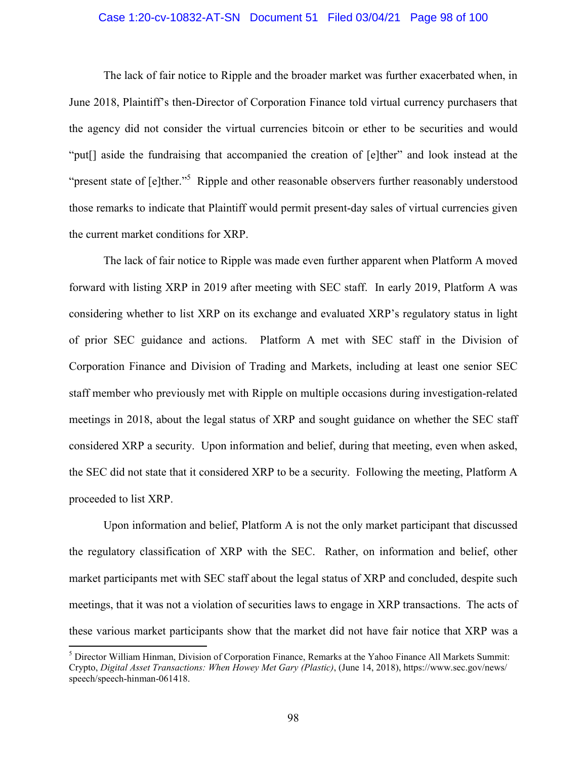# Case 1:20-cv-10832-AT-SN Document 51 Filed 03/04/21 Page 98 of 100

The lack of fair notice to Ripple and the broader market was further exacerbated when, in June 2018, Plaintiff's then-Director of Corporation Finance told virtual currency purchasers that the agency did not consider the virtual currencies bitcoin or ether to be securities and would "put[] aside the fundraising that accompanied the creation of [e]ther" and look instead at the "present state of [e]ther."<sup>5</sup> Ripple and other reasonable observers further reasonably understood those remarks to indicate that Plaintiff would permit present-day sales of virtual currencies given the current market conditions for XRP.

The lack of fair notice to Ripple was made even further apparent when Platform A moved forward with listing XRP in 2019 after meeting with SEC staff. In early 2019, Platform A was considering whether to list XRP on its exchange and evaluated XRP's regulatory status in light of prior SEC guidance and actions. Platform A met with SEC staff in the Division of Corporation Finance and Division of Trading and Markets, including at least one senior SEC staff member who previously met with Ripple on multiple occasions during investigation-related meetings in 2018, about the legal status of XRP and sought guidance on whether the SEC staff considered XRP a security. Upon information and belief, during that meeting, even when asked, the SEC did not state that it considered XRP to be a security. Following the meeting, Platform A proceeded to list XRP.

Upon information and belief, Platform A is not the only market participant that discussed the regulatory classification of XRP with the SEC. Rather, on information and belief, other market participants met with SEC staff about the legal status of XRP and concluded, despite such meetings, that it was not a violation of securities laws to engage in XRP transactions. The acts of these various market participants show that the market did not have fair notice that XRP was a

<sup>5</sup> Director William Hinman, Division of Corporation Finance, Remarks at the Yahoo Finance All Markets Summit: Crypto, *Digital Asset Transactions: When Howey Met Gary (Plastic)*, (June 14, 2018), https://www.sec.gov/news/ speech/speech-hinman-061418.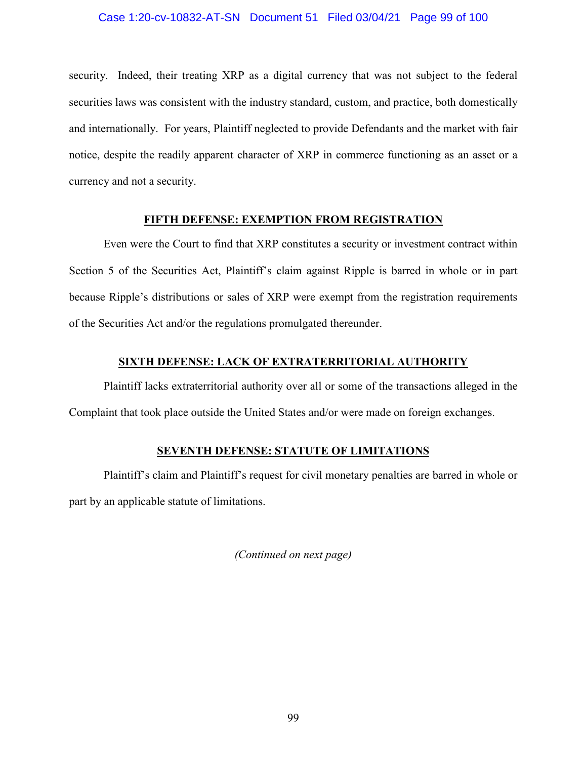# Case 1:20-cv-10832-AT-SN Document 51 Filed 03/04/21 Page 99 of 100

security. Indeed, their treating XRP as a digital currency that was not subject to the federal securities laws was consistent with the industry standard, custom, and practice, both domestically and internationally. For years, Plaintiff neglected to provide Defendants and the market with fair notice, despite the readily apparent character of XRP in commerce functioning as an asset or a currency and not a security.

# **FIFTH DEFENSE: EXEMPTION FROM REGISTRATION**

Even were the Court to find that XRP constitutes a security or investment contract within Section 5 of the Securities Act, Plaintiff's claim against Ripple is barred in whole or in part because Ripple's distributions or sales of XRP were exempt from the registration requirements of the Securities Act and/or the regulations promulgated thereunder.

# **SIXTH DEFENSE: LACK OF EXTRATERRITORIAL AUTHORITY**

Plaintiff lacks extraterritorial authority over all or some of the transactions alleged in the Complaint that took place outside the United States and/or were made on foreign exchanges.

# **SEVENTH DEFENSE: STATUTE OF LIMITATIONS**

Plaintiff's claim and Plaintiff's request for civil monetary penalties are barred in whole or part by an applicable statute of limitations.

*(Continued on next page)*